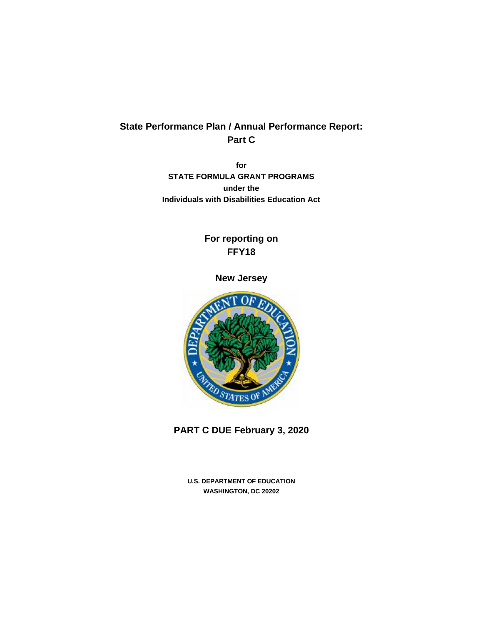# **State Performance Plan / Annual Performance Report: Part C**

**for STATE FORMULA GRANT PROGRAMS under the Individuals with Disabilities Education Act**

# **For reporting on FFY18**

## **New Jersey**



**PART C DUE February 3, 2020**

**U.S. DEPARTMENT OF EDUCATION WASHINGTON, DC 20202**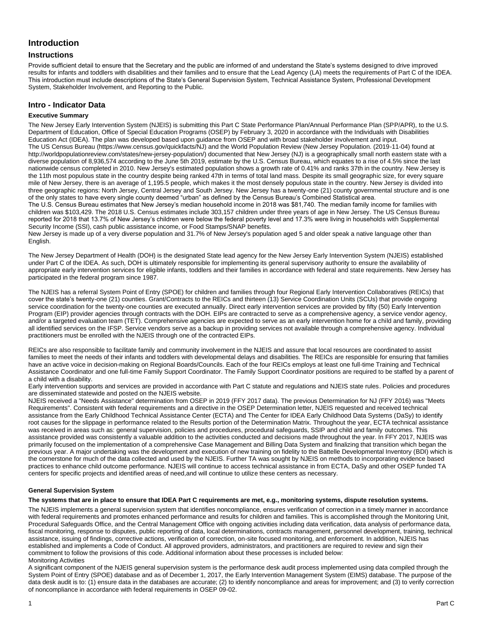## **Introduction**

## **Instructions**

Provide sufficient detail to ensure that the Secretary and the public are informed of and understand the State's systems designed to drive improved results for infants and toddlers with disabilities and their families and to ensure that the Lead Agency (LA) meets the requirements of Part C of the IDEA. This introduction must include descriptions of the State's General Supervision System, Technical Assistance System, Professional Development System, Stakeholder Involvement, and Reporting to the Public.

## **Intro - Indicator Data**

#### **Executive Summary**

The New Jersey Early Intervention System (NJEIS) is submitting this Part C State Performance Plan/Annual Performance Plan (SPP/APR), to the U.S. Department of Education, Office of Special Education Programs (OSEP) by February 3, 2020 in accordance with the Individuals with Disabilities Education Act (IDEA). The plan was developed based upon guidance from OSEP and with broad stakeholder involvement and input. The US Census Bureau (https://www.census.gov/quickfacts/NJ) and the World Population Review (New Jersey Population. (2019-11-04) found at http://worldpopulationreview.com/states/new-jersey-population/) documented that New Jersey (NJ) is a geographically small north eastern state with a diverse population of 8,936,574 according to the June 5th 2019, estimate by the U.S. Census Bureau, which equates to a rise of 4.5% since the last nationwide census completed in 2010. New Jersey's estimated population shows a growth rate of 0.41% and ranks 37th in the country. New Jersey is the 11th most populous state in the country despite being ranked 47th in terms of total land mass. Despite its small geographic size, for every square mile of New Jersey, there is an average of 1,195.5 people, which makes it the most densely populous state in the country. New Jersey is divided into three geographic regions: North Jersey, Central Jersey and South Jersey. New Jersey has a twenty-one (21) county governmental structure and is one of the only states to have every single county deemed "urban" as defined by the Census Bureau's Combined Statistical area.

The U.S. Census Bureau estimates that New Jersey's median household income in 2018 was \$81,740. The median family income for families with children was \$103,429. The 2018 U.S. Census estimates include 303,157 children under three years of age in New Jersey. The US Census Bureau reported for 2018 that 13.7% of New Jersey's children were below the federal poverty level and 17.3% were living in households with Supplemental Security Income (SSI), cash public assistance income, or Food Stamps/SNAP benefits.

New Jersey is made up of a very diverse population and 31.7% of New Jersey's population aged 5 and older speak a native language other than **English** 

The New Jersey Department of Health (DOH) is the designated State lead agency for the New Jersey Early Intervention System (NJEIS) established under Part C of the IDEA. As such, DOH is ultimately responsible for implementing its general supervisory authority to ensure the availability of appropriate early intervention services for eligible infants, toddlers and their families in accordance with federal and state requirements. New Jersey has participated in the federal program since 1987.

The NJEIS has a referral System Point of Entry (SPOE) for children and families through four Regional Early Intervention Collaboratives (REICs) that cover the state's twenty-one (21) counties. Grant/Contracts to the REICs and thirteen (13) Service Coordination Units (SCUs) that provide ongoing service coordination for the twenty-one counties are executed annually. Direct early intervention services are provided by fifty (50) Early Intervention Program (EIP) provider agencies through contracts with the DOH. EIPs are contracted to serve as a comprehensive agency, a service vendor agency, and/or a targeted evaluation team (TET). Comprehensive agencies are expected to serve as an early intervention home for a child and family, providing all identified services on the IFSP. Service vendors serve as a backup in providing services not available through a comprehensive agency. Individual practitioners must be enrolled with the NJEIS through one of the contracted EIPs.

REICs are also responsible to facilitate family and community involvement in the NJEIS and assure that local resources are coordinated to assist families to meet the needs of their infants and toddlers with developmental delays and disabilities. The REICs are responsible for ensuring that families have an active voice in decision-making on Regional Boards/Councils. Each of the four REICs employs at least one full-time Training and Technical Assistance Coordinator and one full-time Family Support Coordinator. The Family Support Coordinator positions are required to be staffed by a parent of a child with a disability.

Early intervention supports and services are provided in accordance with Part C statute and regulations and NJEIS state rules. Policies and procedures are disseminated statewide and posted on the NJEIS website.

NJEIS received a "Needs Assistance" determination from OSEP in 2019 (FFY 2017 data). The previous Determination for NJ (FFY 2016) was "Meets Requirements". Consistent with federal requirements and a directive in the OSEP Determination letter, NJEIS requested and received technical assistance from the Early Childhood Technical Assistance Center (ECTA) and The Center for IDEA Early Childhood Data Systems (DaSy) to identify root causes for the slippage in performance related to the Results portion of the Determination Matrix. Throughout the year, ECTA technical assistance was received in areas such as: general supervision, policies and procedures, procedural safeguards, SSIP and child and family outcomes. This assistance provided was consistently a valuable addition to the activities conducted and decisions made throughout the year. In FFY 2017, NJEIS was primarily focused on the implementation of a comprehensive Case Management and Billing Data System and finalizing that transition which began the previous year. A major undertaking was the development and execution of new training on fidelity to the Battelle Developmental Inventory (BDI) which is the cornerstone for much of the data collected and used by the NJEIS. Further TA was sought by NJEIS on methods to incorporating evidence based practices to enhance child outcome performance. NJEIS will continue to access technical assistance in from ECTA, DaSy and other OSEP funded TA centers for specific projects and identified areas of need,and will continue to utilize these centers as necessary.

#### **General Supervision System**

#### **The systems that are in place to ensure that IDEA Part C requirements are met, e.g., monitoring systems, dispute resolution systems.**

The NJEIS implements a general supervision system that identifies noncompliance, ensures verification of correction in a timely manner in accordance with federal requirements and promotes enhanced performance and results for children and families. This is accomplished through the Monitoring Unit, Procedural Safeguards Office, and the Central Management Office with ongoing activities including data verification, data analysis of performance data, fiscal monitoring, response to disputes, public reporting of data, local determinations, contracts management, personnel development, training, technical assistance, issuing of findings, corrective actions, verification of correction, on-site focused monitoring, and enforcement. In addition, NJEIS has established and implements a Code of Conduct. All approved providers, administrators, and practitioners are required to review and sign their commitment to follow the provisions of this code. Additional information about these processes is included below: Monitoring Activities

A significant component of the NJEIS general supervision system is the performance desk audit process implemented using data compiled through the System Point of Entry (SPOE) database and as of December 1, 2017, the Early Intervention Management System (EIMS) database. The purpose of the data desk audit is to: (1) ensure data in the databases are accurate; (2) to identify noncompliance and areas for improvement; and (3) to verify correction of noncompliance in accordance with federal requirements in OSEP 09-02.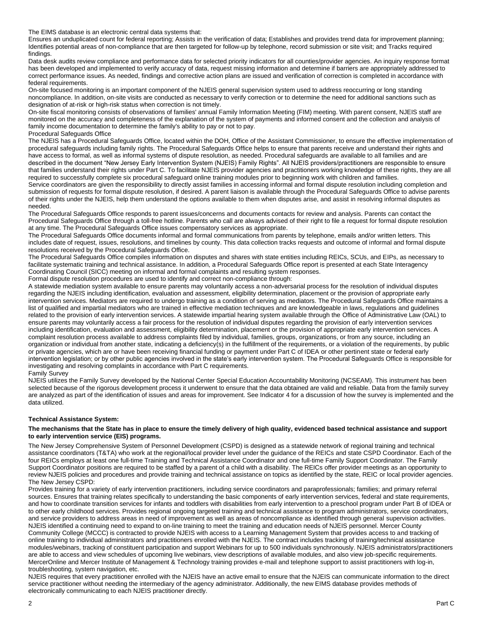The EIMS database is an electronic central data systems that:

Ensures an unduplicated count for federal reporting; Assists in the verification of data; Establishes and provides trend data for improvement planning; Identifies potential areas of non-compliance that are then targeted for follow-up by telephone, record submission or site visit; and Tracks required findings.

Data desk audits review compliance and performance data for selected priority indicators for all counties/provider agencies. An inquiry response format has been developed and implemented to verify accuracy of data, request missing information and determine if barriers are appropriately addressed to correct performance issues. As needed, findings and corrective action plans are issued and verification of correction is completed in accordance with federal requirements.

On-site focused monitoring is an important component of the NJEIS general supervision system used to address reoccurring or long standing noncompliance. In addition, on-site visits are conducted as necessary to verify correction or to determine the need for additional sanctions such as designation of at-risk or high-risk status when correction is not timely.

On-site fiscal monitoring consists of observations of families' annual Family Information Meeting (FIM) meeting. With parent consent, NJEIS staff are monitored on the accuracy and completeness of the explanation of the system of payments and informed consent and the collection and analysis of family income documentation to determine the family's ability to pay or not to pay.

Procedural Safeguards Office

The NJEIS has a Procedural Safeguards Office, located within the DOH, Office of the Assistant Commissioner, to ensure the effective implementation of procedural safeguards including family rights. The Procedural Safeguards Office helps to ensure that parents receive and understand their rights and have access to formal, as well as informal systems of dispute resolution, as needed. Procedural safeguards are available to all families and are described in the document "New Jersey Early Intervention System (NJEIS) Family Rights". All NJEIS providers/practitioners are responsible to ensure that families understand their rights under Part C. To facilitate NJEIS provider agencies and practitioners working knowledge of these rights, they are all required to successfully complete six procedural safeguard online training modules prior to beginning work with children and families.

Service coordinators are given the responsibility to directly assist families in accessing informal and formal dispute resolution including completion and submission of requests for formal dispute resolution, if desired. A parent liaison is available through the Procedural Safeguards Office to advise parents of their rights under the NJEIS, help them understand the options available to them when disputes arise, and assist in resolving informal disputes as needed.

The Procedural Safeguards Office responds to parent issues/concerns and documents contacts for review and analysis. Parents can contact the Procedural Safeguards Office through a toll-free hotline. Parents who call are always advised of their right to file a request for formal dispute resolution at any time. The Procedural Safeguards Office issues compensatory services as appropriate.

The Procedural Safeguards Office documents informal and formal communications from parents by telephone, emails and/or written letters. This includes date of request, issues, resolutions, and timelines by county. This data collection tracks requests and outcome of informal and formal dispute resolutions received by the Procedural Safeguards Office.

The Procedural Safeguards Office compiles information on disputes and shares with state entities including REICs, SCUs, and EIPs, as necessary to facilitate systematic training and technical assistance. In addition, a Procedural Safeguards Office report is presented at each State Interagency Coordinating Council (SICC) meeting on informal and formal complaints and resulting system responses. Formal dispute resolution procedures are used to identify and correct non-compliance through:

A statewide mediation system available to ensure parents may voluntarily access a non-adversarial process for the resolution of individual disputes regarding the NJEIS including identification, evaluation and assessment, eligibility determination, placement or the provision of appropriate early intervention services. Mediators are required to undergo training as a condition of serving as mediators. The Procedural Safeguards Office maintains a list of qualified and impartial mediators who are trained in effective mediation techniques and are knowledgeable in laws, regulations and guidelines related to the provision of early intervention services. A statewide impartial hearing system available through the Office of Administrative Law (OAL) to ensure parents may voluntarily access a fair process for the resolution of individual disputes regarding the provision of early intervention services including identification, evaluation and assessment, eligibility determination, placement or the provision of appropriate early intervention services. A complaint resolution process available to address complaints filed by individual, families, groups, organizations, or from any source, including an organization or individual from another state, indicating a deficiency(s) in the fulfillment of the requirements, or a violation of the requirements, by public or private agencies, which are or have been receiving financial funding or payment under Part C of IDEA or other pertinent state or federal early intervention legislation; or by other public agencies involved in the state's early intervention system. The Procedural Safeguards Office is responsible for investigating and resolving complaints in accordance with Part C requirements. Family Survey

NJEIS utilizes the Family Survey developed by the National Center Special Education Accountability Monitoring (NCSEAM). This instrument has been selected because of the rigorous development process it underwent to ensure that the data obtained are valid and reliable. Data from the family survey are analyzed as part of the identification of issues and areas for improvement. See Indicator 4 for a discussion of how the survey is implemented and the data utilized.

#### **Technical Assistance System:**

#### **The mechanisms that the State has in place to ensure the timely delivery of high quality, evidenced based technical assistance and support to early intervention service (EIS) programs.**

The New Jersey Comprehensive System of Personnel Development (CSPD) is designed as a statewide network of regional training and technical assistance coordinators (T&TA) who work at the regional/local provider level under the guidance of the REICs and state CSPD Coordinator. Each of the four REICs employs at least one full-time Training and Technical Assistance Coordinator and one full-time Family Support Coordinator. The Family Support Coordinator positions are required to be staffed by a parent of a child with a disability. The REICs offer provider meetings as an opportunity to review NJEIS policies and procedures and provide training and technical assistance on topics as identified by the state, REIC or local provider agencies. The New Jersey CSPD:

Provides training for a variety of early intervention practitioners, including service coordinators and paraprofessionals; families; and primary referral sources. Ensures that training relates specifically to understanding the basic components of early intervention services, federal and state requirements, and how to coordinate transition services for infants and toddlers with disabilities from early intervention to a preschool program under Part B of IDEA or to other early childhood services. Provides regional ongoing targeted training and technical assistance to program administrators, service coordinators, and service providers to address areas in need of improvement as well as areas of noncompliance as identified through general supervision activities. NJEIS identified a continuing need to expand to on-line training to meet the training and education needs of NJEIS personnel. Mercer County Community College (MCCC) is contracted to provide NJEIS with access to a Learning Management System that provides access to and tracking of online training to individual administrators and practitioners enrolled with the NJEIS. The contract includes tracking of training/technical assistance modules/webinars, tracking of constituent participation and support Webinars for up to 500 individuals synchronously. NJEIS administrators/practitioners are able to access and view schedules of upcoming live webinars, view descriptions of available modules, and also view job-specific requirements. MercerOnline and Mercer Institute of Management & Technology training provides e-mail and telephone support to assist practitioners with log-in, troubleshooting, system navigation, etc.

NJEIS requires that every practitioner enrolled with the NJEIS have an active email to ensure that the NJEIS can communicate information to the direct service practitioner without needing the intermediary of the agency administrator. Additionally, the new EIMS database provides methods of electronically communicating to each NJEIS practitioner directly.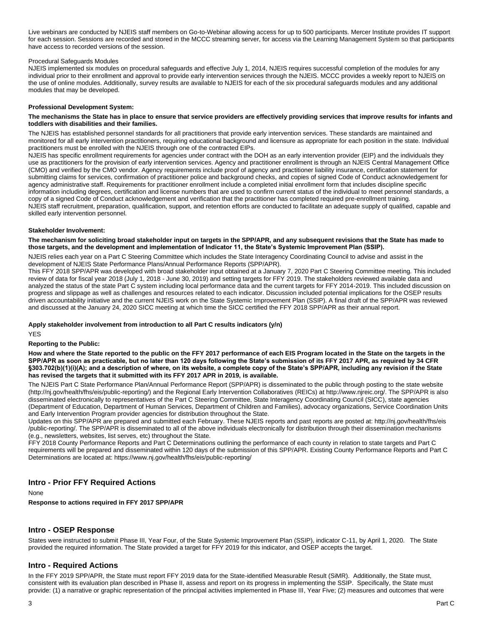Live webinars are conducted by NJEIS staff members on Go-to-Webinar allowing access for up to 500 participants. Mercer Institute provides IT support for each session. Sessions are recorded and stored in the MCCC streaming server, for access via the Learning Management System so that participants have access to recorded versions of the session.

#### Procedural Safeguards Modules

NJEIS implemented six modules on procedural safeguards and effective July 1, 2014, NJEIS requires successful completion of the modules for any individual prior to their enrollment and approval to provide early intervention services through the NJEIS. MCCC provides a weekly report to NJEIS on the use of online modules. Additionally, survey results are available to NJEIS for each of the six procedural safeguards modules and any additional modules that may be developed.

#### **Professional Development System:**

#### **The mechanisms the State has in place to ensure that service providers are effectively providing services that improve results for infants and toddlers with disabilities and their families.**

The NJEIS has established personnel standards for all practitioners that provide early intervention services. These standards are maintained and monitored for all early intervention practitioners, requiring educational background and licensure as appropriate for each position in the state. Individual practitioners must be enrolled with the NJEIS through one of the contracted EIPs.

NJEIS has specific enrollment requirements for agencies under contract with the DOH as an early intervention provider (EIP) and the individuals they use as practitioners for the provision of early intervention services. Agency and practitioner enrollment is through an NJEIS Central Management Office (CMO) and verified by the CMO vendor. Agency requirements include proof of agency and practitioner liability insurance, certification statement for submitting claims for services, confirmation of practitioner police and background checks, and copies of signed Code of Conduct acknowledgement for agency administrative staff. Requirements for practitioner enrollment include a completed initial enrollment form that includes discipline specific information including degrees, certification and license numbers that are used to confirm current status of the individual to meet personnel standards, a copy of a signed Code of Conduct acknowledgement and verification that the practitioner has completed required pre-enrollment training. NJEIS staff recruitment, preparation, qualification, support, and retention efforts are conducted to facilitate an adequate supply of qualified, capable and skilled early intervention personnel.

#### **Stakeholder Involvement:**

#### **The mechanism for soliciting broad stakeholder input on targets in the SPP/APR, and any subsequent revisions that the State has made to those targets, and the development and implementation of Indicator 11, the State's Systemic Improvement Plan (SSIP).**

NJEIS relies each year on a Part C Steering Committee which includes the State Interagency Coordinating Council to advise and assist in the development of NJEIS State Performance Plans/Annual Performance Reports (SPP/APR).

This FFY 2018 SPP/APR was developed with broad stakeholder input obtained at a January 7, 2020 Part C Steering Committee meeting. This included review of data for fiscal year 2018 (July 1, 2018 - June 30, 2019) and setting targets for FFY 2019. The stakeholders reviewed available data and analyzed the status of the state Part C system including local performance data and the current targets for FFY 2014-2019. This included discussion on progress and slippage as well as challenges and resources related to each indicator. Discussion included potential implications for the OSEP results driven accountability initiative and the current NJEIS work on the State Systemic Improvement Plan (SSIP). A final draft of the SPP/APR was reviewed and discussed at the January 24, 2020 SICC meeting at which time the SICC certified the FFY 2018 SPP/APR as their annual report.

#### **Apply stakeholder involvement from introduction to all Part C results indicators (y/n)**

YES

#### **Reporting to the Public:**

**How and where the State reported to the public on the FFY 2017 performance of each EIS Program located in the State on the targets in the SPP/APR as soon as practicable, but no later than 120 days following the State's submission of its FFY 2017 APR, as required by 34 CFR §303.702(b)(1)(i)(A); and a description of where, on its website, a complete copy of the State's SPP/APR, including any revision if the State has revised the targets that it submitted with its FFY 2017 APR in 2019, is available.**

The NJEIS Part C State Performance Plan/Annual Performance Report (SPP/APR) is disseminated to the public through posting to the state website (http://nj.gov/health/fhs/eis/public-reporting/) and the Regional Early Intervention Collaboratives (REICs) at http://www.njreic.org/. The SPP/APR is also disseminated electronically to representatives of the Part C Steering Committee, State Interagency Coordinating Council (SICC), state agencies (Department of Education, Department of Human Services, Department of Children and Families), advocacy organizations, Service Coordination Units and Early Intervention Program provider agencies for distribution throughout the State.

Updates on this SPP/APR are prepared and submitted each February. These NJEIS reports and past reports are posted at: http://nj.gov/health/fhs/eis /public-reporting/. The SPP/APR is disseminated to all of the above individuals electronically for distribution through their dissemination mechanisms (e.g., newsletters, websites, list serves, etc) throughout the State.

FFY 2018 County Performance Reports and Part C Determinations outlining the performance of each county in relation to state targets and Part C requirements will be prepared and disseminated within 120 days of the submission of this SPP/APR. Existing County Performance Reports and Part C Determinations are located at: https://www.nj.gov/health/fhs/eis/public-reporting/

### **Intro - Prior FFY Required Actions**

None

**Response to actions required in FFY 2017 SPP/APR** 

## **Intro - OSEP Response**

States were instructed to submit Phase III, Year Four, of the State Systemic Improvement Plan (SSIP), indicator C-11, by April 1, 2020. The State provided the required information. The State provided a target for FFY 2019 for this indicator, and OSEP accepts the target.

## **Intro - Required Actions**

In the FFY 2019 SPP/APR, the State must report FFY 2019 data for the State-identified Measurable Result (SiMR). Additionally, the State must, consistent with its evaluation plan described in Phase II, assess and report on its progress in implementing the SSIP. Specifically, the State must provide: (1) a narrative or graphic representation of the principal activities implemented in Phase III, Year Five; (2) measures and outcomes that were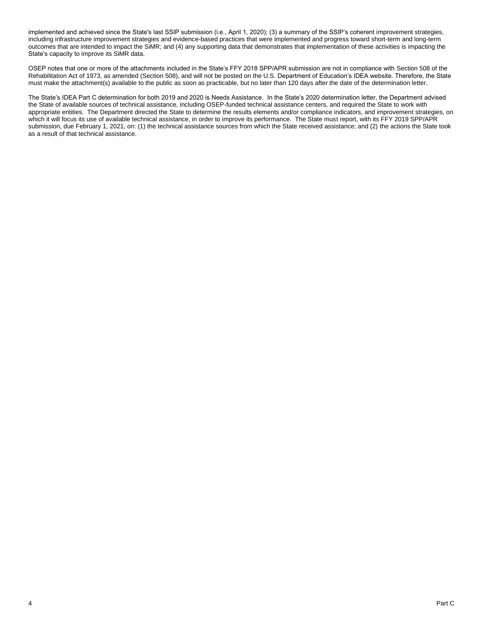implemented and achieved since the State's last SSIP submission (i.e., April 1, 2020); (3) a summary of the SSIP's coherent improvement strategies, including infrastructure improvement strategies and evidence-based practices that were implemented and progress toward short-term and long-term outcomes that are intended to impact the SiMR; and (4) any supporting data that demonstrates that implementation of these activities is impacting the State's capacity to improve its SiMR data.

OSEP notes that one or more of the attachments included in the State's FFY 2018 SPP/APR submission are not in compliance with Section 508 of the Rehabilitation Act of 1973, as amended (Section 508), and will not be posted on the U.S. Department of Education's IDEA website. Therefore, the State must make the attachment(s) available to the public as soon as practicable, but no later than 120 days after the date of the determination letter.

The State's IDEA Part C determination for both 2019 and 2020 is Needs Assistance. In the State's 2020 determination letter, the Department advised the State of available sources of technical assistance, including OSEP-funded technical assistance centers, and required the State to work with appropriate entities. The Department directed the State to determine the results elements and/or compliance indicators, and improvement strategies, on which it will focus its use of available technical assistance, in order to improve its performance. The State must report, with its FFY 2019 SPP/APR submission, due February 1, 2021, on: (1) the technical assistance sources from which the State received assistance; and (2) the actions the State took as a result of that technical assistance.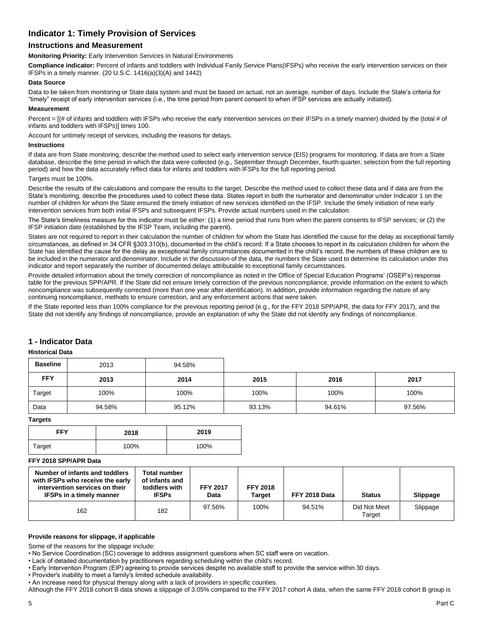## **Indicator 1: Timely Provision of Services**

## **Instructions and Measurement**

**Monitoring Priority:** Early Intervention Services In Natural Environments

**Compliance indicator:** Percent of infants and toddlers with Individual Fanily Service Plans(IFSPs) who receive the early intervention services on their IFSPs in a timely manner. (20 U.S.C. 1416(a)(3)(A) and 1442)

#### **Data Source**

Data to be taken from monitoring or State data system and must be based on actual, not an average, number of days. Include the State's criteria for "timely" receipt of early intervention services (i.e., the time period from parent consent to when IFSP services are actually initiated).

#### **Measurement**

Percent =  $[(# of infants and toldlers with IFSPs who receive the early intervention services on their IFSPs in a timely manner) divided by the (total # of the original text).$ infants and toddlers with IFSPs)] times 100.

Account for untimely receipt of services, including the reasons for delays.

#### **Instructions**

If data are from State monitoring, describe the method used to select early intervention service (EIS) programs for monitoring. If data are from a State database, describe the time period in which the data were collected (e.g., September through December, fourth quarter, selection from the full reporting period) and how the data accurately reflect data for infants and toddlers with IFSPs for the full reporting period.

#### Targets must be 100%.

Describe the results of the calculations and compare the results to the target. Describe the method used to collect these data and if data are from the State's monitoring, describe the procedures used to collect these data. States report in both the numerator and denominator under Indicator 1 on the number of children for whom the State ensured the timely initiation of new services identified on the IFSP. Include the timely initiation of new early intervention services from both initial IFSPs and subsequent IFSPs. Provide actual numbers used in the calculation.

The State's timeliness measure for this indicator must be either: (1) a time period that runs from when the parent consents to IFSP services; or (2) the IFSP initiation date (established by the IFSP Team, including the parent).

States are not required to report in their calculation the number of children for whom the State has identified the cause for the delay as exceptional family circumstances, as defined in 34 CFR §303.310(b), documented in the child's record. If a State chooses to report in its calculation children for whom the State has identified the cause for the delay as exceptional family circumstances documented in the child's record, the numbers of these children are to be included in the numerator and denominator. Include in the discussion of the data, the numbers the State used to determine its calculation under this indicator and report separately the number of documented delays attributable to exceptional family circumstances.

Provide detailed information about the timely correction of noncompliance as noted in the Office of Special Education Programs' (OSEP's) response table for the previous SPP/APR. If the State did not ensure timely correction of the previous noncompliance, provide information on the extent to which noncompliance was subsequently corrected (more than one year after identification). In addition, provide information regarding the nature of any continuing noncompliance, methods to ensure correction, and any enforcement actions that were taken.

If the State reported less than 100% compliance for the previous reporting period (e.g., for the FFY 2018 SPP/APR, the data for FFY 2017), and the State did not identify any findings of noncompliance, provide an explanation of why the State did not identify any findings of noncompliance.

## **1 - Indicator Data**

#### **Historical Data**

| <b>Baseline</b> | 2013   | 94.58% |        |        |        |
|-----------------|--------|--------|--------|--------|--------|
| <b>FFY</b>      | 2013   | 2014   | 2015   | 2016   | 2017   |
| Target          | 100%   | 100%   | 100%   | 100%   | 100%   |
| Data            | 94.58% | 95.12% | 93.13% | 94.61% | 97.56% |

**Targets**

| <b>FFY</b> | 2018 | 2019 |
|------------|------|------|
| Target     | 100% | 100% |

### **FFY 2018 SPP/APR Data**

| Number of infants and toddlers<br>with IFSPs who receive the early<br>intervention services on their<br><b>IFSPs in a timely manner</b> | <b>Total number</b><br>of infants and<br>toddlers with<br><b>IFSPs</b> | <b>FFY 2017</b><br>Data | <b>FFY 2018</b><br><b>Target</b> | FFY 2018 Data | <b>Status</b>          | Slippage |
|-----------------------------------------------------------------------------------------------------------------------------------------|------------------------------------------------------------------------|-------------------------|----------------------------------|---------------|------------------------|----------|
| 162                                                                                                                                     | 182                                                                    | 97.56%                  | 100%                             | 94.51%        | Did Not Meet<br>Target | Slippage |

#### **Provide reasons for slippage, if applicable**

Some of the reasons for the slippage include:

• No Service Coordination (SC) coverage to address assignment questions when SC staff were on vacation.

• Lack of detailed documentation by practitioners regarding scheduling within the child's record.

• Early Intervention Program (EIP) agreeing to provide services despite no available staff to provide the service within 30 days.

• Provider's inability to meet a family's limited schedule availability.

• An increase need for physical therapy along with a lack of providers in specific counties.

Although the FFY 2018 cohort B data shows a slippage of 3.05% compared to the FFY 2017 cohort A data, when the same FFY 2018 cohort B group is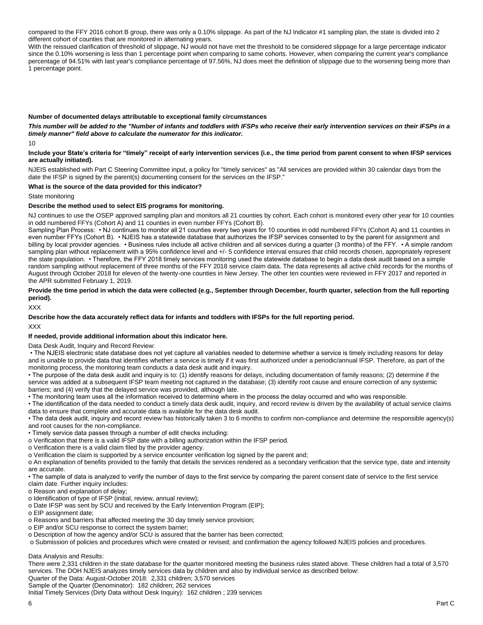compared to the FFY 2016 cohort B group, there was only a 0.10% slippage. As part of the NJ Indicator #1 sampling plan, the state is divided into 2 different cohort of counties that are monitored in alternating years.

With the reissued clarification of threshold of slippage, NJ would not have met the threshold to be considered slippage for a large percentage indicator since the 0.10% worsening is less than 1 percentage point when comparing to same cohorts. However, when comparing the current year's compliance percentage of 94.51% with last year's compliance percentage of 97.56%, NJ does meet the definition of slippage due to the worsening being more than 1 percentage point.

#### **Number of documented delays attributable to exceptional family circumstances**

*This number will be added to the "Number of infants and toddlers with IFSPs who receive their early intervention services on their IFSPs in a timely manner" field above to calculate the numerator for this indicator.*

10

#### **Include your State's criteria for "timely" receipt of early intervention services (i.e., the time period from parent consent to when IFSP services are actually initiated).**

NJEIS established with Part C Steering Committee input, a policy for "timely services" as "All services are provided within 30 calendar days from the date the IFSP is signed by the parent(s) documenting consent for the services on the IFSP."

#### **What is the source of the data provided for this indicator?**

State monitoring

#### **Describe the method used to select EIS programs for monitoring.**

NJ continues to use the OSEP approved sampling plan and monitors all 21 counties by cohort. Each cohort is monitored every other year for 10 counties in odd numbered FFYs (Cohort A) and 11 counties in even number FFYs (Cohort B).

Sampling Plan Process: • NJ continues to monitor all 21 counties every two years for 10 counties in odd numbered FFYs (Cohort A) and 11 counties in even number FFYs (Cohort B). • NJEIS has a statewide database that authorizes the IFSP services consented to by the parent for assignment and billing by local provider agencies. • Business rules include all active children and all services during a quarter (3 months) of the FFY. • A simple random sampling plan without replacement with a 95% confidence level and +/- 5 confidence interval ensures that child records chosen, appropriately represent the state population. • Therefore, the FFY 2018 timely services monitoring used the statewide database to begin a data desk audit based on a simple random sampling without replacement of three months of the FFY 2018 service claim data. The data represents all active child records for the months of August through October 2018 for eleven of the twenty-one counties in New Jersey. The other ten counties were reviewed in FFY 2017 and reported in the APR submitted February 1, 2019.

#### **Provide the time period in which the data were collected (e.g., September through December, fourth quarter, selection from the full reporting period).**

XXX

# **Describe how the data accurately reflect data for infants and toddlers with IFSPs for the full reporting period.**

XXX

#### **If needed, provide additional information about this indicator here.**

Data Desk Audit, Inquiry and Record Review:

• The NJEIS electronic state database does not yet capture all variables needed to determine whether a service is timely including reasons for delay and is unable to provide data that identifies whether a service is timely if it was first authorized under a periodic/annual IFSP. Therefore, as part of the monitoring process, the monitoring team conducts a data desk audit and inquiry.

• The purpose of the data desk audit and inquiry is to: (1) identify reasons for delays, including documentation of family reasons; (2) determine if the service was added at a subsequent IFSP team meeting not captured in the database; (3) identify root cause and ensure correction of any systemic barriers; and (4) verify that the delayed service was provided, although late.

• The monitoring team uses all the information received to determine where in the process the delay occurred and who was responsible.

• The identification of the data needed to conduct a timely data desk audit, inquiry, and record review is driven by the availability of actual service claims data to ensure that complete and accurate data is available for the data desk audit.

• The data desk audit, inquiry and record review has historically taken 3 to 6 months to confirm non-compliance and determine the responsible agency(s) and root causes for the non-compliance.

• Timely service data passes through a number of edit checks including:

o Verification that there is a valid IFSP date with a billing authorization within the IFSP period.

o Verification there is a valid claim filed by the provider agency.

o Verification the claim is supported by a service encounter verification log signed by the parent and;

o An explanation of benefits provided to the family that details the services rendered as a secondary verification that the service type, date and intensity are accurate.

• The sample of data is analyzed to verify the number of days to the first service by comparing the parent consent date of service to the first service claim date. Further inquiry includes:

o Reason and explanation of delay;

o Identification of type of IFSP (initial, review, annual review);

o Date IFSP was sent by SCU and received by the Early Intervention Program (EIP);

o EIP assignment date;

o Reasons and barriers that affected meeting the 30 day timely service provision;

o EIP and/or SCU response to correct the system barrier;

o Description of how the agency and/or SCU is assured that the barrier has been corrected;

o Submission of policies and procedures which were created or revised; and confirmation the agency followed NJEIS policies and procedures.

Data Analysis and Results:

There were 2,331 children in the state database for the quarter monitored meeting the business rules stated above. These children had a total of 3,570 services. The DOH NJEIS analyzes timely services data by children and also by individual service as described below: Quarter of the Data: August-October 2018: 2,331 children; 3,570 services

Sample of the Quarter (Denominator): 182 children; 262 services

Initial Timely Services (Dirty Data without Desk Inquiry): 162 children ; 239 services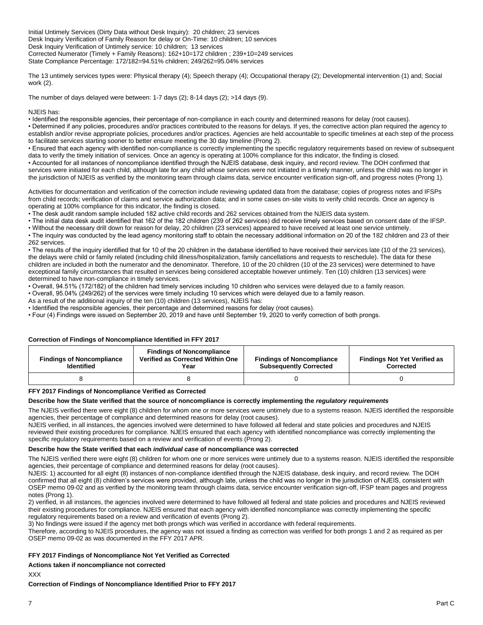Initial Untimely Services (Dirty Data without Desk Inquiry): 20 children; 23 services Desk Inquiry Verification of Family Reason for delay or On-Time: 10 children; 10 services Desk Inquiry Verification of Untimely service: 10 children; 13 services Corrected Numerator (Timely + Family Reasons): 162+10=172 children ; 239+10=249 services State Compliance Percentage: 172/182=94.51% children; 249/262=95.04% services

The 13 untimely services types were: Physical therapy (4); Speech therapy (4); Occupational therapy (2); Developmental intervention (1) and; Social work (2).

The number of days delayed were between: 1-7 days  $(2)$ ; 8-14 days  $(2)$ ; >14 days  $(9)$ .

NJEIS has:

• Identified the responsible agencies, their percentage of non-compliance in each county and determined reasons for delay (root causes).

• Determined if any policies, procedures and/or practices contributed to the reasons for delays. If yes, the corrective action plan required the agency to establish and/or revise appropriate policies, procedures and/or practices. Agencies are held accountable to specific timelines at each step of the process to facilitate services starting sooner to better ensure meeting the 30 day timeline (Prong 2).

• Ensured that each agency with identified non-compliance is correctly implementing the specific regulatory requirements based on review of subsequent data to verify the timely initiation of services. Once an agency is operating at 100% compliance for this indicator, the finding is closed.

• Accounted for all instances of noncompliance identified through the NJEIS database, desk inquiry, and record review. The DOH confirmed that services were initiated for each child, although late for any child whose services were not initiated in a timely manner, unless the child was no longer in the jurisdiction of NJEIS as verified by the monitoring team through claims data, service encounter verification sign-off, and progress notes (Prong 1).

Activities for documentation and verification of the correction include reviewing updated data from the database; copies of progress notes and IFSPs from child records; verification of claims and service authorization data; and in some cases on-site visits to verify child records. Once an agency is operating at 100% compliance for this indicator, the finding is closed.

• The desk audit random sample included 182 active child records and 262 services obtained from the NJEIS data system.

• The initial data desk audit identified that 162 of the 182 children (239 of 262 services) did receive timely services based on consent date of the IFSP.

• Without the necessary drill down for reason for delay, 20 children (23 services) appeared to have received at least one service untimely.

• The inquiry was conducted by the lead agency monitoring staff to obtain the necessary additional information on 20 of the 182 children and 23 of their 262 services.

• The results of the inquiry identified that for 10 of the 20 children in the database identified to have received their services late (10 of the 23 services), the delays were child or family related (including child illness/hospitalization, family cancellations and requests to reschedule). The data for these children are included in both the numerator and the denominator. Therefore, 10 of the 20 children (10 of the 23 services) were determined to have exceptional family circumstances that resulted in services being considered acceptable however untimely. Ten (10) children (13 services) were determined to have non-compliance in timely services.

• Overall, 94.51% (172/182) of the children had timely services including 10 children who services were delayed due to a family reason.

• Overall, 95.04% (249/262) of the services were timely including 10 services which were delayed due to a family reason.

As a result of the additional inquiry of the ten (10) children (13 services), NJEIS has:

• Identified the responsible agencies, their percentage and determined reasons for delay (root causes).

• Four (4) Findings were issued on September 20, 2019 and have until September 19, 2020 to verify correction of both prongs.

#### **Correction of Findings of Noncompliance Identified in FFY 2017**

| <b>Findings of Noncompliance</b><br><b>Identified</b> | <b>Findings of Noncompliance</b><br>Verified as Corrected Within One<br>Year | <b>Findings of Noncompliance</b><br><b>Subsequently Corrected</b> | <b>Findings Not Yet Verified as</b><br>Corrected |
|-------------------------------------------------------|------------------------------------------------------------------------------|-------------------------------------------------------------------|--------------------------------------------------|
|                                                       |                                                                              |                                                                   |                                                  |

#### **FFY 2017 Findings of Noncompliance Verified as Corrected**

#### **Describe how the State verified that the source of noncompliance is correctly implementing the** *regulatory requirements*

The NJEIS verified there were eight (8) children for whom one or more services were untimely due to a systems reason. NJEIS identified the responsible agencies, their percentage of compliance and determined reasons for delay (root causes).

NJEIS verified, in all instances, the agencies involved were determined to have followed all federal and state policies and procedures and NJEIS reviewed their existing procedures for compliance. NJEIS ensured that each agency with identified noncompliance was correctly implementing the specific regulatory requirements based on a review and verification of events (Prong 2).

#### **Describe how the State verified that each** *individual case* **of noncompliance was corrected**

The NJEIS verified there were eight (8) children for whom one or more services were untimely due to a systems reason. NJEIS identified the responsible agencies, their percentage of compliance and determined reasons for delay (root causes).

NJEIS: 1) accounted for all eight (8) instances of non-compliance identified through the NJEIS database, desk inquiry, and record review. The DOH confirmed that all eight (8) children's services were provided, although late, unless the child was no longer in the jurisdiction of NJEIS, consistent with OSEP memo 09-02 and as verified by the monitoring team through claims data, service encounter verification sign-off, IFSP team pages and progress notes (Prong 1).

2) verified, in all instances, the agencies involved were determined to have followed all federal and state policies and procedures and NJEIS reviewed their existing procedures for compliance. NJEIS ensured that each agency with identified noncompliance was correctly implementing the specific regulatory requirements based on a review and verification of events (Prong 2).

3) No findings were issued if the agency met both prongs which was verified in accordance with federal requirements.

Therefore, according to NJEIS procedures, the agency was not issued a finding as correction was verified for both prongs 1 and 2 as required as per OSEP memo 09-02 as was documented in the FFY 2017 APR.

#### **FFY 2017 Findings of Noncompliance Not Yet Verified as Corrected**

**Actions taken if noncompliance not corrected**

XXX

**Correction of Findings of Noncompliance Identified Prior to FFY 2017**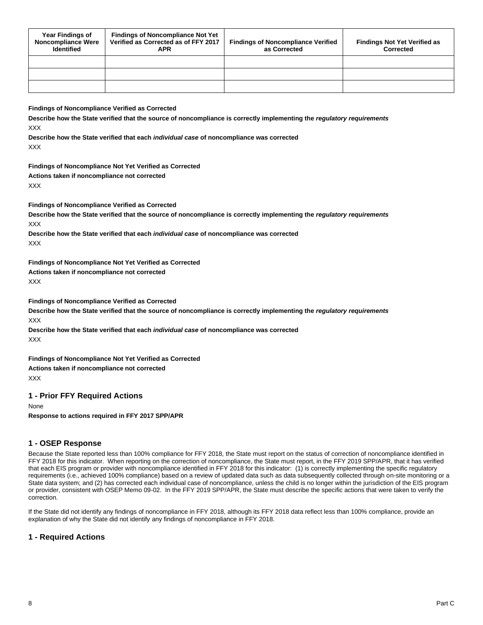| <b>Year Findings of</b><br><b>Noncompliance Were</b><br><b>Identified</b> | <b>Findings of Noncompliance Not Yet</b><br>Verified as Corrected as of FFY 2017<br><b>APR</b> | <b>Findings of Noncompliance Verified</b><br>as Corrected | <b>Findings Not Yet Verified as</b><br>Corrected |
|---------------------------------------------------------------------------|------------------------------------------------------------------------------------------------|-----------------------------------------------------------|--------------------------------------------------|
|                                                                           |                                                                                                |                                                           |                                                  |
|                                                                           |                                                                                                |                                                           |                                                  |
|                                                                           |                                                                                                |                                                           |                                                  |

#### **Findings of Noncompliance Verified as Corrected**

**Describe how the State verified that the source of noncompliance is correctly implementing the** *regulatory requirements* XXX

**Describe how the State verified that each** *individual case* **of noncompliance was corrected XXX** 

**Findings of Noncompliance Not Yet Verified as Corrected Actions taken if noncompliance not corrected**

XXX

**Findings of Noncompliance Verified as Corrected**

**Describe how the State verified that the source of noncompliance is correctly implementing the** *regulatory requirements* XXX

**Describe how the State verified that each** *individual case* **of noncompliance was corrected** XXX

**Findings of Noncompliance Not Yet Verified as Corrected Actions taken if noncompliance not corrected** XXX

**Findings of Noncompliance Verified as Corrected**

**Describe how the State verified that the source of noncompliance is correctly implementing the** *regulatory requirements* XXX

**Describe how the State verified that each** *individual case* **of noncompliance was corrected** XXX

**Findings of Noncompliance Not Yet Verified as Corrected Actions taken if noncompliance not corrected** XXX

### **1 - Prior FFY Required Actions**

None

**Response to actions required in FFY 2017 SPP/APR**

## **1 - OSEP Response**

Because the State reported less than 100% compliance for FFY 2018, the State must report on the status of correction of noncompliance identified in FFY 2018 for this indicator. When reporting on the correction of noncompliance, the State must report, in the FFY 2019 SPP/APR, that it has verified that each EIS program or provider with noncompliance identified in FFY 2018 for this indicator: (1) is correctly implementing the specific regulatory requirements (i.e., achieved 100% compliance) based on a review of updated data such as data subsequently collected through on-site monitoring or a State data system; and (2) has corrected each individual case of noncompliance, unless the child is no longer within the jurisdiction of the EIS program or provider, consistent with OSEP Memo 09-02. In the FFY 2019 SPP/APR, the State must describe the specific actions that were taken to verify the correction.

If the State did not identify any findings of noncompliance in FFY 2018, although its FFY 2018 data reflect less than 100% compliance, provide an explanation of why the State did not identify any findings of noncompliance in FFY 2018.

### **1 - Required Actions**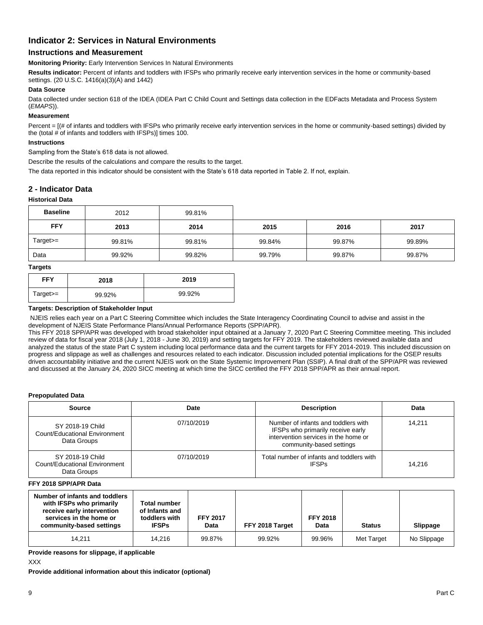## **Indicator 2: Services in Natural Environments**

## **Instructions and Measurement**

**Monitoring Priority:** Early Intervention Services In Natural Environments

**Results indicator:** Percent of infants and toddlers with IFSPs who primarily receive early intervention services in the home or community-based settings. (20 U.S.C. 1416(a)(3)(A) and 1442)

### **Data Source**

Data collected under section 618 of the IDEA (IDEA Part C Child Count and Settings data collection in the EDFacts Metadata and Process System (*EMAPS*)).

#### **Measurement**

Percent =  $[(# of infants and toldlers with IFSPs who primarily receive early intervention services in the home or community-based settings) divided by$ the (total # of infants and toddlers with IFSPs)] times 100.

### **Instructions**

Sampling from the State's 618 data is not allowed.

Describe the results of the calculations and compare the results to the target.

The data reported in this indicator should be consistent with the State's 618 data reported in Table 2. If not, explain.

### **2 - Indicator Data**

### **Historical Data**

| <b>Baseline</b> | 2012   | 99.81% |        |        |        |
|-----------------|--------|--------|--------|--------|--------|
| <b>FFY</b>      | 2013   | 2014   | 2015   | 2016   | 2017   |
| $Target>=$      | 99.81% | 99.81% | 99.84% | 99.87% | 99.89% |
| Data            | 99.92% | 99.82% | 99.79% | 99.87% | 99.87% |

#### **Targets**

| -          |        |        |
|------------|--------|--------|
| <b>FFY</b> | 2018   | 2019   |
| Target>=   | 99.92% | 99.92% |

#### **Targets: Description of Stakeholder Input**

NJEIS relies each year on a Part C Steering Committee which includes the State Interagency Coordinating Council to advise and assist in the development of NJEIS State Performance Plans/Annual Performance Reports (SPP/APR).

This FFY 2018 SPP/APR was developed with broad stakeholder input obtained at a January 7, 2020 Part C Steering Committee meeting. This included review of data for fiscal year 2018 (July 1, 2018 - June 30, 2019) and setting targets for FFY 2019. The stakeholders reviewed available data and analyzed the status of the state Part C system including local performance data and the current targets for FFY 2014-2019. This included discussion on progress and slippage as well as challenges and resources related to each indicator. Discussion included potential implications for the OSEP results driven accountability initiative and the current NJEIS work on the State Systemic Improvement Plan (SSIP). A final draft of the SPP/APR was reviewed and discussed at the January 24, 2020 SICC meeting at which time the SICC certified the FFY 2018 SPP/APR as their annual report.

#### **Prepopulated Data**

| Source                                                           | Date       | <b>Description</b>                                                                                                                           | Data   |
|------------------------------------------------------------------|------------|----------------------------------------------------------------------------------------------------------------------------------------------|--------|
| SY 2018-19 Child<br>Count/Educational Environment<br>Data Groups | 07/10/2019 | Number of infants and toddlers with<br>IFSPs who primarily receive early<br>intervention services in the home or<br>community-based settings | 14.211 |
| SY 2018-19 Child<br>Count/Educational Environment<br>Data Groups | 07/10/2019 | Total number of infants and toddlers with<br><b>IFSPs</b>                                                                                    | 14.216 |

**FFY 2018 SPP/APR Data**

| Number of infants and toddlers<br>with IFSPs who primarily<br>receive early intervention<br>services in the home or<br>community-based settings | <b>Total number</b><br>of Infants and<br>toddlers with<br><b>IFSPs</b> | <b>FFY 2017</b><br>Data | FFY 2018 Target | <b>FFY 2018</b><br>Data | <b>Status</b> | Slippage    |
|-------------------------------------------------------------------------------------------------------------------------------------------------|------------------------------------------------------------------------|-------------------------|-----------------|-------------------------|---------------|-------------|
| 14.211                                                                                                                                          | 14.216                                                                 | 99.87%                  | 99.92%          | 99.96%                  | Met Target    | No Slippage |

**Provide reasons for slippage, if applicable** 

### XXX

**Provide additional information about this indicator (optional)**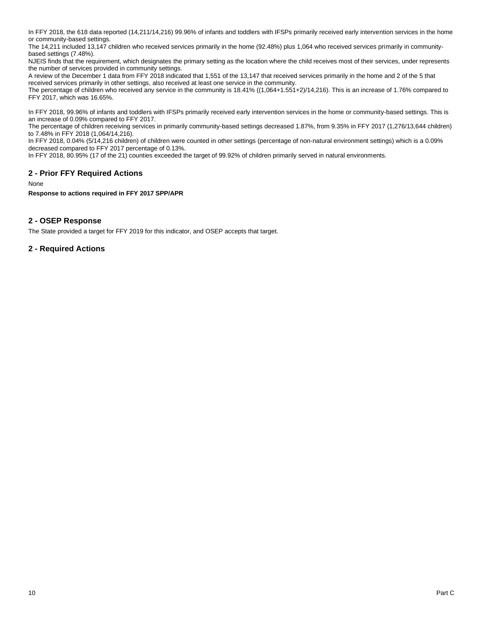In FFY 2018, the 618 data reported (14,211/14,216) 99.96% of infants and toddlers with IFSPs primarily received early intervention services in the home or community-based settings.

The 14,211 included 13,147 children who received services primarily in the home (92.48%) plus 1,064 who received services primarily in communitybased settings (7.48%).

NJEIS finds that the requirement, which designates the primary setting as the location where the child receives most of their services, under represents the number of services provided in community settings.

A review of the December 1 data from FFY 2018 indicated that 1,551 of the 13,147 that received services primarily in the home and 2 of the 5 that received services primarily in other settings, also received at least one service in the community.

The percentage of children who received any service in the community is 18.41% ((1,064+1.551+2)/14,216). This is an increase of 1.76% compared to FFY 2017, which was 16.65%.

In FFY 2018, 99.96% of infants and toddlers with IFSPs primarily received early intervention services in the home or community-based settings. This is an increase of 0.09% compared to FFY 2017.

The percentage of children receiving services in primarily community-based settings decreased 1.87%, from 9.35% in FFY 2017 (1,276/13,644 children) to 7.48% in FFY 2018 (1,064/14,216).

In FFY 2018, 0.04% (5/14,216 children) of children were counted in other settings (percentage of non-natural environment settings) which is a 0.09% decreased compared to FFY 2017 percentage of 0.13%.

In FFY 2018, 80.95% (17 of the 21) counties exceeded the target of 99.92% of children primarily served in natural environments.

## **2 - Prior FFY Required Actions**

None

**Response to actions required in FFY 2017 SPP/APR**

## **2 - OSEP Response**

The State provided a target for FFY 2019 for this indicator, and OSEP accepts that target.

## **2 - Required Actions**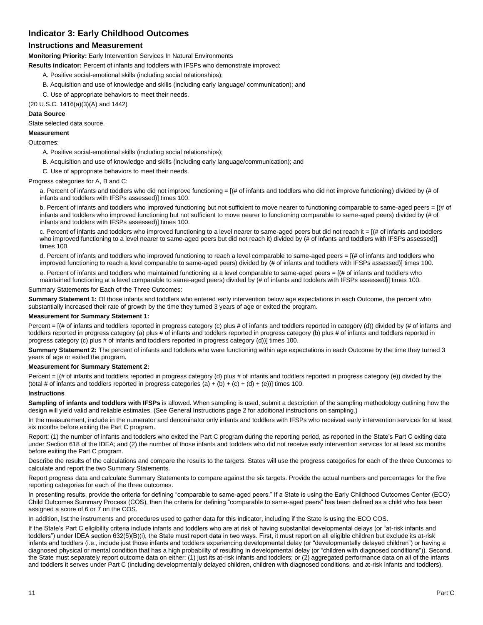## **Indicator 3: Early Childhood Outcomes**

## **Instructions and Measurement**

**Monitoring Priority:** Early Intervention Services In Natural Environments

**Results indicator:** Percent of infants and toddlers with IFSPs who demonstrate improved:

- A. Positive social-emotional skills (including social relationships);
- B. Acquisition and use of knowledge and skills (including early language/ communication); and
- C. Use of appropriate behaviors to meet their needs.

(20 U.S.C. 1416(a)(3)(A) and 1442)

#### **Data Source**

State selected data source.

#### **Measurement**

Outcomes:

A. Positive social-emotional skills (including social relationships);

B. Acquisition and use of knowledge and skills (including early language/communication); and

C. Use of appropriate behaviors to meet their needs.

Progress categories for A, B and C:

a. Percent of infants and toddlers who did not improve functioning = [(# of infants and toddlers who did not improve functioning) divided by (# of infants and toddlers with IFSPs assessed)] times 100.

b. Percent of infants and toddlers who improved functioning but not sufficient to move nearer to functioning comparable to same-aged peers = [(# of infants and toddlers who improved functioning but not sufficient to move nearer to functioning comparable to same-aged peers) divided by (# of infants and toddlers with IFSPs assessed)] times 100.

c. Percent of infants and toddlers who improved functioning to a level nearer to same-aged peers but did not reach it = [(# of infants and toddlers who improved functioning to a level nearer to same-aged peers but did not reach it) divided by (# of infants and toddlers with IFSPs assessed)] times 100.

d. Percent of infants and toddlers who improved functioning to reach a level comparable to same-aged peers = [(# of infants and toddlers who improved functioning to reach a level comparable to same-aged peers) divided by (# of infants and toddlers with IFSPs assessed)] times 100.

e. Percent of infants and toddlers who maintained functioning at a level comparable to same-aged peers = [(# of infants and toddlers who maintained functioning at a level comparable to same-aged peers) divided by (# of infants and toddlers with IFSPs assessed)] times 100.

Summary Statements for Each of the Three Outcomes:

**Summary Statement 1:** Of those infants and toddlers who entered early intervention below age expectations in each Outcome, the percent who substantially increased their rate of growth by the time they turned 3 years of age or exited the program.

#### **Measurement for Summary Statement 1:**

Percent = [(# of infants and toddlers reported in progress category (c) plus # of infants and toddlers reported in category (d)) divided by (# of infants and toddlers reported in progress category (a) plus # of infants and toddlers reported in progress category (b) plus # of infants and toddlers reported in progress category (c) plus # of infants and toddlers reported in progress category (d))] times 100.

**Summary Statement 2:** The percent of infants and toddlers who were functioning within age expectations in each Outcome by the time they turned 3 years of age or exited the program.

#### **Measurement for Summary Statement 2:**

Percent = [(# of infants and toddlers reported in progress category (d) plus # of infants and toddlers reported in progress category (e)) divided by the (total # of infants and toddlers reported in progress categories (a) + (b) + (c) + (d) + (e))] times 100.

#### **Instructions**

**Sampling of infants and toddlers with IFSPs** is allowed. When sampling is used, submit a description of the sampling methodology outlining how the design will yield valid and reliable estimates. (See General Instructions page 2 for additional instructions on sampling.)

In the measurement, include in the numerator and denominator only infants and toddlers with IFSPs who received early intervention services for at least six months before exiting the Part C program.

Report: (1) the number of infants and toddlers who exited the Part C program during the reporting period, as reported in the State's Part C exiting data under Section 618 of the IDEA; and (2) the number of those infants and toddlers who did not receive early intervention services for at least six months before exiting the Part C program.

Describe the results of the calculations and compare the results to the targets. States will use the progress categories for each of the three Outcomes to calculate and report the two Summary Statements.

Report progress data and calculate Summary Statements to compare against the six targets. Provide the actual numbers and percentages for the five reporting categories for each of the three outcomes.

In presenting results, provide the criteria for defining "comparable to same-aged peers." If a State is using the Early Childhood Outcomes Center (ECO) Child Outcomes Summary Process (COS), then the criteria for defining "comparable to same-aged peers" has been defined as a child who has been assigned a score of 6 or 7 on the COS.

In addition, list the instruments and procedures used to gather data for this indicator, including if the State is using the ECO COS.

If the State's Part C eligibility criteria include infants and toddlers who are at risk of having substantial developmental delays (or "at-risk infants and toddlers") under IDEA section 632(5)(B)(i), the State must report data in two ways. First, it must report on all eligible children but exclude its at-risk infants and toddlers (i.e., include just those infants and toddlers experiencing developmental delay (or "developmentally delayed children") or having a diagnosed physical or mental condition that has a high probability of resulting in developmental delay (or "children with diagnosed conditions")). Second, the State must separately report outcome data on either: (1) just its at-risk infants and toddlers; or (2) aggregated performance data on all of the infants and toddlers it serves under Part C (including developmentally delayed children, children with diagnosed conditions, and at-risk infants and toddlers).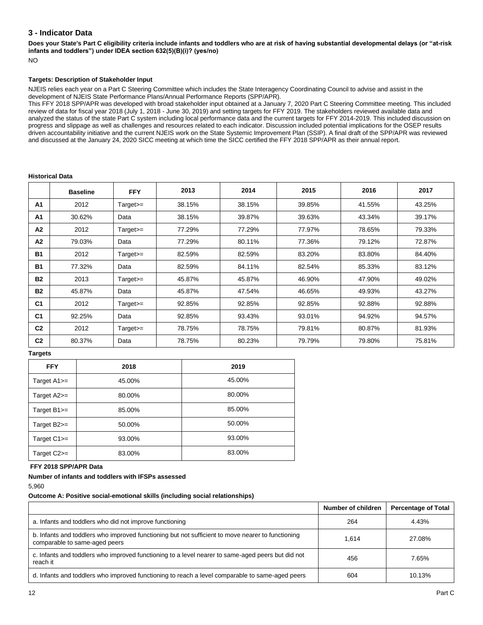## **3 - Indicator Data**

**Does your State's Part C eligibility criteria include infants and toddlers who are at risk of having substantial developmental delays (or "at-risk infants and toddlers") under IDEA section 632(5)(B)(i)? (yes/no)**

NO

### **Targets: Description of Stakeholder Input**

NJEIS relies each year on a Part C Steering Committee which includes the State Interagency Coordinating Council to advise and assist in the development of NJEIS State Performance Plans/Annual Performance Reports (SPP/APR).

This FFY 2018 SPP/APR was developed with broad stakeholder input obtained at a January 7, 2020 Part C Steering Committee meeting. This included review of data for fiscal year 2018 (July 1, 2018 - June 30, 2019) and setting targets for FFY 2019. The stakeholders reviewed available data and analyzed the status of the state Part C system including local performance data and the current targets for FFY 2014-2019. This included discussion on progress and slippage as well as challenges and resources related to each indicator. Discussion included potential implications for the OSEP results driven accountability initiative and the current NJEIS work on the State Systemic Improvement Plan (SSIP). A final draft of the SPP/APR was reviewed and discussed at the January 24, 2020 SICC meeting at which time the SICC certified the FFY 2018 SPP/APR as their annual report.

#### **Historical Data**

|                | <b>Baseline</b> | <b>FFY</b> | 2013   | 2014   | 2015   | 2016   | 2017   |
|----------------|-----------------|------------|--------|--------|--------|--------|--------|
| A <sub>1</sub> | 2012            | $Target =$ | 38.15% | 38.15% | 39.85% | 41.55% | 43.25% |
| A <sub>1</sub> | 30.62%          | Data       | 38.15% | 39.87% | 39.63% | 43.34% | 39.17% |
| A2             | 2012            | $Target>=$ | 77.29% | 77.29% | 77.97% | 78.65% | 79.33% |
| A2             | 79.03%          | Data       | 77.29% | 80.11% | 77.36% | 79.12% | 72.87% |
| <b>B1</b>      | 2012            | $Target =$ | 82.59% | 82.59% | 83.20% | 83.80% | 84.40% |
| <b>B1</b>      | 77.32%          | Data       | 82.59% | 84.11% | 82.54% | 85.33% | 83.12% |
| <b>B2</b>      | 2013            | $Target =$ | 45.87% | 45.87% | 46.90% | 47.90% | 49.02% |
| <b>B2</b>      | 45.87%          | Data       | 45.87% | 47.54% | 46.65% | 49.93% | 43.27% |
| C <sub>1</sub> | 2012            | $Target =$ | 92.85% | 92.85% | 92.85% | 92.88% | 92.88% |
| C <sub>1</sub> | 92.25%          | Data       | 92.85% | 93.43% | 93.01% | 94.92% | 94.57% |
| C <sub>2</sub> | 2012            | $Target>=$ | 78.75% | 78.75% | 79.81% | 80.87% | 81.93% |
| C <sub>2</sub> | 80.37%          | Data       | 78.75% | 80.23% | 79.79% | 79.80% | 75.81% |

#### **Targets**

| <b>FFY</b>      | 2018   | 2019   |
|-----------------|--------|--------|
| Target $A1$ $=$ | 45.00% | 45.00% |
| Target A2>=     | 80.00% | 80.00% |
| Target B1>=     | 85.00% | 85.00% |
| Target B2>=     | 50.00% | 50.00% |
| Target C1>=     | 93.00% | 93.00% |
| Target $C2>=$   | 83.00% | 83.00% |

#### **FFY 2018 SPP/APR Data**

#### **Number of infants and toddlers with IFSPs assessed**

5,960

#### **Outcome A: Positive social-emotional skills (including social relationships)**

|                                                                                                                                    | Number of children | <b>Percentage of Total</b> |
|------------------------------------------------------------------------------------------------------------------------------------|--------------------|----------------------------|
| a. Infants and toddlers who did not improve functioning                                                                            | 264                | 4.43%                      |
| b. Infants and toddlers who improved functioning but not sufficient to move nearer to functioning<br>comparable to same-aged peers | 1.614              | 27.08%                     |
| c. Infants and toddlers who improved functioning to a level nearer to same-aged peers but did not<br>reach it                      | 456                | 7.65%                      |
| d. Infants and toddlers who improved functioning to reach a level comparable to same-aged peers                                    | 604                | 10.13%                     |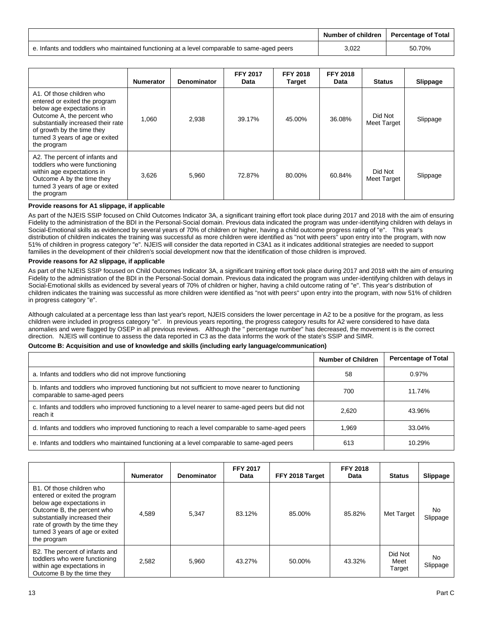|                                                                                             | Number of children   Percentage of Total |        |
|---------------------------------------------------------------------------------------------|------------------------------------------|--------|
| e. Infants and toddlers who maintained functioning at a level comparable to same-aged peers | 3,022                                    | 50.70% |

|                                                                                                                                                                                                                                             | <b>Numerator</b> | <b>Denominator</b> | <b>FFY 2017</b><br>Data | <b>FFY 2018</b><br>Target | <b>FFY 2018</b><br>Data | <b>Status</b>          | Slippage |
|---------------------------------------------------------------------------------------------------------------------------------------------------------------------------------------------------------------------------------------------|------------------|--------------------|-------------------------|---------------------------|-------------------------|------------------------|----------|
| A1. Of those children who<br>entered or exited the program<br>below age expectations in<br>Outcome A, the percent who<br>substantially increased their rate<br>of growth by the time they<br>turned 3 years of age or exited<br>the program | 1.060            | 2,938              | 39.17%                  | 45.00%                    | 36.08%                  | Did Not<br>Meet Target | Slippage |
| A2. The percent of infants and<br>toddlers who were functioning<br>within age expectations in<br>Outcome A by the time they<br>turned 3 years of age or exited<br>the program                                                               | 3,626            | 5,960              | 72.87%                  | 80.00%                    | 60.84%                  | Did Not<br>Meet Target | Slippage |

#### **Provide reasons for A1 slippage, if applicable**

As part of the NJEIS SSIP focused on Child Outcomes Indicator 3A, a significant training effort took place during 2017 and 2018 with the aim of ensuring Fidelity to the administration of the BDI in the Personal-Social domain. Previous data indicated the program was under-identifying children with delays in Social-Emotional skills as evidenced by several years of 70% of children or higher, having a child outcome progress rating of "e". This year's distribution of children indicates the training was successful as more children were identified as "not with peers" upon entry into the program, with now 51% of children in progress category "e". NJEIS will consider the data reported in C3A1 as it indicates additional strategies are needed to support families in the development of their children's social development now that the identification of those children is improved.

#### **Provide reasons for A2 slippage, if applicable**

As part of the NJEIS SSIP focused on Child Outcomes Indicator 3A, a significant training effort took place during 2017 and 2018 with the aim of ensuring Fidelity to the administration of the BDI in the Personal-Social domain. Previous data indicated the program was under-identifying children with delays in Social-Emotional skills as evidenced by several years of 70% of children or higher, having a child outcome rating of "e". This year's distribution of children indicates the training was successful as more children were identified as "not with peers" upon entry into the program, with now 51% of children in progress category "e".

Although calculated at a percentage less than last year's report, NJEIS considers the lower percentage in A2 to be a positive for the program, as less children were included in progress category "e". In previous years reporting, the progress category results for A2 were considered to have data anomalies and were flagged by OSEP in all previous reviews. Although the " percentage number" has decreased, the movement is is the correct direction. NJEIS will continue to assess the data reported in C3 as the data informs the work of the state's SSIP and SIMR.

#### **Outcome B: Acquisition and use of knowledge and skills (including early language/communication)**

|                                                                                                                                    | Number of Children | <b>Percentage of Total</b> |
|------------------------------------------------------------------------------------------------------------------------------------|--------------------|----------------------------|
| a. Infants and toddlers who did not improve functioning                                                                            | 58                 | 0.97%                      |
| b. Infants and toddlers who improved functioning but not sufficient to move nearer to functioning<br>comparable to same-aged peers | 700                | 11.74%                     |
| c. Infants and toddlers who improved functioning to a level nearer to same-aged peers but did not<br>reach it                      | 2.620              | 43.96%                     |
| d. Infants and toddlers who improved functioning to reach a level comparable to same-aged peers                                    | 1,969              | 33.04%                     |
| e. Infants and toddlers who maintained functioning at a level comparable to same-aged peers                                        | 613                | 10.29%                     |

|                                                                                                                                                                                                                                             | <b>Numerator</b> | Denominator | <b>FFY 2017</b><br><b>Data</b> | FFY 2018 Target | <b>FFY 2018</b><br>Data | <b>Status</b>             | Slippage        |
|---------------------------------------------------------------------------------------------------------------------------------------------------------------------------------------------------------------------------------------------|------------------|-------------|--------------------------------|-----------------|-------------------------|---------------------------|-----------------|
| B1. Of those children who<br>entered or exited the program<br>below age expectations in<br>Outcome B, the percent who<br>substantially increased their<br>rate of growth by the time they<br>turned 3 years of age or exited<br>the program | 4,589            | 5,347       | 83.12%                         | 85.00%          | 85.82%                  | Met Target                | No.<br>Slippage |
| B2. The percent of infants and<br>toddlers who were functioning<br>within age expectations in<br>Outcome B by the time they                                                                                                                 | 2,582            | 5,960       | 43.27%                         | 50.00%          | 43.32%                  | Did Not<br>Meet<br>Target | No.<br>Slippage |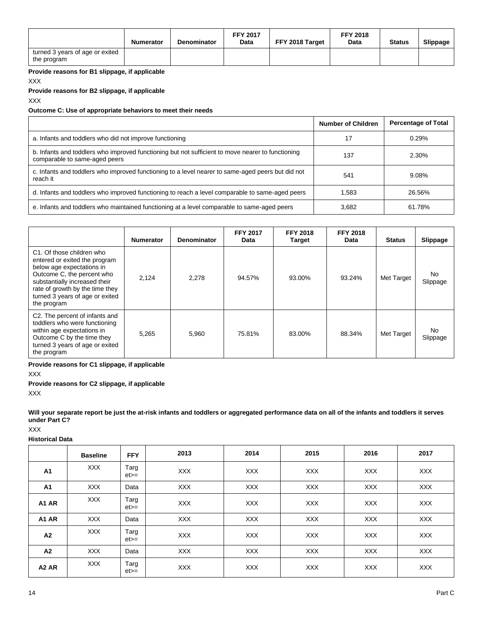|                                                | Numerator | <b>Denominator</b> | <b>FFY 2017</b><br>Data | FFY 2018 Target | <b>FFY 2018</b><br>Data | <b>Status</b> | Slippage |
|------------------------------------------------|-----------|--------------------|-------------------------|-----------------|-------------------------|---------------|----------|
| turned 3 years of age or exited<br>the program |           |                    |                         |                 |                         |               |          |

**Provide reasons for B1 slippage, if applicable**

XXX

**Provide reasons for B2 slippage, if applicable** 

XXX

#### **Outcome C: Use of appropriate behaviors to meet their needs**

|                                                                                                                                    | <b>Number of Children</b> | <b>Percentage of Total</b> |
|------------------------------------------------------------------------------------------------------------------------------------|---------------------------|----------------------------|
| a. Infants and toddlers who did not improve functioning                                                                            | 17                        | 0.29%                      |
| b. Infants and toddlers who improved functioning but not sufficient to move nearer to functioning<br>comparable to same-aged peers | 137                       | 2.30%                      |
| c. Infants and toddlers who improved functioning to a level nearer to same-aged peers but did not<br>reach it                      | 541                       | 9.08%                      |
| d. Infants and toddlers who improved functioning to reach a level comparable to same-aged peers                                    | 1.583                     | 26.56%                     |
| e. Infants and toddlers who maintained functioning at a level comparable to same-aged peers                                        | 3.682                     | 61.78%                     |

|                                                                                                                                                                                                                                             | <b>Numerator</b> | <b>Denominator</b> | <b>FFY 2017</b><br>Data | <b>FFY 2018</b><br><b>Target</b> | <b>FFY 2018</b><br>Data | <b>Status</b> | Slippage        |
|---------------------------------------------------------------------------------------------------------------------------------------------------------------------------------------------------------------------------------------------|------------------|--------------------|-------------------------|----------------------------------|-------------------------|---------------|-----------------|
| C1. Of those children who<br>entered or exited the program<br>below age expectations in<br>Outcome C, the percent who<br>substantially increased their<br>rate of growth by the time they<br>turned 3 years of age or exited<br>the program | 2,124            | 2,278              | 94.57%                  | 93.00%                           | 93.24%                  | Met Target    | No.<br>Slippage |
| C2. The percent of infants and<br>toddlers who were functioning<br>within age expectations in<br>Outcome C by the time they<br>turned 3 years of age or exited<br>the program                                                               | 5.265            | 5.960              | 75.81%                  | 83.00%                           | 88.34%                  | Met Target    | No.<br>Slippage |

**Provide reasons for C1 slippage, if applicable** 

XXX

**Provide reasons for C2 slippage, if applicable** 

XXX

**Will your separate report be just the at-risk infants and toddlers or aggregated performance data on all of the infants and toddlers it serves under Part C?** 

XXX

**Historical Data**

|                               | <b>Baseline</b> | <b>FFY</b>     | 2013       | 2014       | 2015       | 2016       | 2017       |
|-------------------------------|-----------------|----------------|------------|------------|------------|------------|------------|
| A1                            | <b>XXX</b>      | Targ<br>$et =$ | <b>XXX</b> | <b>XXX</b> | <b>XXX</b> | <b>XXX</b> | <b>XXX</b> |
| A1                            | <b>XXX</b>      | Data           | <b>XXX</b> | <b>XXX</b> | <b>XXX</b> | <b>XXX</b> | <b>XXX</b> |
| A1 AR                         | <b>XXX</b>      | Targ<br>$et =$ | <b>XXX</b> | <b>XXX</b> | <b>XXX</b> | <b>XXX</b> | <b>XXX</b> |
| A1 AR                         | <b>XXX</b>      | Data           | <b>XXX</b> | <b>XXX</b> | <b>XXX</b> | <b>XXX</b> | XXX        |
| A2                            | <b>XXX</b>      | Targ<br>$et =$ | <b>XXX</b> | <b>XXX</b> | <b>XXX</b> | <b>XXX</b> | <b>XXX</b> |
| A2                            | <b>XXX</b>      | Data           | <b>XXX</b> | <b>XXX</b> | <b>XXX</b> | <b>XXX</b> | XXX        |
| A <sub>2</sub> A <sub>R</sub> | <b>XXX</b>      | Targ<br>$et =$ | <b>XXX</b> | <b>XXX</b> | <b>XXX</b> | <b>XXX</b> | <b>XXX</b> |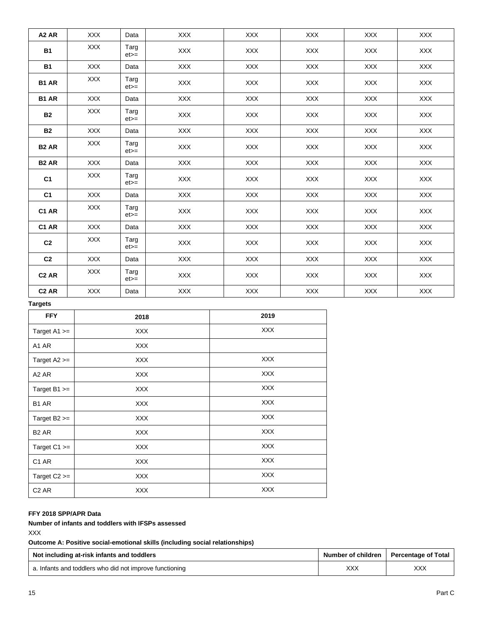| A <sub>2</sub> A <sub>R</sub> | <b>XXX</b> | Data           | <b>XXX</b> | <b>XXX</b> | <b>XXX</b> | <b>XXX</b> | <b>XXX</b> |
|-------------------------------|------------|----------------|------------|------------|------------|------------|------------|
| <b>B1</b>                     | <b>XXX</b> | Targ<br>$et =$ | <b>XXX</b> | <b>XXX</b> | <b>XXX</b> | <b>XXX</b> | <b>XXX</b> |
| <b>B1</b>                     | <b>XXX</b> | Data           | <b>XXX</b> | <b>XXX</b> | <b>XXX</b> | <b>XXX</b> | <b>XXX</b> |
| B1 AR                         | <b>XXX</b> | Targ<br>$et =$ | XXX        | <b>XXX</b> | <b>XXX</b> | <b>XXX</b> | XXX        |
| B1 AR                         | <b>XXX</b> | Data           | XXX        | XXX        | <b>XXX</b> | <b>XXX</b> | <b>XXX</b> |
| <b>B2</b>                     | <b>XXX</b> | Targ<br>$et =$ | XXX        | XXX        | XXX        | XXX        | XXX        |
| <b>B2</b>                     | <b>XXX</b> | Data           | <b>XXX</b> | <b>XXX</b> | <b>XXX</b> | <b>XXX</b> | <b>XXX</b> |
| B <sub>2</sub> AR             | <b>XXX</b> | Targ<br>$et =$ | XXX        | <b>XXX</b> | <b>XXX</b> | <b>XXX</b> | XXX        |
| B <sub>2</sub> AR             | <b>XXX</b> | Data           | <b>XXX</b> | XXX        | <b>XXX</b> | <b>XXX</b> | <b>XXX</b> |
| C <sub>1</sub>                | <b>XXX</b> | Targ<br>$et =$ | XXX        | XXX        | XXX        | XXX        | XXX        |
| C <sub>1</sub>                | <b>XXX</b> | Data           | XXX        | XXX        | <b>XXX</b> | XXX        | <b>XXX</b> |
| C1 AR                         | <b>XXX</b> | Targ<br>$et =$ | XXX        | XXX        | <b>XXX</b> | <b>XXX</b> | XXX        |
| C1 AR                         | <b>XXX</b> | Data           | XXX        | XXX        | <b>XXX</b> | <b>XXX</b> | XXX        |
| C <sub>2</sub>                | <b>XXX</b> | Targ<br>$et =$ | <b>XXX</b> | <b>XXX</b> | <b>XXX</b> | <b>XXX</b> | <b>XXX</b> |
| C <sub>2</sub>                | <b>XXX</b> | Data           | XXX        | XXX        | XXX        | <b>XXX</b> | XXX        |
| C <sub>2</sub> AR             | <b>XXX</b> | Targ<br>$et =$ | XXX        | XXX        | <b>XXX</b> | <b>XXX</b> | XXX        |
| C <sub>2</sub> AR             | <b>XXX</b> | Data           | <b>XXX</b> | <b>XXX</b> | <b>XXX</b> | <b>XXX</b> | <b>XXX</b> |

**Targets**

| <b>FFY</b>                    | 2018       | 2019       |
|-------------------------------|------------|------------|
| Target $A1 >=$                | <b>XXX</b> | <b>XXX</b> |
| A1 AR                         | <b>XXX</b> |            |
| Target $A2 >=$                | <b>XXX</b> | <b>XXX</b> |
| A <sub>2</sub> A <sub>R</sub> | <b>XXX</b> | <b>XXX</b> |
| Target $B1 >=$                | <b>XXX</b> | <b>XXX</b> |
| B <sub>1</sub> AR             | <b>XXX</b> | <b>XXX</b> |
| Target $B2 >=$                | <b>XXX</b> | <b>XXX</b> |
| B <sub>2</sub> AR             | <b>XXX</b> | <b>XXX</b> |
| Target $C1 >=$                | <b>XXX</b> | <b>XXX</b> |
| C <sub>1</sub> AR             | <b>XXX</b> | <b>XXX</b> |
| Target $C2 >=$                | <b>XXX</b> | <b>XXX</b> |
| C <sub>2</sub> AR             | <b>XXX</b> | <b>XXX</b> |

## **FFY 2018 SPP/APR Data**

**Number of infants and toddlers with IFSPs assessed**

XXX

**Outcome A: Positive social-emotional skills (including social relationships)**

| Not including at-risk infants and toddlers              | Number of children | Percentage of Total |  |
|---------------------------------------------------------|--------------------|---------------------|--|
| a. Infants and toddlers who did not improve functioning | XXX                | XXX                 |  |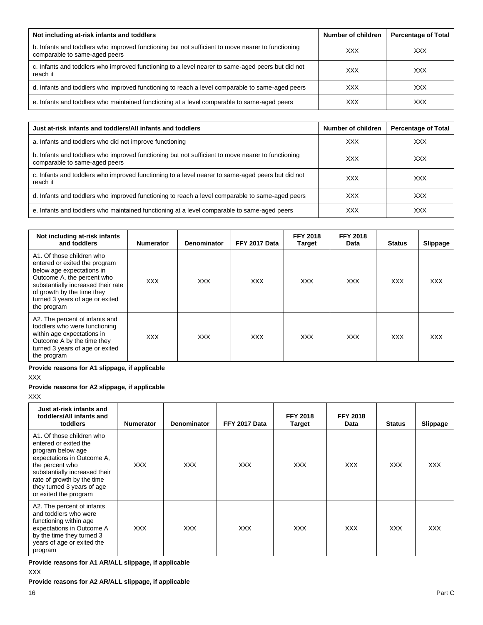| Not including at-risk infants and toddlers                                                                                         | Number of children | <b>Percentage of Total</b> |
|------------------------------------------------------------------------------------------------------------------------------------|--------------------|----------------------------|
| b. Infants and toddlers who improved functioning but not sufficient to move nearer to functioning<br>comparable to same-aged peers | <b>XXX</b>         | <b>XXX</b>                 |
| c. Infants and toddlers who improved functioning to a level nearer to same-aged peers but did not<br>reach it                      | <b>XXX</b>         | <b>XXX</b>                 |
| d. Infants and toddlers who improved functioning to reach a level comparable to same-aged peers                                    | <b>XXX</b>         | <b>XXX</b>                 |
| e. Infants and toddlers who maintained functioning at a level comparable to same-aged peers                                        | <b>XXX</b>         | <b>XXX</b>                 |

| Just at-risk infants and toddlers/All infants and toddlers                                                                         | Number of children | <b>Percentage of Total</b> |
|------------------------------------------------------------------------------------------------------------------------------------|--------------------|----------------------------|
| a. Infants and toddlers who did not improve functioning                                                                            | <b>XXX</b>         | <b>XXX</b>                 |
| b. Infants and toddlers who improved functioning but not sufficient to move nearer to functioning<br>comparable to same-aged peers | <b>XXX</b>         | <b>XXX</b>                 |
| c. Infants and toddlers who improved functioning to a level nearer to same-aged peers but did not<br>reach it                      | <b>XXX</b>         | <b>XXX</b>                 |
| d. Infants and toddlers who improved functioning to reach a level comparable to same-aged peers                                    | XXX                | <b>XXX</b>                 |
| e. Infants and toddlers who maintained functioning at a level comparable to same-aged peers                                        | <b>XXX</b>         | <b>XXX</b>                 |

| Not including at-risk infants<br>and toddlers                                                                                                                                                                                               | <b>Numerator</b> | <b>Denominator</b> | FFY 2017 Data | <b>FFY 2018</b><br><b>Target</b> | <b>FFY 2018</b><br>Data | <b>Status</b> | Slippage   |
|---------------------------------------------------------------------------------------------------------------------------------------------------------------------------------------------------------------------------------------------|------------------|--------------------|---------------|----------------------------------|-------------------------|---------------|------------|
| A1. Of those children who<br>entered or exited the program<br>below age expectations in<br>Outcome A, the percent who<br>substantially increased their rate<br>of growth by the time they<br>turned 3 years of age or exited<br>the program | <b>XXX</b>       | <b>XXX</b>         | <b>XXX</b>    | <b>XXX</b>                       | <b>XXX</b>              | <b>XXX</b>    | <b>XXX</b> |
| A2. The percent of infants and<br>toddlers who were functioning<br>within age expectations in<br>Outcome A by the time they<br>turned 3 years of age or exited<br>the program                                                               | <b>XXX</b>       | <b>XXX</b>         | <b>XXX</b>    | <b>XXX</b>                       | <b>XXX</b>              | XXX.          | <b>XXX</b> |

**Provide reasons for A1 slippage, if applicable**

XXX

# **Provide reasons for A2 slippage, if applicable**

XXX

| Just at-risk infants and<br>toddlers/All infants and<br>toddlers                                                                                                                                                                               | <b>Numerator</b> | <b>Denominator</b> | FFY 2017 Data | <b>FFY 2018</b><br><b>Target</b> | <b>FFY 2018</b><br>Data | <b>Status</b> | Slippage   |
|------------------------------------------------------------------------------------------------------------------------------------------------------------------------------------------------------------------------------------------------|------------------|--------------------|---------------|----------------------------------|-------------------------|---------------|------------|
| A1. Of those children who<br>entered or exited the<br>program below age<br>expectations in Outcome A,<br>the percent who<br>substantially increased their<br>rate of growth by the time<br>they turned 3 years of age<br>or exited the program | XXX.             | <b>XXX</b>         | <b>XXX</b>    | <b>XXX</b>                       | <b>XXX</b>              | <b>XXX</b>    | <b>XXX</b> |
| A2. The percent of infants<br>and toddlers who were<br>functioning within age<br>expectations in Outcome A<br>by the time they turned 3<br>years of age or exited the<br>program                                                               | XXX.             | <b>XXX</b>         | <b>XXX</b>    | <b>XXX</b>                       | <b>XXX</b>              | <b>XXX</b>    | <b>XXX</b> |

**Provide reasons for A1 AR/ALL slippage, if applicable**

XXX

**Provide reasons for A2 AR/ALL slippage, if applicable**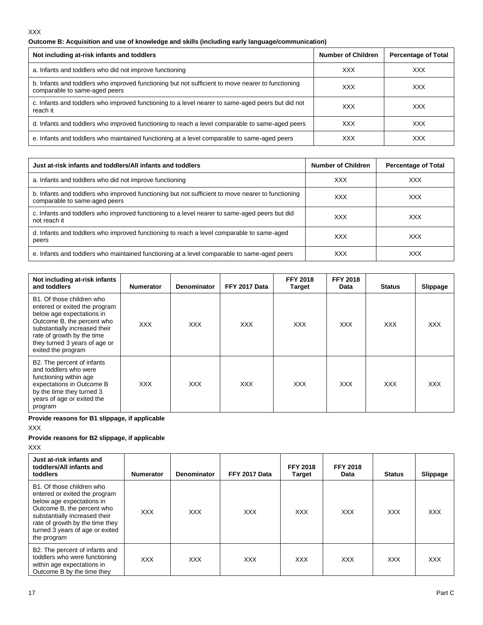## **Outcome B: Acquisition and use of knowledge and skills (including early language/communication)**

| Not including at-risk infants and toddlers                                                                                         | <b>Number of Children</b> | <b>Percentage of Total</b> |
|------------------------------------------------------------------------------------------------------------------------------------|---------------------------|----------------------------|
| a. Infants and toddlers who did not improve functioning                                                                            | <b>XXX</b>                | <b>XXX</b>                 |
| b. Infants and toddlers who improved functioning but not sufficient to move nearer to functioning<br>comparable to same-aged peers | XXX                       | XXX                        |
| c. Infants and toddlers who improved functioning to a level nearer to same-aged peers but did not<br>reach it                      | <b>XXX</b>                | <b>XXX</b>                 |
| d. Infants and toddlers who improved functioning to reach a level comparable to same-aged peers                                    | <b>XXX</b>                | <b>XXX</b>                 |
| e. Infants and toddlers who maintained functioning at a level comparable to same-aged peers                                        | XXX                       | <b>XXX</b>                 |

| Just at-risk infants and toddlers/All infants and toddlers                                                                         | <b>Number of Children</b> | <b>Percentage of Total</b> |
|------------------------------------------------------------------------------------------------------------------------------------|---------------------------|----------------------------|
| a. Infants and toddlers who did not improve functioning                                                                            | <b>XXX</b>                | <b>XXX</b>                 |
| b. Infants and toddlers who improved functioning but not sufficient to move nearer to functioning<br>comparable to same-aged peers | XXX                       | <b>XXX</b>                 |
| c. Infants and toddlers who improved functioning to a level nearer to same-aged peers but did<br>not reach it                      | <b>XXX</b>                | <b>XXX</b>                 |
| d. Infants and toddlers who improved functioning to reach a level comparable to same-aged<br>peers                                 | <b>XXX</b>                | <b>XXX</b>                 |
| e. Infants and toddlers who maintained functioning at a level comparable to same-aged peers                                        | <b>XXX</b>                | XXX                        |

| Not including at-risk infants<br>and toddlers                                                                                                                                                                                               | <b>Numerator</b> | <b>Denominator</b> | FFY 2017 Data | <b>FFY 2018</b><br><b>Target</b> | <b>FFY 2018</b><br>Data | <b>Status</b> | Slippage |
|---------------------------------------------------------------------------------------------------------------------------------------------------------------------------------------------------------------------------------------------|------------------|--------------------|---------------|----------------------------------|-------------------------|---------------|----------|
| B1. Of those children who<br>entered or exited the program<br>below age expectations in<br>Outcome B, the percent who<br>substantially increased their<br>rate of growth by the time<br>they turned 3 years of age or<br>exited the program | <b>XXX</b>       | <b>XXX</b>         | <b>XXX</b>    | <b>XXX</b>                       | <b>XXX</b>              | <b>XXX</b>    | XXX.     |
| B2. The percent of infants<br>and toddlers who were<br>functioning within age<br>expectations in Outcome B<br>by the time they turned 3<br>years of age or exited the<br>program                                                            | XXX.             | XXX.               | <b>XXX</b>    | XXX.                             | <b>XXX</b>              | <b>XXX</b>    | XXX.     |

**Provide reasons for B1 slippage, if applicable**

## XXX

## **Provide reasons for B2 slippage, if applicable**

XXX

| Just at-risk infants and<br>toddlers/All infants and<br><b>toddlers</b>                                                                                                                                                                     | <b>Numerator</b> | Denominator | FFY 2017 Data | <b>FFY 2018</b><br>Target | <b>FFY 2018</b><br>Data | <b>Status</b> | <b>Slippage</b> |
|---------------------------------------------------------------------------------------------------------------------------------------------------------------------------------------------------------------------------------------------|------------------|-------------|---------------|---------------------------|-------------------------|---------------|-----------------|
| B1. Of those children who<br>entered or exited the program<br>below age expectations in<br>Outcome B, the percent who<br>substantially increased their<br>rate of growth by the time they<br>turned 3 years of age or exited<br>the program | <b>XXX</b>       | <b>XXX</b>  | <b>XXX</b>    | <b>XXX</b>                | <b>XXX</b>              | <b>XXX</b>    | <b>XXX</b>      |
| B2. The percent of infants and<br>toddlers who were functioning<br>within age expectations in<br>Outcome B by the time they                                                                                                                 | <b>XXX</b>       | <b>XXX</b>  | <b>XXX</b>    | <b>XXX</b>                | <b>XXX</b>              | <b>XXX</b>    | <b>XXX</b>      |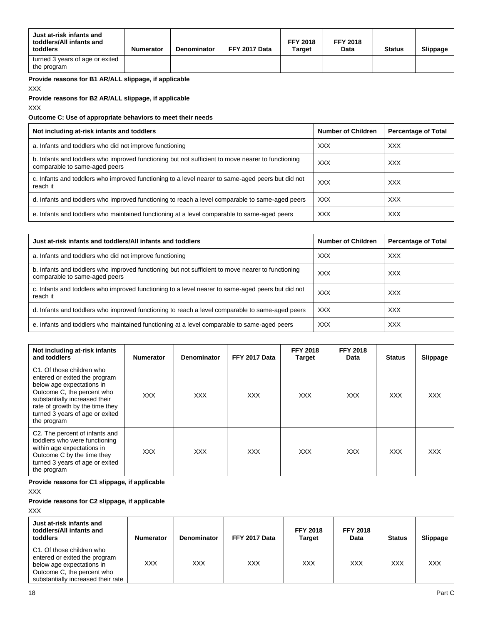| Just at-risk infants and<br>toddlers/All infants and<br>toddlers | <b>Numerator</b> | Denominator | FFY 2017 Data | <b>FFY 2018</b><br>Target | <b>FFY 2018</b><br>Data | <b>Status</b> | Slippage |
|------------------------------------------------------------------|------------------|-------------|---------------|---------------------------|-------------------------|---------------|----------|
| turned 3 years of age or exited<br>the program                   |                  |             |               |                           |                         |               |          |

**Provide reasons for B1 AR/ALL slippage, if applicable** 

XXX

## **Provide reasons for B2 AR/ALL slippage, if applicable**

XXX

## **Outcome C: Use of appropriate behaviors to meet their needs**

| Not including at-risk infants and toddlers                                                                                         | <b>Number of Children</b> | <b>Percentage of Total</b> |
|------------------------------------------------------------------------------------------------------------------------------------|---------------------------|----------------------------|
| a. Infants and toddlers who did not improve functioning                                                                            | <b>XXX</b>                | <b>XXX</b>                 |
| b. Infants and toddlers who improved functioning but not sufficient to move nearer to functioning<br>comparable to same-aged peers | <b>XXX</b>                | <b>XXX</b>                 |
| c. Infants and toddlers who improved functioning to a level nearer to same-aged peers but did not<br>reach it                      | <b>XXX</b>                | <b>XXX</b>                 |
| d. Infants and toddlers who improved functioning to reach a level comparable to same-aged peers                                    | <b>XXX</b>                | <b>XXX</b>                 |
| e. Infants and toddlers who maintained functioning at a level comparable to same-aged peers                                        | <b>XXX</b>                | <b>XXX</b>                 |

| Just at-risk infants and toddlers/All infants and toddlers                                                                         | <b>Number of Children</b> | <b>Percentage of Total</b> |
|------------------------------------------------------------------------------------------------------------------------------------|---------------------------|----------------------------|
| a. Infants and toddlers who did not improve functioning                                                                            | <b>XXX</b>                | <b>XXX</b>                 |
| b. Infants and toddlers who improved functioning but not sufficient to move nearer to functioning<br>comparable to same-aged peers | <b>XXX</b>                | <b>XXX</b>                 |
| c. Infants and toddlers who improved functioning to a level nearer to same-aged peers but did not<br>reach it                      | <b>XXX</b>                | <b>XXX</b>                 |
| d. Infants and toddlers who improved functioning to reach a level comparable to same-aged peers                                    | <b>XXX</b>                | <b>XXX</b>                 |
| e. Infants and toddlers who maintained functioning at a level comparable to same-aged peers                                        | <b>XXX</b>                | <b>XXX</b>                 |

| Not including at-risk infants<br>and toddlers                                                                                                                                                                                               | <b>Numerator</b> | Denominator | FFY 2017 Data | <b>FFY 2018</b><br><b>Target</b> | <b>FFY 2018</b><br>Data | <b>Status</b> | Slippage   |
|---------------------------------------------------------------------------------------------------------------------------------------------------------------------------------------------------------------------------------------------|------------------|-------------|---------------|----------------------------------|-------------------------|---------------|------------|
| C1. Of those children who<br>entered or exited the program<br>below age expectations in<br>Outcome C, the percent who<br>substantially increased their<br>rate of growth by the time they<br>turned 3 years of age or exited<br>the program | <b>XXX</b>       | <b>XXX</b>  | <b>XXX</b>    | <b>XXX</b>                       | <b>XXX</b>              | <b>XXX</b>    | <b>XXX</b> |
| C2. The percent of infants and<br>toddlers who were functioning<br>within age expectations in<br>Outcome C by the time they<br>turned 3 years of age or exited<br>the program                                                               | <b>XXX</b>       | <b>XXX</b>  | <b>XXX</b>    | <b>XXX</b>                       | <b>XXX</b>              | <b>XXX</b>    | <b>XXX</b> |

**Provide reasons for C1 slippage, if applicable** 

XXX

## **Provide reasons for C2 slippage, if applicable**

XXX

| Just at-risk infants and<br>toddlers/All infants and<br>toddlers                                                                                            | <b>Numerator</b> | <b>Denominator</b> | FFY 2017 Data | <b>FFY 2018</b><br>Target | <b>FFY 2018</b><br>Data | <b>Status</b> | Slippage |
|-------------------------------------------------------------------------------------------------------------------------------------------------------------|------------------|--------------------|---------------|---------------------------|-------------------------|---------------|----------|
| C1. Of those children who<br>entered or exited the program<br>below age expectations in<br>Outcome C, the percent who<br>substantially increased their rate | XXX              | <b>XXX</b>         | XXX           | <b>XXX</b>                | XXX                     | <b>XXX</b>    | XXX      |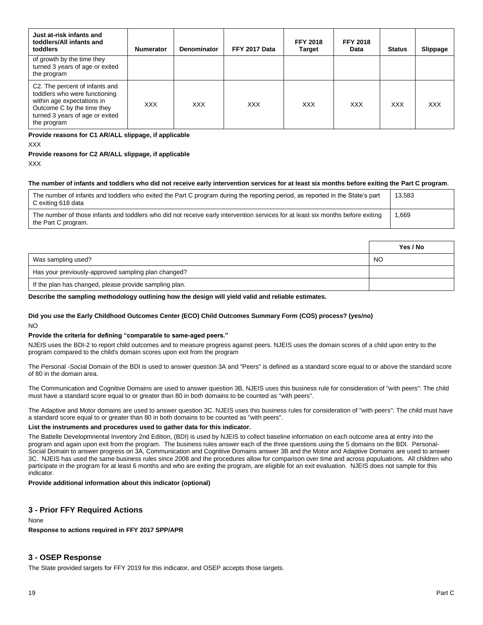| Just at-risk infants and<br>toddlers/All infants and<br>toddlers                                                                                                              | <b>Numerator</b> | <b>Denominator</b> | FFY 2017 Data | <b>FFY 2018</b><br><b>Target</b> | <b>FFY 2018</b><br>Data | <b>Status</b> | Slippage   |
|-------------------------------------------------------------------------------------------------------------------------------------------------------------------------------|------------------|--------------------|---------------|----------------------------------|-------------------------|---------------|------------|
| of growth by the time they<br>turned 3 years of age or exited<br>the program                                                                                                  |                  |                    |               |                                  |                         |               |            |
| C2. The percent of infants and<br>toddlers who were functioning<br>within age expectations in<br>Outcome C by the time they<br>turned 3 years of age or exited<br>the program | <b>XXX</b>       | <b>XXX</b>         | <b>XXX</b>    | <b>XXX</b>                       | <b>XXX</b>              | <b>XXX</b>    | <b>XXX</b> |

# **Provide reasons for C1 AR/ALL slippage, if applicable**

XXX

#### **Provide reasons for C2 AR/ALL slippage, if applicable** XXX

## **The number of infants and toddlers who did not receive early intervention services for at least six months before exiting the Part C program**.

| The number of infants and toddlers who exited the Part C program during the reporting period, as reported in the State's part<br>C exiting 618 data    | 13.583 |
|--------------------------------------------------------------------------------------------------------------------------------------------------------|--------|
| The number of those infants and toddlers who did not receive early intervention services for at least six months before exiting<br>the Part C program. | 669. ا |

|                                                        | Yes / No |
|--------------------------------------------------------|----------|
| Was sampling used?                                     | NO.      |
| Has your previously-approved sampling plan changed?    |          |
| If the plan has changed, please provide sampling plan. |          |

#### **Describe the sampling methodology outlining how the design will yield valid and reliable estimates.**

#### **Did you use the Early Childhood Outcomes Center (ECO) Child Outcomes Summary Form (COS) process? (yes/no)** NO

### **Provide the criteria for defining "comparable to same-aged peers."**

NJEIS uses the BDI-2 to report child outcomes and to measure progress against peers. NJEIS uses the domain scores of a child upon entry to the program compared to the child's domain scores upon exit from the program

The Personal -Social Domain of the BDI is used to answer question 3A and "Peers" is defined as a standard score equal to or above the standard score of 80 in the domain area.

The Communication and Cognitive Domains are used to answer question 3B, NJEIS uses this business rule for consideration of "with peers": The child must have a standard score equal to or greater than 80 in both domains to be counted as "with peers".

The Adaptive and Motor domains are used to answer question 3C. NJEIS uses this business rules for consideration of "with peers": The child must have a standard score equal to or greater than 80 in both domains to be counted as "with peers".

### **List the instruments and procedures used to gather data for this indicator.**

The Battelle Developmnental Inventory 2nd Edition, (BDI) is used by NJEIS to collect baseline information on each outcome area at entry into the program and again upon exit from the program. The business rules answer each of the three questions using the 5 domains on the BDI. Personal-Social Domain to answer progress on 3A, Communication and Cognitive Domains answer 3B and the Motor and Adaptive Domains are used to answer 3C. NJEIS has used the same business rules since 2008 and the procedures allow for comparison over time and across populuations. All children who participate in the program for at least 6 months and who are exiting the program, are eligible for an exit evaluation. NJEIS does not sample for this indicator.

#### **Provide additional information about this indicator (optional)**

## **3 - Prior FFY Required Actions**

#### None

**Response to actions required in FFY 2017 SPP/APR**

### **3 - OSEP Response**

The State provided targets for FFY 2019 for this indicator, and OSEP accepts those targets.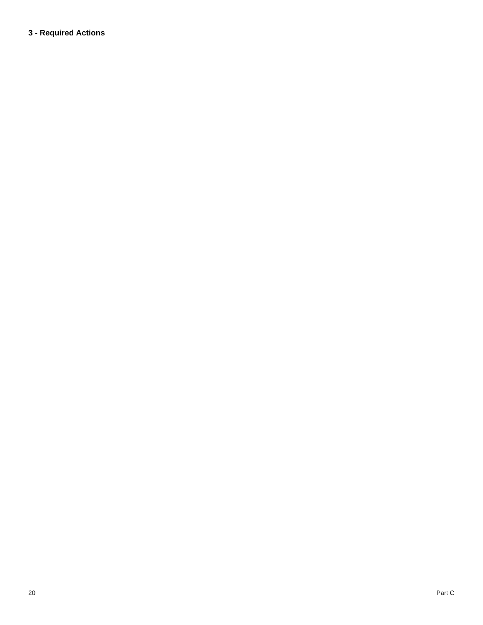# **3 - Required Actions**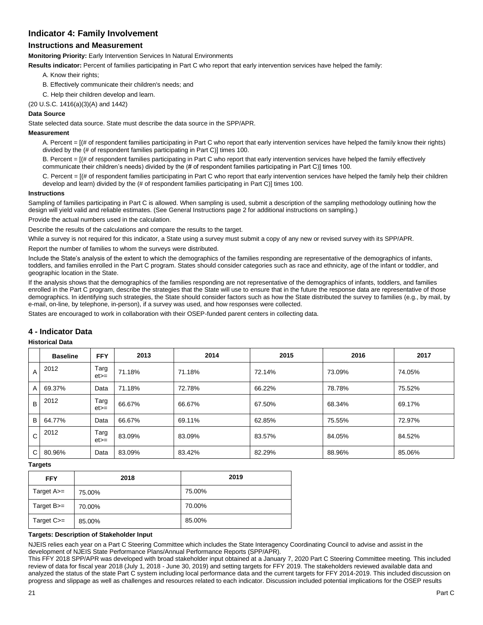## **Indicator 4: Family Involvement**

## **Instructions and Measurement**

**Monitoring Priority:** Early Intervention Services In Natural Environments

**Results indicator:** Percent of families participating in Part C who report that early intervention services have helped the family:

- A. Know their rights;
- B. Effectively communicate their children's needs; and
- C. Help their children develop and learn.
- (20 U.S.C. 1416(a)(3)(A) and 1442)

## **Data Source**

State selected data source. State must describe the data source in the SPP/APR.

## **Measurement**

A. Percent = [(# of respondent families participating in Part C who report that early intervention services have helped the family know their rights) divided by the (# of respondent families participating in Part C)] times 100.

B. Percent = [(# of respondent families participating in Part C who report that early intervention services have helped the family effectively communicate their children's needs) divided by the (# of respondent families participating in Part C)] times 100.

C. Percent = [(# of respondent families participating in Part C who report that early intervention services have helped the family help their children develop and learn) divided by the (# of respondent families participating in Part C)] times 100.

#### **Instructions**

Sampling of families participating in Part C is allowed. When sampling is used, submit a description of the sampling methodology outlining how the design will yield valid and reliable estimates. (See General Instructions page 2 for additional instructions on sampling.)

Provide the actual numbers used in the calculation.

Describe the results of the calculations and compare the results to the target.

While a survey is not required for this indicator, a State using a survey must submit a copy of any new or revised survey with its SPP/APR.

Report the number of families to whom the surveys were distributed.

Include the State's analysis of the extent to which the demographics of the families responding are representative of the demographics of infants, toddlers, and families enrolled in the Part C program. States should consider categories such as race and ethnicity, age of the infant or toddler, and geographic location in the State.

If the analysis shows that the demographics of the families responding are not representative of the demographics of infants, toddlers, and families enrolled in the Part C program, describe the strategies that the State will use to ensure that in the future the response data are representative of those demographics. In identifying such strategies, the State should consider factors such as how the State distributed the survey to families (e.g., by mail, by e-mail, on-line, by telephone, in-person), if a survey was used, and how responses were collected.

States are encouraged to work in collaboration with their OSEP-funded parent centers in collecting data.

## **4 - Indicator Data**

### **Historical Data**

|                | <b>Baseline</b> | <b>FFY</b>     | 2013   | 2014   | 2015   | 2016   | 2017   |
|----------------|-----------------|----------------|--------|--------|--------|--------|--------|
| $\overline{A}$ | 2012            | Targ<br>$et =$ | 71.18% | 71.18% | 72.14% | 73.09% | 74.05% |
| A              | 69.37%          | Data           | 71.18% | 72.78% | 66.22% | 78.78% | 75.52% |
| B              | 2012            | Targ<br>$et =$ | 66.67% | 66.67% | 67.50% | 68.34% | 69.17% |
| B              | 64.77%          | Data           | 66.67% | 69.11% | 62.85% | 75.55% | 72.97% |
| C              | 2012            | Targ<br>$et =$ | 83.09% | 83.09% | 83.57% | 84.05% | 84.52% |
| C              | 80.96%          | Data           | 83.09% | 83.42% | 82.29% | 88.96% | 85.06% |

#### **Targets**

| <b>FFY</b>   | 2018   | 2019   |
|--------------|--------|--------|
| Target A>=   | 75.00% | 75.00% |
| Target $B =$ | 70.00% | 70.00% |
| Target C>=   | 85.00% | 85.00% |

#### **Targets: Description of Stakeholder Input**

NJEIS relies each year on a Part C Steering Committee which includes the State Interagency Coordinating Council to advise and assist in the development of NJEIS State Performance Plans/Annual Performance Reports (SPP/APR).

This FFY 2018 SPP/APR was developed with broad stakeholder input obtained at a January 7, 2020 Part C Steering Committee meeting. This included review of data for fiscal year 2018 (July 1, 2018 - June 30, 2019) and setting targets for FFY 2019. The stakeholders reviewed available data and analyzed the status of the state Part C system including local performance data and the current targets for FFY 2014-2019. This included discussion on progress and slippage as well as challenges and resources related to each indicator. Discussion included potential implications for the OSEP results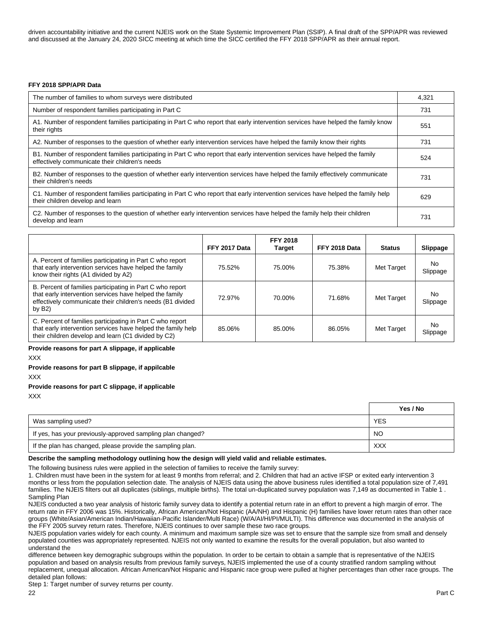driven accountability initiative and the current NJEIS work on the State Systemic Improvement Plan (SSIP). A final draft of the SPP/APR was reviewed and discussed at the January 24, 2020 SICC meeting at which time the SICC certified the FFY 2018 SPP/APR as their annual report.

#### **FFY 2018 SPP/APR Data**

| The number of families to whom surveys were distributed                                                                                                                        | 4.321 |
|--------------------------------------------------------------------------------------------------------------------------------------------------------------------------------|-------|
| Number of respondent families participating in Part C                                                                                                                          | 731   |
| A1. Number of respondent families participating in Part C who report that early intervention services have helped the family know<br>their rights                              | 551   |
| A2. Number of responses to the question of whether early intervention services have helped the family know their rights                                                        | 731   |
| B1. Number of respondent families participating in Part C who report that early intervention services have helped the family<br>effectively communicate their children's needs | 524   |
| B2. Number of responses to the question of whether early intervention services have helped the family effectively communicate<br>their children's needs                        | 731   |
| C1. Number of respondent families participating in Part C who report that early intervention services have helped the family help<br>their children develop and learn          | 629   |
| C2. Number of responses to the question of whether early intervention services have helped the family help their children<br>develop and learn                                 | 731   |

|                                                                                                                                                                                                 | FFY 2017 Data | <b>FFY 2018</b><br><b>Target</b> | FFY 2018 Data | <b>Status</b> | Slippage        |
|-------------------------------------------------------------------------------------------------------------------------------------------------------------------------------------------------|---------------|----------------------------------|---------------|---------------|-----------------|
| A. Percent of families participating in Part C who report<br>that early intervention services have helped the family<br>know their rights (A1 divided by A2)                                    | 75.52%        | 75.00%                           | 75.38%        | Met Target    | No.<br>Slippage |
| B. Percent of families participating in Part C who report<br>that early intervention services have helped the family<br>effectively communicate their children's needs (B1 divided<br>by $B2$ ) | 72.97%        | 70.00%                           | 71.68%        | Met Target    | No.<br>Slippage |
| C. Percent of families participating in Part C who report<br>that early intervention services have helped the family help<br>their children develop and learn (C1 divided by C2)                | 85.06%        | 85.00%                           | 86.05%        | Met Target    | No.<br>Slippage |

## **Provide reasons for part A slippage, if applicable**

XXX

## **Provide reasons for part B slippage, if appilcable**

XXX

## **Provide reasons for part C slippage, if applicable**

XXX

|                                                             | Yes / No   |
|-------------------------------------------------------------|------------|
| Was sampling used?                                          | <b>YES</b> |
| If yes, has your previously-approved sampling plan changed? | NO         |
| If the plan has changed, please provide the sampling plan.  | <b>XXX</b> |

#### **Describe the sampling methodology outlining how the design will yield valid and reliable estimates.**

The following business rules were applied in the selection of families to receive the family survey:

1. Children must have been in the system for at least 9 months from referral; and 2. Children that had an active IFSP or exited early intervention 3 months or less from the population selection date. The analysis of NJEIS data using the above business rules identified a total population size of 7,491 families. The NJEIS filters out all duplicates (siblings, multiple births). The total un-duplicated survey population was 7,149 as documented in Table 1 . Sampling Plan

NJEIS conducted a two year analysis of historic family survey data to identify a potential return rate in an effort to prevent a high margin of error. The return rate in FFY 2006 was 15%. Historically, African American/Not Hispanic (AA/NH) and Hispanic (H) families have lower return rates than other race groups (White/Asian/American Indian/Hawaiian-Pacific Islander/Multi Race) (W/A/AI/HI/PI/MULTI). This difference was documented in the analysis of the FFY 2005 survey return rates. Therefore, NJEIS continues to over sample these two race groups.

NJEIS population varies widely for each county. A minimum and maximum sample size was set to ensure that the sample size from small and densely populated counties was appropriately represented. NJEIS not only wanted to examine the results for the overall population, but also wanted to understand the

difference between key demographic subgroups within the population. In order to be certain to obtain a sample that is representative of the NJEIS population and based on analysis results from previous family surveys, NJEIS implemented the use of a county stratified random sampling without replacement, unequal allocation. African American/Not Hispanic and Hispanic race group were pulled at higher percentages than other race groups. The detailed plan follows:

Step 1: Target number of survey returns per county.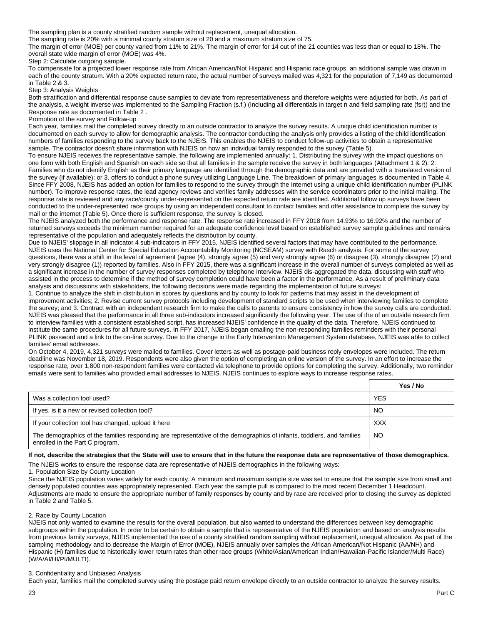The sampling plan is a county stratified random sample without replacement, unequal allocation.

The sampling rate is 20% with a minimal county stratum size of 20 and a maximum stratum size of 75.

The margin of error (MOE) per county varied from 11% to 21%. The margin of error for 14 out of the 21 counties was less than or equal to 18%. The overall state wide margin of error (MOE) was 4%.

Step 2: Calculate outgoing sample.

To compensate for a projected lower response rate from African American/Not Hispanic and Hispanic race groups, an additional sample was drawn in each of the county stratum. With a 20% expected return rate, the actual number of surveys mailed was 4,321 for the population of 7,149 as documented in Table 2 & 3.

Step 3: Analysis Weights

Both stratification and differential response cause samples to deviate from representativeness and therefore weights were adjusted for both. As part of the analysis, a weight inverse was implemented to the Sampling Fraction (s.f.) (Including all differentials in target n and field sampling rate (fsr)) and the Response rate as documented in Table 2 .

#### Promotion of the survey and Follow-up

Each year, families mail the completed survey directly to an outside contractor to analyze the survey results. A unique child identification number is documented on each survey to allow for demographic analysis. The contractor conducting the analysis only provides a listing of the child identification numbers of families responding to the survey back to the NJEIS. This enables the NJEIS to conduct follow-up activities to obtain a representative sample. The contractor doesn't share information with NJEIS on how an individual family responded to the survey (Table 5).

To ensure NJEIS receives the representative sample, the following are implemented annually: 1. Distributing the survey with the impact questions on one form with both English and Spanish on each side so that all families in the sample receive the survey in both languages (Attachment 1 & 2). 2. Families who do not identify English as their primary language are identified through the demographic data and are provided with a translated version of the survey (if available); or 3. offers to conduct a phone survey utilizing Language Line. The breakdown of primary languages is documented in Table 4. Since FFY 2008, NJEIS has added an option for families to respond to the survey through the Internet using a unique child identification number (PLINK number). To improve response rates, the lead agency reviews and verifies family addresses with the service coordinators prior to the initial mailing. The response rate is reviewed and any race/county under-represented on the expected return rate are identified. Additional follow up surveys have been conducted to the under-represented race groups by using an independent consultant to contact families and offer assistance to complete the survey by mail or the internet (Table 5). Once there is sufficient response, the survey is closed.

The NJEIS analyzed both the performance and response rate. The response rate increased in FFY 2018 from 14.93% to 16.92% and the number of returned surveys exceeds the minimum number required for an adequate confidence level based on established survey sample guidelines and remains representative of the population and adequately reflects the distribution by county.

Due to NJEIS' slippage in all indicator 4 sub-indicators in FFY 2015, NJEIS identified several factors that may have contributed to the performance. NJEIS uses the National Center for Special Education Accountability Monitoring (NCSEAM) survey with Rasch analysis. For some of the survey questions, there was a shift in the level of agreement (agree (4), strongly agree (5) and very strongly agree (6) or disagree (3), strongly disagree (2) and very strongly disagree (1)) reported by families. Also in FFY 2015, there was a significant increase in the overall number of surveys completed as well as a significant increase in the number of survey responses completed by telephone interview. NJEIS dis-aggregated the data, discussing with staff who assisted in the process to determine if the method of survey completion could have been a factor in the performance. As a result of preliminary data analysis and discussions with stakeholders, the following decisions were made regarding the implementation of future surveys:

1. Continue to analyze the shift in distribution in scores by questions and by county to look for patterns that may assist in the development of improvement activities; 2. Revise current survey protocols including development of standard scripts to be used when interviewing families to complete the survey; and 3. Contract with an independent research firm to make the calls to parents to ensure consistency in how the survey calls are conducted. NJEIS was pleased that the performance in all three sub-indicators increased significantly the following year. The use of the of an outside research firm to interview families with a consistent established script, has increased NJEIS' confidence in the quality of the data. Therefore, NJEIS continued to institute the same procedures for all future surveys. In FFY 2017, NJEIS began emailing the non-responding families reminders with their personal PLINK password and a link to the on-line survey. Due to the change in the Early Intervention Management System database, NJEIS was able to collect families' email addresses.

On October 4, 2019, 4,321 surveys were mailed to families. Cover letters as well as postage-paid business reply envelopes were included. The return deadline was November 18, 2019. Respondents were also given the option of completing an online version of the survey. In an effort to increase the response rate, over 1,800 non-respondent families were contacted via telephone to provide options for completing the survey. Additionally, two reminder emails were sent to families who provided email addresses to NJEIS. NJEIS continues to explore ways to increase response rates.

|                                                                                                                                                          | Yes / No   |
|----------------------------------------------------------------------------------------------------------------------------------------------------------|------------|
| Was a collection tool used?                                                                                                                              | <b>YES</b> |
| If yes, is it a new or revised collection tool?                                                                                                          | NO         |
| If your collection tool has changed, upload it here                                                                                                      | <b>XXX</b> |
| The demographics of the families responding are representative of the demographics of infants, toddlers, and families<br>enrolled in the Part C program. | NO         |

**If not, describe the strategies that the State will use to ensure that in the future the response data are representative of those demographics.** 

The NJEIS works to ensure the response data are representative of NJEIS demographics in the following ways:

1. Population Size by County Location

Since the NJEIS population varies widely for each county. A minimum and maximum sample size was set to ensure that the sample size from small and densely populated counties was appropriately represented. Each year the sample pull is compared to the most recent December 1 Headcount. Adjustments are made to ensure the appropriate number of family responses by county and by race are received prior to closing the survey as depicted in Table 2 and Table 5.

#### 2. Race by County Location

NJEIS not only wanted to examine the results for the overall population, but also wanted to understand the differences between key demographic subgroups within the population. In order to be certain to obtain a sample that is representative of the NJEIS population and based on analysis results from previous family surveys, NJEIS implemented the use of a county stratified random sampling without replacement, unequal allocation. As part of the sampling methodology and to decrease the Margin of Error (MOE), NJEIS annually over samples the African American/Not Hispanic (AA/NH) and Hispanic (H) families due to historically lower return rates than other race groups (White/Asian/American Indian/Hawaiian-Pacific Islander/Multi Race) (W/A/AI/HI/PI/MULTI).

#### 3. Confidentiality and Unbiased Analysis

Each year, families mail the completed survey using the postage paid return envelope directly to an outside contractor to analyze the survey results.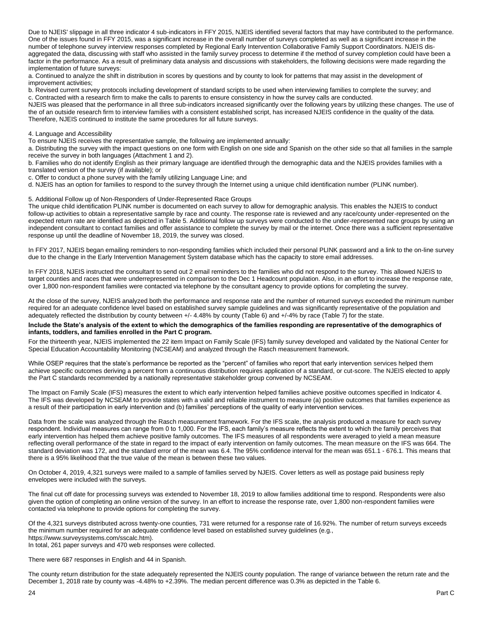Due to NJEIS' slippage in all three indicator 4 sub-indicators in FFY 2015, NJEIS identified several factors that may have contributed to the performance. One of the issues found in FFY 2015, was a significant increase in the overall number of surveys completed as well as a significant increase in the number of telephone survey interview responses completed by Regional Early Intervention Collaborative Family Support Coordinators. NJEIS disaggregated the data, discussing with staff who assisted in the family survey process to determine if the method of survey completion could have been a factor in the performance. As a result of preliminary data analysis and discussions with stakeholders, the following decisions were made regarding the implementation of future surveys:

a. Continued to analyze the shift in distribution in scores by questions and by county to look for patterns that may assist in the development of improvement activities;

b. Revised current survey protocols including development of standard scripts to be used when interviewing families to complete the survey; and c. Contracted with a research firm to make the calls to parents to ensure consistency in how the survey calls are conducted.

NJEIS was pleased that the performance in all three sub-indicators increased significantly over the following years by utilizing these changes. The use of the of an outside research firm to interview families with a consistent established script, has increased NJEIS confidence in the quality of the data. Therefore, NJEIS continued to institute the same procedures for all future surveys.

#### 4. Language and Accessibility

To ensure NJEIS receives the representative sample, the following are implemented annually:

a. Distributing the survey with the impact questions on one form with English on one side and Spanish on the other side so that all families in the sample receive the survey in both languages (Attachment 1 and 2).

b. Families who do not identify English as their primary language are identified through the demographic data and the NJEIS provides families with a translated version of the survey (if available); or

c. Offer to conduct a phone survey with the family utilizing Language Line; and

d. NJEIS has an option for families to respond to the survey through the Internet using a unique child identification number (PLINK number).

### 5. Additional Follow up of Non-Responders of Under-Represented Race Groups

The unique child identification PLINK number is documented on each survey to allow for demographic analysis. This enables the NJEIS to conduct follow-up activities to obtain a representative sample by race and county. The response rate is reviewed and any race/county under-represented on the expected return rate are identified as depicted in Table 5. Additional follow up surveys were conducted to the under-represented race groups by using an independent consultant to contact families and offer assistance to complete the survey by mail or the internet. Once there was a sufficient representative response up until the deadline of November 18, 2019, the survey was closed.

In FFY 2017, NJEIS began emailing reminders to non-responding families which included their personal PLINK password and a link to the on-line survey due to the change in the Early Intervention Management System database which has the capacity to store email addresses.

In FFY 2018, NJEIS instructed the consultant to send out 2 email reminders to the families who did not respond to the survey. This allowed NJEIS to target counties and races that were underrepresented in comparison to the Dec 1 Headcount population. Also, in an effort to increase the response rate, over 1,800 non-respondent families were contacted via telephone by the consultant agency to provide options for completing the survey.

At the close of the survey, NJEIS analyzed both the performance and response rate and the number of returned surveys exceeded the minimum number required for an adequate confidence level based on established survey sample guidelines and was significantly representative of the population and adequately reflected the distribution by county between +/- 4.48% by county (Table 6) and +/-4% by race (Table 7) for the state.

#### **Include the State's analysis of the extent to which the demographics of the families responding are representative of the demographics of infants, toddlers, and families enrolled in the Part C program.**

For the thirteenth year, NJEIS implemented the 22 item Impact on Family Scale (IFS) family survey developed and validated by the National Center for Special Education Accountability Monitoring (NCSEAM) and analyzed through the Rasch measurement framework.

While OSEP requires that the state's performance be reported as the "percent" of families who report that early intervention services helped them achieve specific outcomes deriving a percent from a continuous distribution requires application of a standard, or cut-score. The NJEIS elected to apply the Part C standards recommended by a nationally representative stakeholder group convened by NCSEAM.

The Impact on Family Scale (IFS) measures the extent to which early intervention helped families achieve positive outcomes specified in Indicator 4. The IFS was developed by NCSEAM to provide states with a valid and reliable instrument to measure (a) positive outcomes that families experience as a result of their participation in early intervention and (b) families' perceptions of the quality of early intervention services.

Data from the scale was analyzed through the Rasch measurement framework. For the IFS scale, the analysis produced a measure for each survey respondent. Individual measures can range from 0 to 1,000. For the IFS, each family's measure reflects the extent to which the family perceives that early intervention has helped them achieve positive family outcomes. The IFS measures of all respondents were averaged to yield a mean measure reflecting overall performance of the state in regard to the impact of early intervention on family outcomes. The mean measure on the IFS was 664. The standard deviation was 172, and the standard error of the mean was 6.4. The 95% confidence interval for the mean was 651.1 - 676.1. This means that there is a 95% likelihood that the true value of the mean is between these two values.

On October 4, 2019, 4,321 surveys were mailed to a sample of families served by NJEIS. Cover letters as well as postage paid business reply envelopes were included with the surveys.

The final cut off date for processing surveys was extended to November 18, 2019 to allow families additional time to respond. Respondents were also given the option of completing an online version of the survey. In an effort to increase the response rate, over 1,800 non-respondent families were contacted via telephone to provide options for completing the survey.

Of the 4,321 surveys distributed across twenty-one counties, 731 were returned for a response rate of 16.92%. The number of return surveys exceeds the minimum number required for an adequate confidence level based on established survey guidelines (e.g., https://www.surveysystems.com/sscalc.htm).

In total, 261 paper surveys and 470 web responses were collected.

There were 687 responses in English and 44 in Spanish.

The county return distribution for the state adequately represented the NJEIS county population. The range of variance between the return rate and the December 1, 2018 rate by county was -4.48% to +2.39%. The median percent difference was 0.3% as depicted in the Table 6.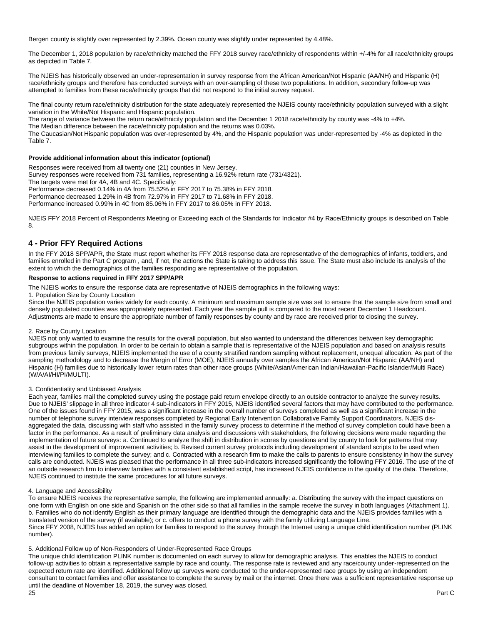Bergen county is slightly over represented by 2.39%. Ocean county was slightly under represented by 4.48%.

The December 1, 2018 population by race/ethnicity matched the FFY 2018 survey race/ethnicity of respondents within +/-4% for all race/ethnicity groups as depicted in Table 7.

The NJEIS has historically observed an under-representation in survey response from the African American/Not Hispanic (AA/NH) and Hispanic (H) race/ethnicity groups and therefore has conducted surveys with an over-sampling of these two populations. In addition, secondary follow-up was attempted to families from these race/ethnicity groups that did not respond to the initial survey request.

The final county return race/ethnicity distribution for the state adequately represented the NJEIS county race/ethnicity population surveyed with a slight variation in the White/Not Hispanic and Hispanic population.

The range of variance between the return race/ethnicity population and the December 1 2018 race/ethnicity by county was -4% to +4%.

The Median difference between the race/ethnicity population and the returns was 0.03%.

The Caucasian/Not Hispanic population was over-represented by 4%, and the Hispanic population was under-represented by -4% as depicted in the Table 7.

#### **Provide additional information about this indicator (optional)**

Responses were received from all twenty one (21) counties in New Jersey.

Survey responses were received from 731 families, representing a 16.92% return rate (731/4321).

The targets were met for 4A, 4B and 4C. Specifically:

Performance decreased 0.14% in 4A from 75.52% in FFY 2017 to 75.38% in FFY 2018. Performance decreased 1.29% in 4B from 72.97% in FFY 2017 to 71.68% in FFY 2018.

Performance increased 0.99% in 4C from 85.06% in FFY 2017 to 86.05% in FFY 2018.

NJEIS FFY 2018 Percent of Respondents Meeting or Exceeding each of the Standards for Indicator #4 by Race/Ethnicity groups is described on Table 8.

## **4 - Prior FFY Required Actions**

In the FFY 2018 SPP/APR, the State must report whether its FFY 2018 response data are representative of the demographics of infants, toddlers, and families enrolled in the Part C program, and, if not, the actions the State is taking to address this issue. The State must also include its analysis of the extent to which the demographics of the families responding are representative of the population.

#### **Response to actions required in FFY 2017 SPP/APR**

The NJEIS works to ensure the response data are representative of NJEIS demographics in the following ways:

1. Population Size by County Location

Since the NJEIS population varies widely for each county. A minimum and maximum sample size was set to ensure that the sample size from small and densely populated counties was appropriately represented. Each year the sample pull is compared to the most recent December 1 Headcount. Adjustments are made to ensure the appropriate number of family responses by county and by race are received prior to closing the survey.

#### 2. Race by County Location

NJEIS not only wanted to examine the results for the overall population, but also wanted to understand the differences between key demographic subgroups within the population. In order to be certain to obtain a sample that is representative of the NJEIS population and based on analysis results from previous family surveys, NJEIS implemented the use of a county stratified random sampling without replacement, unequal allocation. As part of the sampling methodology and to decrease the Margin of Error (MOE), NJEIS annually over samples the African American/Not Hispanic (AA/NH) and Hispanic (H) families due to historically lower return rates than other race groups (White/Asian/American Indian/Hawaiian-Pacific Islander/Multi Race) (W/A/AI/HI/PI/MULTI).

#### 3. Confidentiality and Unbiased Analysis

Each year, families mail the completed survey using the postage paid return envelope directly to an outside contractor to analyze the survey results. Due to NJEIS' slippage in all three indicator 4 sub-indicators in FFY 2015, NJEIS identified several factors that may have contributed to the performance. One of the issues found in FFY 2015, was a significant increase in the overall number of surveys completed as well as a significant increase in the number of telephone survey interview responses completed by Regional Early Intervention Collaborative Family Support Coordinators. NJEIS disaggregated the data, discussing with staff who assisted in the family survey process to determine if the method of survey completion could have been a factor in the performance. As a result of preliminary data analysis and discussions with stakeholders, the following decisions were made regarding the implementation of future surveys: a. Continued to analyze the shift in distribution in scores by questions and by county to look for patterns that may assist in the development of improvement activities; b. Revised current survey protocols including development of standard scripts to be used when interviewing families to complete the survey; and c. Contracted with a research firm to make the calls to parents to ensure consistency in how the survey calls are conducted. NJEIS was pleased that the performance in all three sub-indicators increased significantly the following FFY 2016. The use of the of an outside research firm to interview families with a consistent established script, has increased NJEIS confidence in the quality of the data. Therefore, NJEIS continued to institute the same procedures for all future surveys.

#### 4. Language and Accessibility

To ensure NJEIS receives the representative sample, the following are implemented annually: a. Distributing the survey with the impact questions on one form with English on one side and Spanish on the other side so that all families in the sample receive the survey in both languages (Attachment 1). b. Families who do not identify English as their primary language are identified through the demographic data and the NJEIS provides families with a translated version of the survey (if available); or c. offers to conduct a phone survey with the family utilizing Language Line. Since FFY 2008, NJEIS has added an option for families to respond to the survey through the Internet using a unique child identification number (PLINK number).

#### 5. Additional Follow up of Non-Responders of Under-Represented Race Groups

The unique child identification PLINK number is documented on each survey to allow for demographic analysis. This enables the NJEIS to conduct follow-up activities to obtain a representative sample by race and county. The response rate is reviewed and any race/county under-represented on the expected return rate are identified. Additional follow up surveys were conducted to the under-represented race groups by using an independent consultant to contact families and offer assistance to complete the survey by mail or the internet. Once there was a sufficient representative response up until the deadline of November 18, 2019, the survey was closed.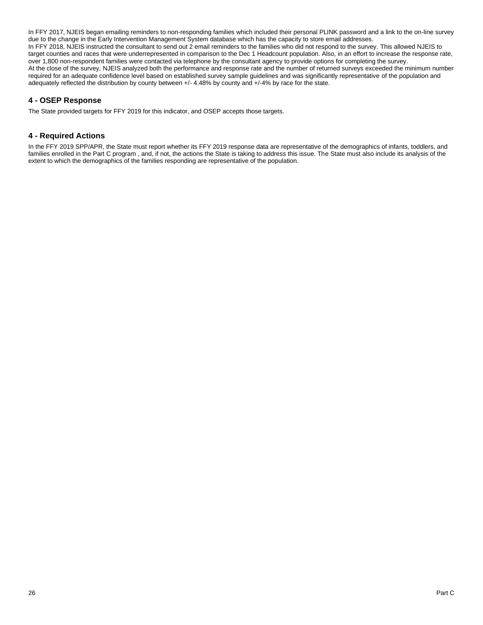In FFY 2017, NJEIS began emailing reminders to non-responding families which included their personal PLINK password and a link to the on-line survey due to the change in the Early Intervention Management System database which has the capacity to store email addresses. In FFY 2018, NJEIS instructed the consultant to send out 2 email reminders to the families who did not respond to the survey. This allowed NJEIS to target counties and races that were underrepresented in comparison to the Dec 1 Headcount population. Also, in an effort to increase the response rate, over 1,800 non-respondent families were contacted via telephone by the consultant agency to provide options for completing the survey. At the close of the survey, NJEIS analyzed both the performance and response rate and the number of returned surveys exceeded the minimum number required for an adequate confidence level based on established survey sample guidelines and was significantly representative of the population and adequately reflected the distribution by county between +/- 4.48% by county and +/-4% by race for the state.

## **4 - OSEP Response**

The State provided targets for FFY 2019 for this indicator, and OSEP accepts those targets.

## **4 - Required Actions**

In the FFY 2019 SPP/APR, the State must report whether its FFY 2019 response data are representative of the demographics of infants, toddlers, and families enrolled in the Part C program, and, if not, the actions the State is taking to address this issue. The State must also include its analysis of the extent to which the demographics of the families responding are representative of the population.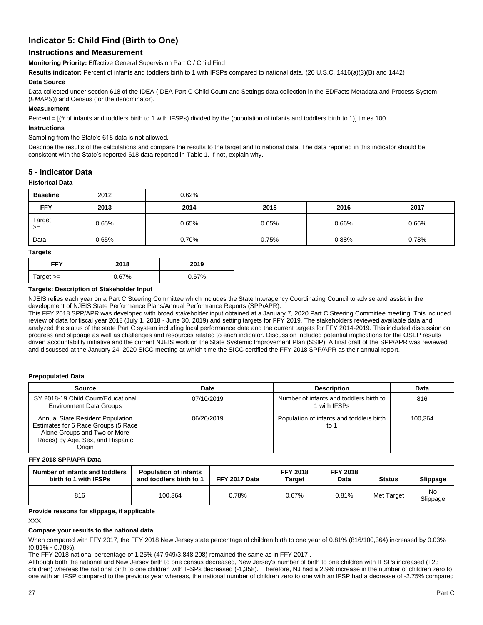## **Indicator 5: Child Find (Birth to One)**

## **Instructions and Measurement**

**Monitoring Priority:** Effective General Supervision Part C / Child Find

**Results indicator:** Percent of infants and toddlers birth to 1 with IFSPs compared to national data. (20 U.S.C. 1416(a)(3)(B) and 1442)

#### **Data Source**

Data collected under section 618 of the IDEA (IDEA Part C Child Count and Settings data collection in the EDFacts Metadata and Process System (*EMAPS*)) and Census (for the denominator).

### **Measurement**

Percent = [(# of infants and toddlers birth to 1 with IFSPs) divided by the (population of infants and toddlers birth to 1)] times 100.

#### **Instructions**

#### Sampling from the State's 618 data is not allowed.

Describe the results of the calculations and compare the results to the target and to national data. The data reported in this indicator should be consistent with the State's reported 618 data reported in Table 1. If not, explain why.

### **5 - Indicator Data**

#### **Historical Data**

| <b>Baseline</b> | 2012  | 0.62% |       |       |       |
|-----------------|-------|-------|-------|-------|-------|
| <b>FFY</b>      | 2013  | 2014  | 2015  | 2016  | 2017  |
| Target<br>$>=$  | 0.65% | 0.65% | 0.65% | 0.66% | 0.66% |
| Data            | 0.65% | 0.70% | 0.75% | 0.88% | 0.78% |

#### **Targets**

| FFY         | 2018  | 2019  |
|-------------|-------|-------|
| $Target >=$ | 0.67% | 0.67% |

#### **Targets: Description of Stakeholder Input**

NJEIS relies each year on a Part C Steering Committee which includes the State Interagency Coordinating Council to advise and assist in the development of NJEIS State Performance Plans/Annual Performance Reports (SPP/APR).

This FFY 2018 SPP/APR was developed with broad stakeholder input obtained at a January 7, 2020 Part C Steering Committee meeting. This included review of data for fiscal year 2018 (July 1, 2018 - June 30, 2019) and setting targets for FFY 2019. The stakeholders reviewed available data and analyzed the status of the state Part C system including local performance data and the current targets for FFY 2014-2019. This included discussion on progress and slippage as well as challenges and resources related to each indicator. Discussion included potential implications for the OSEP results driven accountability initiative and the current NJEIS work on the State Systemic Improvement Plan (SSIP). A final draft of the SPP/APR was reviewed and discussed at the January 24, 2020 SICC meeting at which time the SICC certified the FFY 2018 SPP/APR as their annual report.

#### **Prepopulated Data**

| <b>Source</b>                                                                                                                                                | Date       | <b>Description</b>                                    | Data    |
|--------------------------------------------------------------------------------------------------------------------------------------------------------------|------------|-------------------------------------------------------|---------|
| SY 2018-19 Child Count/Educational<br><b>Environment Data Groups</b>                                                                                         | 07/10/2019 | Number of infants and toddlers birth to<br>with IFSPs | 816     |
| <b>Annual State Resident Population</b><br>Estimates for 6 Race Groups (5 Race<br>Alone Groups and Two or More<br>Races) by Age, Sex, and Hispanic<br>Origin | 06/20/2019 | Population of infants and toddlers birth<br>to 1      | 100.364 |

#### **FFY 2018 SPP/APR Data**

| Number of infants and toddlers<br>birth to 1 with IFSPs | <b>Population of infants</b><br>and toddlers birth to 1 | FFY 2017 Data | <b>FFY 2018</b><br>Tarɑet | <b>FFY 2018</b><br>Data | <b>Status</b> | Slippage       |
|---------------------------------------------------------|---------------------------------------------------------|---------------|---------------------------|-------------------------|---------------|----------------|
| 816                                                     | 100.364                                                 | 0.78%         | 0.67%                     | 0.81%                   | Met Target    | No<br>Slippage |

#### **Provide reasons for slippage, if applicable**

XXX

#### **Compare your results to the national data**

When compared with FFY 2017, the FFY 2018 New Jersey state percentage of children birth to one year of 0.81% (816/100,364) increased by 0.03% (0.81% - 0.78%).

The FFY 2018 national percentage of 1.25% (47,949/3,848,208) remained the same as in FFY 2017 .

Although both the national and New Jersey birth to one census decreased, New Jersey's number of birth to one children with IFSPs increased (+23 children) whereas the national birth to one children with IFSPs decreased (-1,358). Therefore, NJ had a 2.9% increase in the number of children zero to one with an IFSP compared to the previous year whereas, the national number of children zero to one with an IFSP had a decrease of -2.75% compared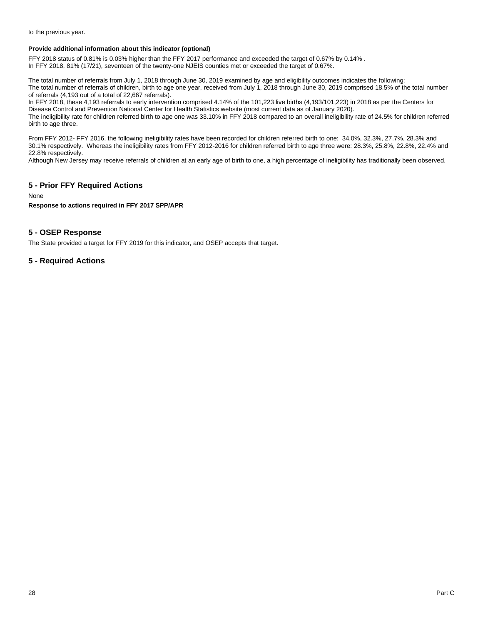to the previous year.

#### **Provide additional information about this indicator (optional)**

FFY 2018 status of 0.81% is 0.03% higher than the FFY 2017 performance and exceeded the target of 0.67% by 0.14% . In FFY 2018, 81% (17/21), seventeen of the twenty-one NJEIS counties met or exceeded the target of 0.67%.

The total number of referrals from July 1, 2018 through June 30, 2019 examined by age and eligibility outcomes indicates the following: The total number of referrals of children, birth to age one year, received from July 1, 2018 through June 30, 2019 comprised 18.5% of the total number of referrals (4,193 out of a total of 22,667 referrals).

In FFY 2018, these 4,193 referrals to early intervention comprised 4.14% of the 101,223 live births (4,193/101,223) in 2018 as per the Centers for Disease Control and Prevention National Center for Health Statistics website (most current data as of January 2020).

The ineligibility rate for children referred birth to age one was 33.10% in FFY 2018 compared to an overall ineligibility rate of 24.5% for children referred birth to age three.

From FFY 2012- FFY 2016, the following ineligibility rates have been recorded for children referred birth to one: 34.0%, 32.3%, 27.7%, 28.3% and 30.1% respectively. Whereas the ineligibility rates from FFY 2012-2016 for children referred birth to age three were: 28.3%, 25.8%, 22.8%, 22.4% and 22.8% respectively.

Although New Jersey may receive referrals of children at an early age of birth to one, a high percentage of ineligibility has traditionally been observed.

## **5 - Prior FFY Required Actions**

None

#### **Response to actions required in FFY 2017 SPP/APR**

## **5 - OSEP Response**

The State provided a target for FFY 2019 for this indicator, and OSEP accepts that target.

## **5 - Required Actions**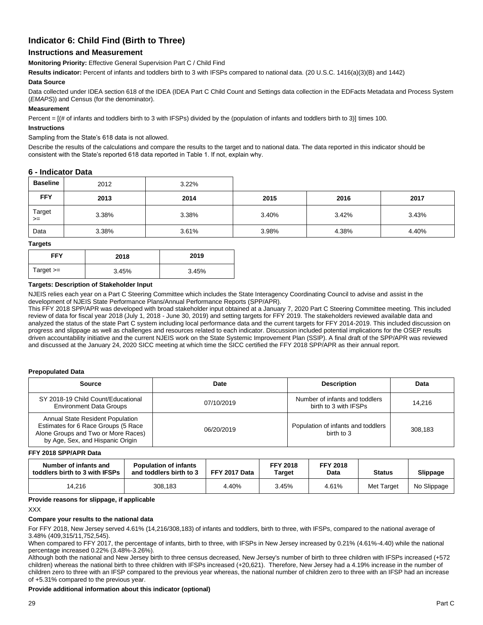## **Indicator 6: Child Find (Birth to Three)**

## **Instructions and Measurement**

**Monitoring Priority:** Effective General Supervision Part C / Child Find

**Results indicator:** Percent of infants and toddlers birth to 3 with IFSPs compared to national data. (20 U.S.C. 1416(a)(3)(B) and 1442)

#### **Data Source**

Data collected under IDEA section 618 of the IDEA (IDEA Part C Child Count and Settings data collection in the EDFacts Metadata and Process System (*EMAPS*)) and Census (for the denominator).

#### **Measurement**

Percent = [(# of infants and toddlers birth to 3 with IFSPs) divided by the (population of infants and toddlers birth to 3)] times 100.

#### **Instructions**

#### Sampling from the State's 618 data is not allowed.

Describe the results of the calculations and compare the results to the target and to national data. The data reported in this indicator should be consistent with the State's reported 618 data reported in Table 1. If not, explain why.

#### **6 - Indicator Data**

| <b>Baseline</b> | 2012  | 3.22% |       |       |       |
|-----------------|-------|-------|-------|-------|-------|
| <b>FFY</b>      | 2013  | 2014  | 2015  | 2016  | 2017  |
| Target<br>$>=$  | 3.38% | 3.38% | 3.40% | 3.42% | 3.43% |
| Data            | 3.38% | 3.61% | 3.98% | 4.38% | 4.40% |

**Targets**

| <b>FFY</b>  | 2018  | 2019  |
|-------------|-------|-------|
| Target $>=$ | 3.45% | 3.45% |

#### **Targets: Description of Stakeholder Input**

NJEIS relies each year on a Part C Steering Committee which includes the State Interagency Coordinating Council to advise and assist in the development of NJEIS State Performance Plans/Annual Performance Reports (SPP/APR).

This FFY 2018 SPP/APR was developed with broad stakeholder input obtained at a January 7, 2020 Part C Steering Committee meeting. This included review of data for fiscal year 2018 (July 1, 2018 - June 30, 2019) and setting targets for FFY 2019. The stakeholders reviewed available data and analyzed the status of the state Part C system including local performance data and the current targets for FFY 2014-2019. This included discussion on progress and slippage as well as challenges and resources related to each indicator. Discussion included potential implications for the OSEP results driven accountability initiative and the current NJEIS work on the State Systemic Improvement Plan (SSIP). A final draft of the SPP/APR was reviewed and discussed at the January 24, 2020 SICC meeting at which time the SICC certified the FFY 2018 SPP/APR as their annual report.

#### **Prepopulated Data**

| Source                                                                                                                                                    | Date       | <b>Description</b>                                      | Data    |
|-----------------------------------------------------------------------------------------------------------------------------------------------------------|------------|---------------------------------------------------------|---------|
| SY 2018-19 Child Count/Educational<br><b>Environment Data Groups</b>                                                                                      | 07/10/2019 | Number of infants and toddlers<br>birth to 3 with IFSPs | 14.216  |
| <b>Annual State Resident Population</b><br>Estimates for 6 Race Groups (5 Race<br>Alone Groups and Two or More Races)<br>by Age, Sex, and Hispanic Origin | 06/20/2019 | Population of infants and toddlers<br>birth to 3        | 308.183 |

#### **FFY 2018 SPP/APR Data**

| Number of infants and<br>toddlers birth to 3 with IFSPs | <b>Population of infants</b><br>and toddlers birth to 3 | FFY 2017 Data | <b>FFY 2018</b><br>Target | <b>FFY 2018</b><br>Data | <b>Status</b> | <b>Slippage</b> |
|---------------------------------------------------------|---------------------------------------------------------|---------------|---------------------------|-------------------------|---------------|-----------------|
| 14.216                                                  | 308.183                                                 | 4.40%         | 3.45%                     | 4.61%                   | Met Target    | No Slippage     |

#### **Provide reasons for slippage, if applicable**

XXX

## **Compare your results to the national data**

For FFY 2018, New Jersey served 4.61% (14,216/308,183) of infants and toddlers, birth to three, with IFSPs, compared to the national average of 3.48% (409,315/11,752,545).

When compared to FFY 2017, the percentage of infants, birth to three, with IFSPs in New Jersey increased by 0.21% (4.61%-4.40) while the national percentage increased 0.22% (3.48%-3.26%).

Although both the national and New Jersey birth to three census decreased, New Jersey's number of birth to three children with IFSPs increased (+572 children) whereas the national birth to three children with IFSPs increased (+20,621). Therefore, New Jersey had a 4.19% increase in the number of children zero to three with an IFSP compared to the previous year whereas, the national number of children zero to three with an IFSP had an increase of +5.31% compared to the previous year.

## **Provide additional information about this indicator (optional)**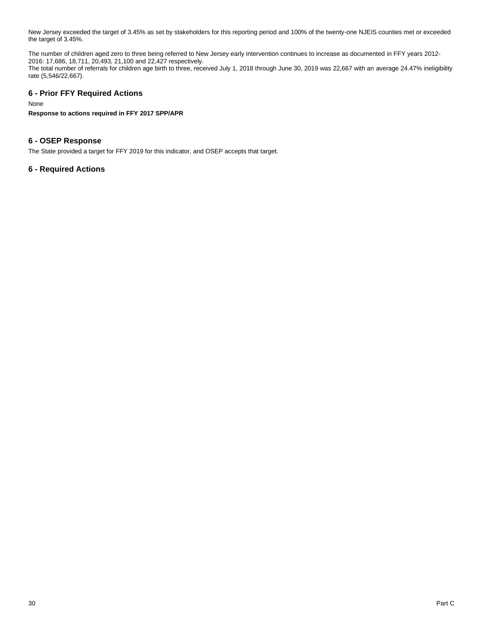New Jersey exceeded the target of 3.45% as set by stakeholders for this reporting period and 100% of the twenty-one NJEIS counties met or exceeded the target of 3.45%.

The number of children aged zero to three being referred to New Jersey early intervention continues to increase as documented in FFY years 2012- 2016: 17,686, 18,711, 20,493, 21,100 and 22,427 respectively.

The total number of referrals for children age birth to three, received July 1, 2018 through June 30, 2019 was 22,667 with an average 24.47% ineligibility rate (5,546/22,667).

## **6 - Prior FFY Required Actions**

None

**Response to actions required in FFY 2017 SPP/APR**

## **6 - OSEP Response**

The State provided a target for FFY 2019 for this indicator, and OSEP accepts that target.

## **6 - Required Actions**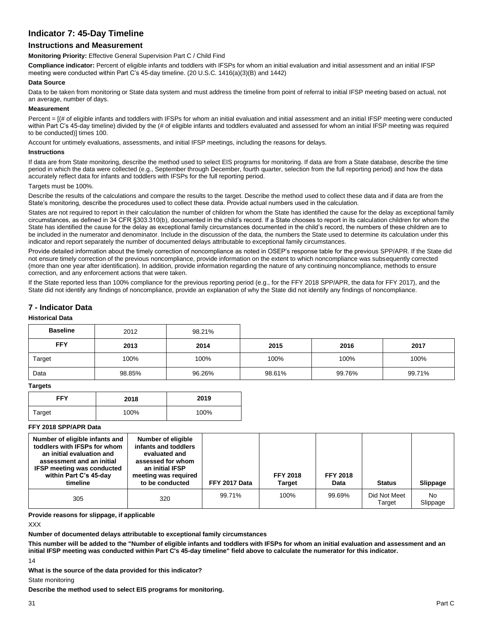## **Indicator 7: 45-Day Timeline**

## **Instructions and Measurement**

**Monitoring Priority:** Effective General Supervision Part C / Child Find

**Compliance indicator:** Percent of eligible infants and toddlers with IFSPs for whom an initial evaluation and initial assessment and an initial IFSP meeting were conducted within Part C's 45-day timeline. (20 U.S.C. 1416(a)(3)(B) and 1442)

#### **Data Source**

Data to be taken from monitoring or State data system and must address the timeline from point of referral to initial IFSP meeting based on actual, not an average, number of days.

#### **Measurement**

Percent =  $[(# of eligible infants and toldlers with IFSPs for whom an initial evaluation and initial assessment and an initial IFSP meeting were conducted$ within Part C's 45-day timeline) divided by the (# of eligible infants and toddlers evaluated and assessed for whom an initial IFSP meeting was required to be conducted)] times 100.

Account for untimely evaluations, assessments, and initial IFSP meetings, including the reasons for delays.

#### **Instructions**

If data are from State monitoring, describe the method used to select EIS programs for monitoring. If data are from a State database, describe the time period in which the data were collected (e.g., September through December, fourth quarter, selection from the full reporting period) and how the data accurately reflect data for infants and toddlers with IFSPs for the full reporting period.

#### Targets must be 100%

Describe the results of the calculations and compare the results to the target. Describe the method used to collect these data and if data are from the State's monitoring, describe the procedures used to collect these data. Provide actual numbers used in the calculation.

States are not required to report in their calculation the number of children for whom the State has identified the cause for the delay as exceptional family circumstances, as defined in 34 CFR §303.310(b), documented in the child's record. If a State chooses to report in its calculation children for whom the State has identified the cause for the delay as exceptional family circumstances documented in the child's record, the numbers of these children are to be included in the numerator and denominator. Include in the discussion of the data, the numbers the State used to determine its calculation under this indicator and report separately the number of documented delays attributable to exceptional family circumstances.

Provide detailed information about the timely correction of noncompliance as noted in OSEP's response table for the previous SPP/APR. If the State did not ensure timely correction of the previous noncompliance, provide information on the extent to which noncompliance was subsequently corrected (more than one year after identification). In addition, provide information regarding the nature of any continuing noncompliance, methods to ensure correction, and any enforcement actions that were taken.

If the State reported less than 100% compliance for the previous reporting period (e.g., for the FFY 2018 SPP/APR, the data for FFY 2017), and the State did not identify any findings of noncompliance, provide an explanation of why the State did not identify any findings of noncompliance.

## **7 - Indicator Data**

#### **Historical Data**

| <b>Baseline</b> | 2012   | 98.21% |        |        |        |
|-----------------|--------|--------|--------|--------|--------|
| <b>FFY</b>      | 2013   | 2014   | 2015   | 2016   | 2017   |
| Target          | 100%   | 100%   | 100%   | 100%   | 100%   |
| Data            | 98.85% | 96.26% | 98.61% | 99.76% | 99.71% |

### **Targets**

| <b>FFY</b> | 2018 | 2019 |
|------------|------|------|
| Target     | 100% | 100% |

### **FFY 2018 SPP/APR Data**

| Number of eligible infants and<br>toddlers with IFSPs for whom<br>an initial evaluation and<br>assessment and an initial<br><b>IFSP meeting was conducted</b><br>within Part C's 45-day<br>timeline | Number of eligible<br>infants and toddlers<br>evaluated and<br>assessed for whom<br>an initial IFSP<br>meeting was required<br>to be conducted | FFY 2017 Data | <b>FFY 2018</b><br><b>Target</b> | <b>FFY 2018</b><br>Data | <b>Status</b>          | Slippage       |
|-----------------------------------------------------------------------------------------------------------------------------------------------------------------------------------------------------|------------------------------------------------------------------------------------------------------------------------------------------------|---------------|----------------------------------|-------------------------|------------------------|----------------|
| 305                                                                                                                                                                                                 | 320                                                                                                                                            | 99.71%        | 100%                             | 99.69%                  | Did Not Meet<br>Target | No<br>Slippage |

**Provide reasons for slippage, if applicable**

XXX

**Number of documented delays attributable to exceptional family circumstances**

**This number will be added to the "Number of eligible infants and toddlers with IFSPs for whom an initial evaluation and assessment and an initial IFSP meeting was conducted within Part C's 45-day timeline" field above to calculate the numerator for this indicator.**

14

**What is the source of the data provided for this indicator?** 

State monitoring

**Describe the method used to select EIS programs for monitoring.**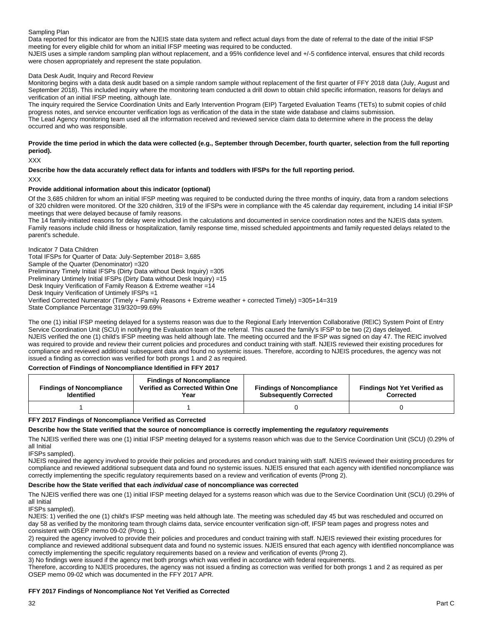#### Sampling Plan

Data reported for this indicator are from the NJEIS state data system and reflect actual days from the date of referral to the date of the initial IFSP meeting for every eligible child for whom an initial IFSP meeting was required to be conducted.

NJEIS uses a simple random sampling plan without replacement, and a 95% confidence level and +/-5 confidence interval, ensures that child records were chosen appropriately and represent the state population.

#### Data Desk Audit, Inquiry and Record Review

Monitoring begins with a data desk audit based on a simple random sample without replacement of the first quarter of FFY 2018 data (July, August and September 2018). This included inquiry where the monitoring team conducted a drill down to obtain child specific information, reasons for delays and verification of an initial IFSP meeting, although late.

The inquiry required the Service Coordination Units and Early Intervention Program (EIP) Targeted Evaluation Teams (TETs) to submit copies of child progress notes, and service encounter verification logs as verification of the data in the state wide database and claims submission. The Lead Agency monitoring team used all the information received and reviewed service claim data to determine where in the process the delay occurred and who was responsible.

#### **Provide the time period in which the data were collected (e.g., September through December, fourth quarter, selection from the full reporting period).**

XXX

#### **Describe how the data accurately reflect data for infants and toddlers with IFSPs for the full reporting period.**

XXX

#### **Provide additional information about this indicator (optional)**

Of the 3,685 children for whom an initial IFSP meeting was required to be conducted during the three months of inquiry, data from a random selections of 320 children were monitored. Of the 320 children, 319 of the IFSPs were in compliance with the 45 calendar day requirement, including 14 initial IFSP meetings that were delayed because of family reasons.

The 14 family-initiated reasons for delay were included in the calculations and documented in service coordination notes and the NJEIS data system. Family reasons include child illness or hospitalization, family response time, missed scheduled appointments and family requested delays related to the parent's schedule.

Indicator 7 Data Children Total IFSPs for Quarter of Data: July-September 2018= 3,685 Sample of the Quarter (Denominator) =320 Preliminary Timely Initial IFSPs (Dirty Data without Desk Inquiry) =305 Preliminary Untimely Initial IFSPs (Dirty Data without Desk Inquiry) =15 Desk Inquiry Verification of Family Reason & Extreme weather =14 Desk Inquiry Verification of Untimely IFSPs =1 Verified Corrected Numerator (Timely + Family Reasons + Extreme weather + corrected Timely) =305+14=319 State Compliance Percentage 319/320=99.69%

The one (1) initial IFSP meeting delayed for a systems reason was due to the Regional Early Intervention Collaborative (REIC) System Point of Entry Service Coordination Unit (SCU) in notifying the Evaluation team of the referral. This caused the family's IFSP to be two (2) days delayed. NJEIS verified the one (1) child's IFSP meeting was held although late. The meeting occurred and the IFSP was signed on day 47. The REIC involved was required to provide and review their current policies and procedures and conduct training with staff. NJEIS reviewed their existing procedures for compliance and reviewed additional subsequent data and found no systemic issues. Therefore, according to NJEIS procedures, the agency was not issued a finding as correction was verified for both prongs 1 and 2 as required.

#### **Correction of Findings of Noncompliance Identified in FFY 2017**

| <b>Findings of Noncompliance</b><br><b>Identified</b> | <b>Findings of Noncompliance</b><br>Verified as Corrected Within One<br>Year | <b>Findings of Noncompliance</b><br><b>Subsequently Corrected</b> | <b>Findings Not Yet Verified as</b><br>Corrected |
|-------------------------------------------------------|------------------------------------------------------------------------------|-------------------------------------------------------------------|--------------------------------------------------|
|                                                       |                                                                              |                                                                   |                                                  |

#### **FFY 2017 Findings of Noncompliance Verified as Corrected**

#### **Describe how the State verified that the source of noncompliance is correctly implementing the** *regulatory requirements*

The NJEIS verified there was one (1) initial IFSP meeting delayed for a systems reason which was due to the Service Coordination Unit (SCU) (0.29% of all Initial

IFSPs sampled).

NJEIS required the agency involved to provide their policies and procedures and conduct training with staff. NJEIS reviewed their existing procedures for compliance and reviewed additional subsequent data and found no systemic issues. NJEIS ensured that each agency with identified noncompliance was correctly implementing the specific regulatory requirements based on a review and verification of events (Prong 2).

#### **Describe how the State verified that each** *individual case* **of noncompliance was corrected**

The NJEIS verified there was one (1) initial IFSP meeting delayed for a systems reason which was due to the Service Coordination Unit (SCU) (0.29% of all Initial

IFSPs sampled).

NJEIS: 1) verified the one (1) child's IFSP meeting was held although late. The meeting was scheduled day 45 but was rescheduled and occurred on day 58 as verified by the monitoring team through claims data, service encounter verification sign-off, IFSP team pages and progress notes and consistent with OSEP memo 09-02 (Prong 1).

2) required the agency involved to provide their policies and procedures and conduct training with staff. NJEIS reviewed their existing procedures for compliance and reviewed additional subsequent data and found no systemic issues. NJEIS ensured that each agency with identified noncompliance was correctly implementing the specific regulatory requirements based on a review and verification of events (Prong 2).

3) No findings were issued if the agency met both prongs which was verified in accordance with federal requirements.

Therefore, according to NJEIS procedures, the agency was not issued a finding as correction was verified for both prongs 1 and 2 as required as per OSEP memo 09-02 which was documented in the FFY 2017 APR.

#### **FFY 2017 Findings of Noncompliance Not Yet Verified as Corrected**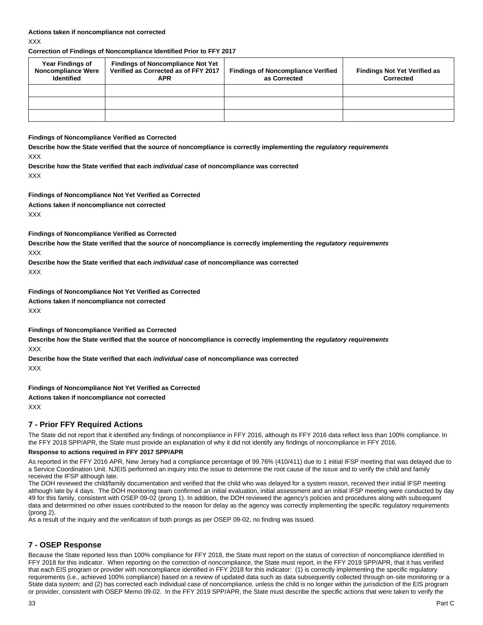**Correction of Findings of Noncompliance Identified Prior to FFY 2017**

| <b>Year Findings of</b><br><b>Noncompliance Were</b><br><b>Identified</b> | <b>Findings of Noncompliance Not Yet</b><br>Verified as Corrected as of FFY 2017<br><b>APR</b> | <b>Findings of Noncompliance Verified</b><br>as Corrected | <b>Findings Not Yet Verified as</b><br>Corrected |
|---------------------------------------------------------------------------|------------------------------------------------------------------------------------------------|-----------------------------------------------------------|--------------------------------------------------|
|                                                                           |                                                                                                |                                                           |                                                  |
|                                                                           |                                                                                                |                                                           |                                                  |
|                                                                           |                                                                                                |                                                           |                                                  |

**Findings of Noncompliance Verified as Corrected**

**Describe how the State verified that the source of noncompliance is correctly implementing the** *regulatory requirements* XXX

**Describe how the State verified that each** *individual case* **of noncompliance was corrected** XXX

**Findings of Noncompliance Not Yet Verified as Corrected Actions taken if noncompliance not corrected** XXX

**Findings of Noncompliance Verified as Corrected**

**Describe how the State verified that the source of noncompliance is correctly implementing the** *regulatory requirements* XXX

**Describe how the State verified that each** *individual case* **of noncompliance was corrected** XXX

**Findings of Noncompliance Not Yet Verified as Corrected**

**Actions taken if noncompliance not corrected** XXX

**Findings of Noncompliance Verified as Corrected**

**Describe how the State verified that the source of noncompliance is correctly implementing the** *regulatory requirements* XXX

**Describe how the State verified that each** *individual case* **of noncompliance was corrected** XXX

**Findings of Noncompliance Not Yet Verified as Corrected**

**Actions taken if noncompliance not corrected** XXX

## **7 - Prior FFY Required Actions**

The State did not report that it identified any findings of noncompliance in FFY 2016, although its FFY 2016 data reflect less than 100% compliance. In the FFY 2018 SPP/APR, the State must provide an explanation of why it did not identify any findings of noncompliance in FFY 2016.

### **Response to actions required in FFY 2017 SPP/APR**

As reported in the FFY 2016 APR, New Jersey had a compliance percentage of 99.76% (410/411) due to 1 initial IFSP meeting that was delayed due to a Service Coordination Unit. NJEIS performed an inquiry into the issue to determine the root cause of the issue and to verify the child and family received the IFSP although late.

The DOH reviewed the child/family documentation and verified that the child who was delayed for a system reason, received their initial IFSP meeting although late by 4 days. The DOH monitoring team confirmed an initial evaluation, initial assessment and an initial IFSP meeting were conducted by day 49 for this family, consistent with OSEP 09-02 (prong 1). In addition, the DOH reviewed the agency's policies and procedures along with subsequent data and determined no other issues contributed to the reason for delay as the agency was correctly implementing the specific regulatory requirements (prong 2).

As a result of the inquiry and the verification of both prongs as per OSEP 09-02, no finding was issued.

## **7 - OSEP Response**

Because the State reported less than 100% compliance for FFY 2018, the State must report on the status of correction of noncompliance identified in FFY 2018 for this indicator. When reporting on the correction of noncompliance, the State must report, in the FFY 2019 SPP/APR, that it has verified that each EIS program or provider with noncompliance identified in FFY 2018 for this indicator: (1) is correctly implementing the specific regulatory requirements (i.e., achieved 100% compliance) based on a review of updated data such as data subsequently collected through on-site monitoring or a State data system; and (2) has corrected each individual case of noncompliance, unless the child is no longer within the jurisdiction of the EIS program or provider, consistent with OSEP Memo 09-02. In the FFY 2019 SPP/APR, the State must describe the specific actions that were taken to verify the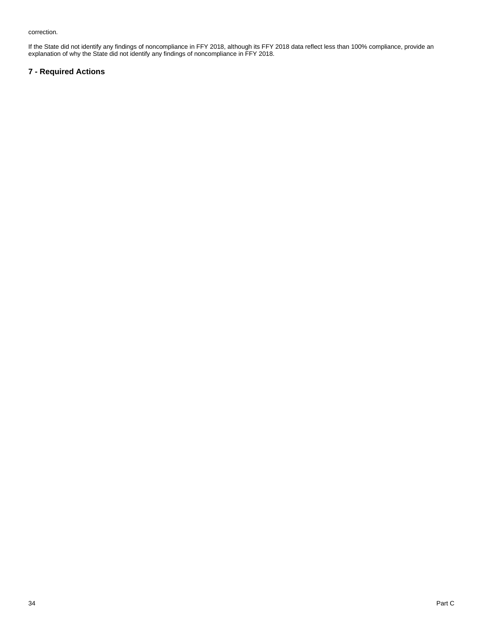correction.

If the State did not identify any findings of noncompliance in FFY 2018, although its FFY 2018 data reflect less than 100% compliance, provide an explanation of why the State did not identify any findings of noncompliance in FFY 2018.

## **7 - Required Actions**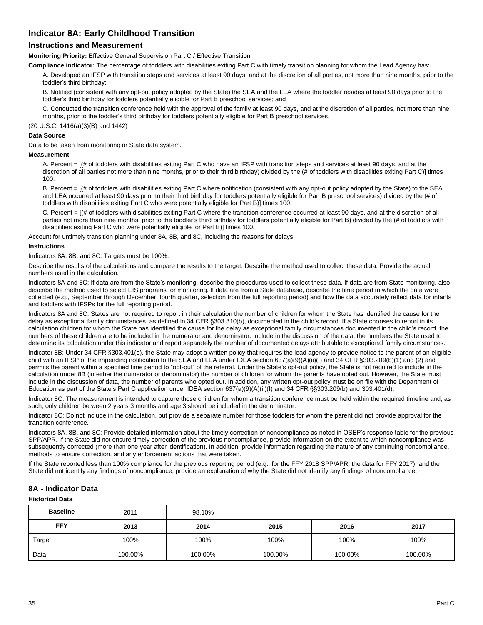## **Indicator 8A: Early Childhood Transition**

## **Instructions and Measurement**

**Monitoring Priority:** Effective General Supervision Part C / Effective Transition

**Compliance indicator:** The percentage of toddlers with disabilities exiting Part C with timely transition planning for whom the Lead Agency has:

A. Developed an IFSP with transition steps and services at least 90 days, and at the discretion of all parties, not more than nine months, prior to the toddler's third birthday;

B. Notified (consistent with any opt-out policy adopted by the State) the SEA and the LEA where the toddler resides at least 90 days prior to the toddler's third birthday for toddlers potentially eligible for Part B preschool services; and

C. Conducted the transition conference held with the approval of the family at least 90 days, and at the discretion of all parties, not more than nine months, prior to the toddler's third birthday for toddlers potentially eligible for Part B preschool services.

(20 U.S.C. 1416(a)(3)(B) and 1442)

#### **Data Source**

Data to be taken from monitoring or State data system.

#### **Measurement**

A. Percent = [(# of toddlers with disabilities exiting Part C who have an IFSP with transition steps and services at least 90 days, and at the discretion of all parties not more than nine months, prior to their third birthday) divided by the (# of toddlers with disabilities exiting Part C)] times 100.

B. Percent =  $I$  (# of toddlers with disabilities exiting Part C where notification (consistent with any opt-out policy adopted by the State) to the SEA and LEA occurred at least 90 days prior to their third birthday for toddlers potentially eligible for Part B preschool services) divided by the (# of toddlers with disabilities exiting Part C who were potentially eligible for Part B)] times 100.

C. Percent = [(# of toddlers with disabilities exiting Part C where the transition conference occurred at least 90 days, and at the discretion of all parties not more than nine months, prior to the toddler's third birthday for toddlers potentially eligible for Part B) divided by the (# of toddlers with disabilities exiting Part C who were potentially eligible for Part B)] times 100.

Account for untimely transition planning under 8A, 8B, and 8C, including the reasons for delays.

#### **Instructions**

Indicators 8A, 8B, and 8C: Targets must be 100%.

Describe the results of the calculations and compare the results to the target. Describe the method used to collect these data. Provide the actual numbers used in the calculation.

Indicators 8A and 8C: If data are from the State's monitoring, describe the procedures used to collect these data. If data are from State monitoring, also describe the method used to select EIS programs for monitoring. If data are from a State database, describe the time period in which the data were collected (e.g., September through December, fourth quarter, selection from the full reporting period) and how the data accurately reflect data for infants and toddlers with IFSPs for the full reporting period.

Indicators 8A and 8C: States are not required to report in their calculation the number of children for whom the State has identified the cause for the delay as exceptional family circumstances, as defined in 34 CFR §303.310(b), documented in the child's record. If a State chooses to report in its calculation children for whom the State has identified the cause for the delay as exceptional family circumstances documented in the child's record, the numbers of these children are to be included in the numerator and denominator. Include in the discussion of the data, the numbers the State used to determine its calculation under this indicator and report separately the number of documented delays attributable to exceptional family circumstances.

Indicator 8B: Under 34 CFR §303.401(e), the State may adopt a written policy that requires the lead agency to provide notice to the parent of an eligible child with an IFSP of the impending notification to the SEA and LEA under IDEA section 637(a)(9)(A)(ii)(I) and 34 CFR §303.209(b)(1) and (2) and permits the parent within a specified time period to "opt-out" of the referral. Under the State's opt-out policy, the State is not required to include in the calculation under 8B (in either the numerator or denominator) the number of children for whom the parents have opted out. However, the State must include in the discussion of data, the number of parents who opted out. In addition, any written opt-out policy must be on file with the Department of Education as part of the State's Part C application under IDEA section 637(a)(9)(A)(ii)(I) and 34 CFR §§303.209(b) and 303.401(d).

Indicator 8C: The measurement is intended to capture those children for whom a transition conference must be held within the required timeline and, as such, only children between 2 years 3 months and age 3 should be included in the denominator.

Indicator 8C: Do not include in the calculation, but provide a separate number for those toddlers for whom the parent did not provide approval for the transition conference.

Indicators 8A, 8B, and 8C: Provide detailed information about the timely correction of noncompliance as noted in OSEP's response table for the previous SPP/APR. If the State did not ensure timely correction of the previous noncompliance, provide information on the extent to which noncompliance was subsequently corrected (more than one year after identification). In addition, provide information regarding the nature of any continuing noncompliance, methods to ensure correction, and any enforcement actions that were taken.

If the State reported less than 100% compliance for the previous reporting period (e.g., for the FFY 2018 SPP/APR, the data for FFY 2017), and the State did not identify any findings of noncompliance, provide an explanation of why the State did not identify any findings of noncompliance.

## **8A - Indicator Data**

#### **Historical Data**

| <b>Baseline</b> | 2011    | 98.10%  |         |         |         |
|-----------------|---------|---------|---------|---------|---------|
| <b>FFY</b>      | 2013    | 2014    | 2015    | 2016    | 2017    |
| Target          | 100%    | 100%    | 100%    | 100%    | 100%    |
| Data            | 100.00% | 100.00% | 100.00% | 100.00% | 100.00% |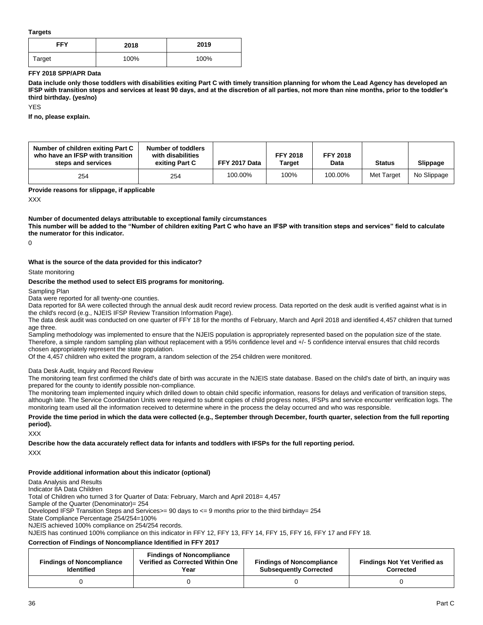#### **Targets**

| FFY    | 2018 | 2019 |
|--------|------|------|
| Target | 100% | 100% |

#### **FFY 2018 SPP/APR Data**

**Data include only those toddlers with disabilities exiting Part C with timely transition planning for whom the Lead Agency has developed an IFSP with transition steps and services at least 90 days, and at the discretion of all parties, not more than nine months, prior to the toddler's third birthday. (yes/no)**

YES

**If no, please explain.** 

| Number of children exiting Part C<br>who have an IFSP with transition<br>steps and services | Number of toddlers<br>with disabilities<br>exiting Part C | FFY 2017 Data | <b>FFY 2018</b><br>Target | <b>FFY 2018</b><br>Data | <b>Status</b> | Slippage    |
|---------------------------------------------------------------------------------------------|-----------------------------------------------------------|---------------|---------------------------|-------------------------|---------------|-------------|
| 254                                                                                         | 254                                                       | 100.00%       | 100%                      | 100.00%                 | Met Target    | No Slippage |

**Provide reasons for slippage, if applicable**

XXX

#### **Number of documented delays attributable to exceptional family circumstances**

**This number will be added to the "Number of children exiting Part C who have an IFSP with transition steps and services" field to calculate the numerator for this indicator.**

 $\Omega$ 

#### **What is the source of the data provided for this indicator?**

State monitoring

#### **Describe the method used to select EIS programs for monitoring.**

Sampling Plan

Data were reported for all twenty-one counties.

Data reported for 8A were collected through the annual desk audit record review process. Data reported on the desk audit is verified against what is in the child's record (e.g., NJEIS IFSP Review Transition Information Page).

The data desk audit was conducted on one quarter of FFY 18 for the months of February, March and April 2018 and identified 4,457 children that turned age three.

Sampling methodology was implemented to ensure that the NJEIS population is appropriately represented based on the population size of the state. Therefore, a simple random sampling plan without replacement with a 95% confidence level and +/- 5 confidence interval ensures that child records chosen appropriately represent the state population.

Of the 4,457 children who exited the program, a random selection of the 254 children were monitored.

#### Data Desk Audit, Inquiry and Record Review

The monitoring team first confirmed the child's date of birth was accurate in the NJEIS state database. Based on the child's date of birth, an inquiry was prepared for the county to identify possible non-compliance.

The monitoring team implemented inquiry which drilled down to obtain child specific information, reasons for delays and verification of transition steps, although late. The Service Coordination Units were required to submit copies of child progress notes, IFSPs and service encounter verification logs. The monitoring team used all the information received to determine where in the process the delay occurred and who was responsible.

#### **Provide the time period in which the data were collected (e.g., September through December, fourth quarter, selection from the full reporting period).**

XXX

**Describe how the data accurately reflect data for infants and toddlers with IFSPs for the full reporting period.**  XXX

#### **Provide additional information about this indicator (optional)**

Data Analysis and Results

Indicator 8A Data Children

Total of Children who turned 3 for Quarter of Data: February, March and April 2018= 4,457

Sample of the Quarter (Denominator)= 254

Developed IFSP Transition Steps and Services>= 90 days to <= 9 months prior to the third birthday= 254

State Compliance Percentage 254/254=100%

NJEIS achieved 100% compliance on 254/254 records.

NJEIS has continued 100% compliance on this indicator in FFY 12, FFY 13, FFY 14, FFY 15, FFY 16, FFY 17 and FFY 18.

#### **Correction of Findings of Noncompliance Identified in FFY 2017**

| <b>Findings of Noncompliance</b><br><b>Identified</b> | <b>Findings of Noncompliance</b><br>Verified as Corrected Within One<br>Year | <b>Findings of Noncompliance</b><br><b>Subsequently Corrected</b> | <b>Findings Not Yet Verified as</b><br>Corrected |
|-------------------------------------------------------|------------------------------------------------------------------------------|-------------------------------------------------------------------|--------------------------------------------------|
|                                                       |                                                                              |                                                                   |                                                  |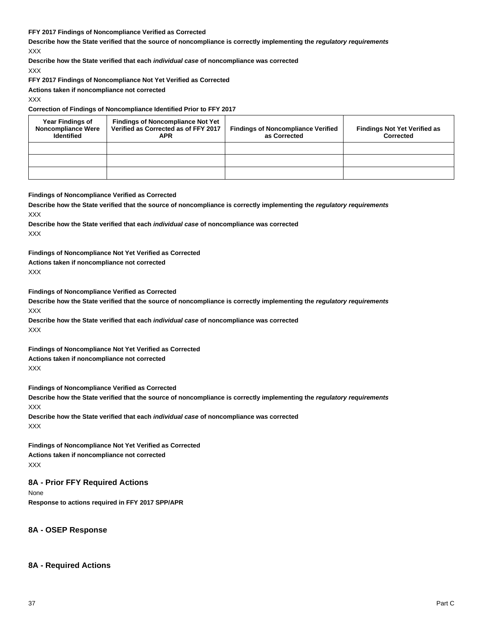#### **FFY 2017 Findings of Noncompliance Verified as Corrected**

**Describe how the State verified that the source of noncompliance is correctly implementing the** *regulatory requirements* XXX

**Describe how the State verified that each** *individual case* **of noncompliance was corrected**

XXX

**FFY 2017 Findings of Noncompliance Not Yet Verified as Corrected**

**Actions taken if noncompliance not corrected**

XXX

### **Correction of Findings of Noncompliance Identified Prior to FFY 2017**

| <b>Year Findings of</b><br><b>Noncompliance Were</b><br><b>Identified</b> | <b>Findings of Noncompliance Not Yet</b><br>Verified as Corrected as of FFY 2017<br>APR | <b>Findings of Noncompliance Verified</b><br>as Corrected | <b>Findings Not Yet Verified as</b><br>Corrected |
|---------------------------------------------------------------------------|-----------------------------------------------------------------------------------------|-----------------------------------------------------------|--------------------------------------------------|
|                                                                           |                                                                                         |                                                           |                                                  |
|                                                                           |                                                                                         |                                                           |                                                  |
|                                                                           |                                                                                         |                                                           |                                                  |

#### **Findings of Noncompliance Verified as Corrected**

**Describe how the State verified that the source of noncompliance is correctly implementing the** *regulatory requirements* XXX

**Describe how the State verified that each** *individual case* **of noncompliance was corrected** XXX

**Findings of Noncompliance Not Yet Verified as Corrected**

# **Actions taken if noncompliance not corrected**

XXX

**Findings of Noncompliance Verified as Corrected**

**Describe how the State verified that the source of noncompliance is correctly implementing the** *regulatory requirements* XXX

**Describe how the State verified that each** *individual case* **of noncompliance was corrected** XXX

**Findings of Noncompliance Not Yet Verified as Corrected Actions taken if noncompliance not corrected** XXX

**Findings of Noncompliance Verified as Corrected**

**Describe how the State verified that the source of noncompliance is correctly implementing the** *regulatory requirements* XXX

**Describe how the State verified that each** *individual case* **of noncompliance was corrected** XXX

**Findings of Noncompliance Not Yet Verified as Corrected Actions taken if noncompliance not corrected** XXX

## **8A - Prior FFY Required Actions**

None **Response to actions required in FFY 2017 SPP/APR**

**8A - OSEP Response**

## **8A - Required Actions**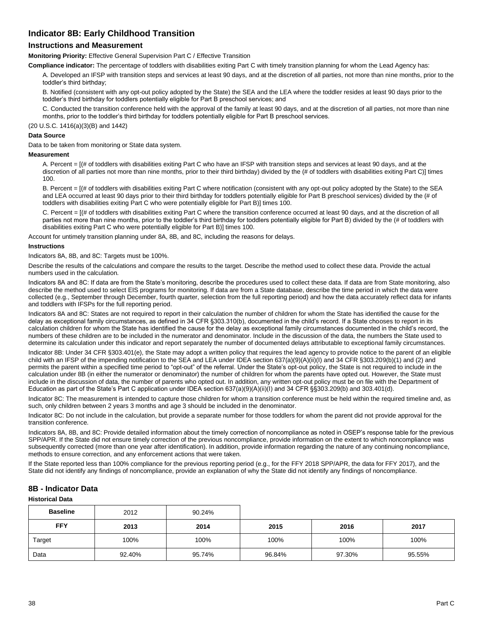## **Indicator 8B: Early Childhood Transition**

## **Instructions and Measurement**

**Monitoring Priority:** Effective General Supervision Part C / Effective Transition

**Compliance indicator:** The percentage of toddlers with disabilities exiting Part C with timely transition planning for whom the Lead Agency has:

A. Developed an IFSP with transition steps and services at least 90 days, and at the discretion of all parties, not more than nine months, prior to the toddler's third birthday;

B. Notified (consistent with any opt-out policy adopted by the State) the SEA and the LEA where the toddler resides at least 90 days prior to the toddler's third birthday for toddlers potentially eligible for Part B preschool services; and

C. Conducted the transition conference held with the approval of the family at least 90 days, and at the discretion of all parties, not more than nine months, prior to the toddler's third birthday for toddlers potentially eligible for Part B preschool services.

(20 U.S.C. 1416(a)(3)(B) and 1442)

#### **Data Source**

Data to be taken from monitoring or State data system.

#### **Measurement**

A. Percent = [(# of toddlers with disabilities exiting Part C who have an IFSP with transition steps and services at least 90 days, and at the discretion of all parties not more than nine months, prior to their third birthday) divided by the (# of toddlers with disabilities exiting Part C)] times 100.

B. Percent =  $I$  (# of toddlers with disabilities exiting Part C where notification (consistent with any opt-out policy adopted by the State) to the SEA and LEA occurred at least 90 days prior to their third birthday for toddlers potentially eligible for Part B preschool services) divided by the (# of toddlers with disabilities exiting Part C who were potentially eligible for Part B)] times 100.

C. Percent = [(# of toddlers with disabilities exiting Part C where the transition conference occurred at least 90 days, and at the discretion of all parties not more than nine months, prior to the toddler's third birthday for toddlers potentially eligible for Part B) divided by the (# of toddlers with disabilities exiting Part C who were potentially eligible for Part B)] times 100.

Account for untimely transition planning under 8A, 8B, and 8C, including the reasons for delays.

#### **Instructions**

Indicators 8A, 8B, and 8C: Targets must be 100%.

Describe the results of the calculations and compare the results to the target. Describe the method used to collect these data. Provide the actual numbers used in the calculation.

Indicators 8A and 8C: If data are from the State's monitoring, describe the procedures used to collect these data. If data are from State monitoring, also describe the method used to select EIS programs for monitoring. If data are from a State database, describe the time period in which the data were collected (e.g., September through December, fourth quarter, selection from the full reporting period) and how the data accurately reflect data for infants and toddlers with IFSPs for the full reporting period.

Indicators 8A and 8C: States are not required to report in their calculation the number of children for whom the State has identified the cause for the delay as exceptional family circumstances, as defined in 34 CFR §303.310(b), documented in the child's record. If a State chooses to report in its calculation children for whom the State has identified the cause for the delay as exceptional family circumstances documented in the child's record, the numbers of these children are to be included in the numerator and denominator. Include in the discussion of the data, the numbers the State used to determine its calculation under this indicator and report separately the number of documented delays attributable to exceptional family circumstances.

Indicator 8B: Under 34 CFR §303.401(e), the State may adopt a written policy that requires the lead agency to provide notice to the parent of an eligible child with an IFSP of the impending notification to the SEA and LEA under IDEA section 637(a)(9)(A)(ii)(I) and 34 CFR §303.209(b)(1) and (2) and permits the parent within a specified time period to "opt-out" of the referral. Under the State's opt-out policy, the State is not required to include in the calculation under 8B (in either the numerator or denominator) the number of children for whom the parents have opted out. However, the State must include in the discussion of data, the number of parents who opted out. In addition, any written opt-out policy must be on file with the Department of Education as part of the State's Part C application under IDEA section 637(a)(9)(A)(ii)(I) and 34 CFR §§303.209(b) and 303.401(d).

Indicator 8C: The measurement is intended to capture those children for whom a transition conference must be held within the required timeline and, as such, only children between 2 years 3 months and age 3 should be included in the denominator.

Indicator 8C: Do not include in the calculation, but provide a separate number for those toddlers for whom the parent did not provide approval for the transition conference.

Indicators 8A, 8B, and 8C: Provide detailed information about the timely correction of noncompliance as noted in OSEP's response table for the previous SPP/APR. If the State did not ensure timely correction of the previous noncompliance, provide information on the extent to which noncompliance was subsequently corrected (more than one year after identification). In addition, provide information regarding the nature of any continuing noncompliance, methods to ensure correction, and any enforcement actions that were taken.

If the State reported less than 100% compliance for the previous reporting period (e.g., for the FFY 2018 SPP/APR, the data for FFY 2017), and the State did not identify any findings of noncompliance, provide an explanation of why the State did not identify any findings of noncompliance.

## **8B - Indicator Data**

#### **Historical Data**

| <b>Baseline</b> | 2012   | 90.24% |        |        |        |
|-----------------|--------|--------|--------|--------|--------|
| <b>FFY</b>      | 2013   | 2014   | 2015   | 2016   | 2017   |
| Target          | 100%   | 100%   | 100%   | 100%   | 100%   |
| Data            | 92.40% | 95.74% | 96.84% | 97.30% | 95.55% |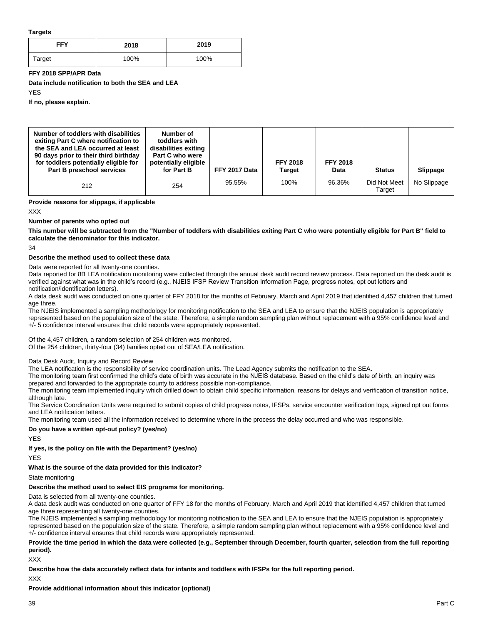#### **Targets**

| FFY    | 2018 | 2019 |
|--------|------|------|
| Target | 100% | 100% |

#### **FFY 2018 SPP/APR Data**

**Data include notification to both the SEA and LEA**

YES

**If no, please explain.**

| Number of toddlers with disabilities<br>exiting Part C where notification to<br>the SEA and LEA occurred at least<br>90 days prior to their third birthday<br>for toddlers potentially eligible for<br>Part B preschool services | Number of<br>toddlers with<br>disabilities exiting<br>Part C who were<br>potentially eligible<br>for Part B | FFY 2017 Data | <b>FFY 2018</b><br>Target | <b>FFY 2018</b><br>Data | <b>Status</b>          | Slippage    |
|----------------------------------------------------------------------------------------------------------------------------------------------------------------------------------------------------------------------------------|-------------------------------------------------------------------------------------------------------------|---------------|---------------------------|-------------------------|------------------------|-------------|
| 212                                                                                                                                                                                                                              | 254                                                                                                         | 95.55%        | 100%                      | 96.36%                  | Did Not Meet<br>Target | No Slippage |

**Provide reasons for slippage, if applicable**

XXX

### **Number of parents who opted out**

**This number will be subtracted from the "Number of toddlers with disabilities exiting Part C who were potentially eligible for Part B" field to calculate the denominator for this indicator.**

34

#### **Describe the method used to collect these data**

Data were reported for all twenty-one counties.

Data reported for 8B LEA notification monitoring were collected through the annual desk audit record review process. Data reported on the desk audit is verified against what was in the child's record (e.g., NJEIS IFSP Review Transition Information Page, progress notes, opt out letters and notification/identification letters).

A data desk audit was conducted on one quarter of FFY 2018 for the months of February, March and April 2019 that identified 4,457 children that turned age three.

The NJEIS implemented a sampling methodology for monitoring notification to the SEA and LEA to ensure that the NJEIS population is appropriately represented based on the population size of the state. Therefore, a simple random sampling plan without replacement with a 95% confidence level and +/- 5 confidence interval ensures that child records were appropriately represented.

Of the 4,457 children, a random selection of 254 children was monitored.

Of the 254 children, thirty-four (34) families opted out of SEA/LEA notification.

### Data Desk Audit, Inquiry and Record Review

The LEA notification is the responsibility of service coordination units. The Lead Agency submits the notification to the SEA.

The monitoring team first confirmed the child's date of birth was accurate in the NJEIS database. Based on the child's date of birth, an inquiry was prepared and forwarded to the appropriate county to address possible non-compliance.

The monitoring team implemented inquiry which drilled down to obtain child specific information, reasons for delays and verification of transition notice, although late.

The Service Coordination Units were required to submit copies of child progress notes, IFSPs, service encounter verification logs, signed opt out forms and LEA notification letters.

The monitoring team used all the information received to determine where in the process the delay occurred and who was responsible.

#### **Do you have a written opt-out policy? (yes/no)**

YES

#### **If yes, is the policy on file with the Department? (yes/no)**

YES

## **What is the source of the data provided for this indicator?**

State monitoring

## **Describe the method used to select EIS programs for monitoring.**

Data is selected from all twenty-one counties.

A data desk audit was conducted on one quarter of FFY 18 for the months of February, March and April 2019 that identified 4,457 children that turned age three representing all twenty-one counties.

The NJEIS implemented a sampling methodology for monitoring notification to the SEA and LEA to ensure that the NJEIS population is appropriately represented based on the population size of the state. Therefore, a simple random sampling plan without replacement with a 95% confidence level and +/- confidence interval ensures that child records were appropriately represented.

### **Provide the time period in which the data were collected (e.g., September through December, fourth quarter, selection from the full reporting period).**

XXX

**Describe how the data accurately reflect data for infants and toddlers with IFSPs for the full reporting period.** 

XXX

**Provide additional information about this indicator (optional)**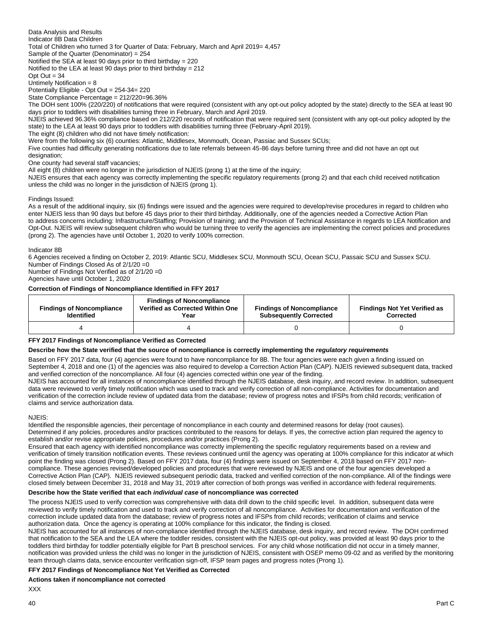Data Analysis and Results Indicator 8B Data Children Total of Children who turned 3 for Quarter of Data: February, March and April 2019= 4,457 Sample of the Quarter (Denominator) = 254 Notified the SEA at least 90 days prior to third birthday = 220 Notified to the LEA at least 90 days prior to third birthday = 212

Opt  $Out = 34$ 

Untimely Notification = 8 Potentially Eligible - Opt Out = 254-34= 220

State Compliance Percentage = 212/220=96.36%

The DOH sent 100% (220/220) of notifications that were required (consistent with any opt-out policy adopted by the state) directly to the SEA at least 90 days prior to toddlers with disabilities turning three in February, March and April 2019.

NJEIS achieved 96.36% compliance based on 212/220 records of notification that were required sent (consistent with any opt-out policy adopted by the state) to the LEA at least 90 days prior to toddlers with disabilities turning three (February-April 2019).

The eight (8) children who did not have timely notification:

Were from the following six (6) counties: Atlantic, Middlesex, Monmouth, Ocean, Passiac and Sussex SCUs;

Five counties had difficulty generating notifications due to late referrals between 45-86 days before turning three and did not have an opt out designation;

One county had several staff vacancies;

All eight (8) children were no longer in the jurisdiction of NJEIS (prong 1) at the time of the inquiry;

NJEIS ensures that each agency was correctly implementing the specific regulatory requirements (prong 2) and that each child received notification unless the child was no longer in the jurisdiction of NJEIS (prong 1).

Findings Issued:

As a result of the additional inquiry, six (6) findings were issued and the agencies were required to develop/revise procedures in regard to children who enter NJEIS less than 90 days but before 45 days prior to their third birthday. Additionally, one of the agencies needed a Corrective Action Plan to address concerns including: Infrastructure/Staffing; Provision of training; and the Provision of Technical Assistance in regards to LEA Notification and Opt-Out. NJEIS will review subsequent children who would be turning three to verify the agencies are implementing the correct policies and procedures (prong 2). The agencies have until October 1, 2020 to verify 100% correction.

Indicator 8B

6 Agencies received a finding on October 2, 2019: Atlantic SCU, Middlesex SCU, Monmouth SCU, Ocean SCU, Passaic SCU and Sussex SCU. Number of Findings Closed As of 2/1/20 =0

Number of Findings Not Verified as of 2/1/20 =0

Agencies have until October 1, 2020

#### **Correction of Findings of Noncompliance Identified in FFY 2017**

| <b>Findings of Noncompliance</b><br><b>Identified</b> | <b>Findings of Noncompliance</b><br>Verified as Corrected Within One<br>Year | <b>Findings of Noncompliance</b><br><b>Subsequently Corrected</b> | <b>Findings Not Yet Verified as</b><br>Corrected |
|-------------------------------------------------------|------------------------------------------------------------------------------|-------------------------------------------------------------------|--------------------------------------------------|
|                                                       |                                                                              |                                                                   |                                                  |

#### **FFY 2017 Findings of Noncompliance Verified as Corrected**

#### **Describe how the State verified that the source of noncompliance is correctly implementing the** *regulatory requirements*

Based on FFY 2017 data, four (4) agencies were found to have noncompliance for 8B. The four agencies were each given a finding issued on September 4, 2018 and one (1) of the agencies was also required to develop a Correction Action Plan (CAP). NJEIS reviewed subsequent data, tracked and verified correction of the noncompliance. All four (4) agencies corrected within one year of the finding.

NJEIS has accounted for all instances of noncompliance identified through the NJEIS database, desk inquiry, and record review. In addition, subsequent data were reviewed to verify timely notification which was used to track and verify correction of all non-compliance. Activities for documentation and verification of the correction include review of updated data from the database; review of progress notes and IFSPs from child records; verification of claims and service authorization data.

N.IFIS<sup>:</sup>

Identified the responsible agencies, their percentage of noncompliance in each county and determined reasons for delay (root causes). Determined if any policies, procedures and/or practices contributed to the reasons for delays. If yes, the corrective action plan required the agency to establish and/or revise appropriate policies, procedures and/or practices (Prong 2).

Ensured that each agency with identified noncompliance was correctly implementing the specific regulatory requirements based on a review and verification of timely transition notification events. These reviews continued until the agency was operating at 100% compliance for this indicator at which point the finding was closed (Prong 2). Based on FFY 2017 data, four (4) findings were issued on September 4, 2018 based on FFY 2017 noncompliance. These agencies revised/developed policies and procedures that were reviewed by NJEIS and one of the four agencies developed a Corrective Action Plan (CAP). NJEIS reviewed subsequent periodic data, tracked and verified correction of the non-compliance. All of the findings were closed timely between December 31, 2018 and May 31, 2019 after correction of both prongs was verified in accordance with federal requirements.

#### **Describe how the State verified that each** *individual case* **of noncompliance was corrected**

The process NJEIS used to verify correction was comprehensive with data drill down to the child specific level. In addition, subsequent data were reviewed to verify timely notification and used to track and verify correction of all noncompliance. Activities for documentation and verification of the correction include updated data from the database; review of progress notes and IFSPs from child records; verification of claims and service authorization data. Once the agency is operating at 100% compliance for this indicator, the finding is closed.

NJEIS has accounted for all instances of non-compliance identified through the NJEIS database, desk inquiry, and record review. The DOH confirmed that notification to the SEA and the LEA where the toddler resides, consistent with the NJEIS opt-out policy, was provided at least 90 days prior to the toddlers third birthday for toddler potentially eligible for Part B preschool services. For any child whose notification did not occur in a timely manner, notification was provided unless the child was no longer in the jurisdiction of NJEIS, consistent with OSEP memo 09-02 and as verified by the monitoring team through claims data, service encounter verification sign-off, IFSP team pages and progress notes (Prong 1).

#### **FFY 2017 Findings of Noncompliance Not Yet Verified as Corrected**

#### **Actions taken if noncompliance not corrected**

XXX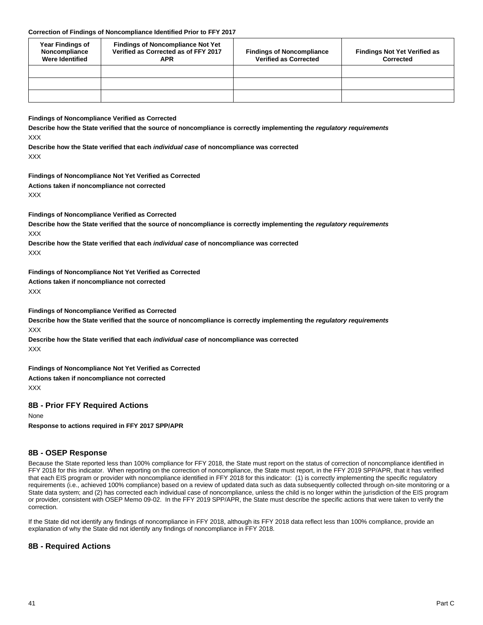#### **Correction of Findings of Noncompliance Identified Prior to FFY 2017**

| Year Findings of<br>Noncompliance<br><b>Were Identified</b> | <b>Findings of Noncompliance Not Yet</b><br>Verified as Corrected as of FFY 2017<br>APR | <b>Findings of Noncompliance</b><br><b>Verified as Corrected</b> | <b>Findings Not Yet Verified as</b><br>Corrected |
|-------------------------------------------------------------|-----------------------------------------------------------------------------------------|------------------------------------------------------------------|--------------------------------------------------|
|                                                             |                                                                                         |                                                                  |                                                  |
|                                                             |                                                                                         |                                                                  |                                                  |
|                                                             |                                                                                         |                                                                  |                                                  |

**Findings of Noncompliance Verified as Corrected**

**Describe how the State verified that the source of noncompliance is correctly implementing the** *regulatory requirements* XXX

**Describe how the State verified that each** *individual case* **of noncompliance was corrected** XXX

**Findings of Noncompliance Not Yet Verified as Corrected**

**Actions taken if noncompliance not corrected** XXX

**Findings of Noncompliance Verified as Corrected**

**Describe how the State verified that the source of noncompliance is correctly implementing the** *regulatory requirements* XXX

**Describe how the State verified that each** *individual case* **of noncompliance was corrected** XXX

**Findings of Noncompliance Not Yet Verified as Corrected**

**Actions taken if noncompliance not corrected**

XXX

**Findings of Noncompliance Verified as Corrected**

**Describe how the State verified that the source of noncompliance is correctly implementing the** *regulatory requirements* XXX

**Describe how the State verified that each** *individual case* **of noncompliance was corrected** XXX

**Findings of Noncompliance Not Yet Verified as Corrected Actions taken if noncompliance not corrected** XXX

## **8B - Prior FFY Required Actions**

None

**Response to actions required in FFY 2017 SPP/APR**

## **8B - OSEP Response**

Because the State reported less than 100% compliance for FFY 2018, the State must report on the status of correction of noncompliance identified in FFY 2018 for this indicator. When reporting on the correction of noncompliance, the State must report, in the FFY 2019 SPP/APR, that it has verified that each EIS program or provider with noncompliance identified in FFY 2018 for this indicator: (1) is correctly implementing the specific regulatory requirements (i.e., achieved 100% compliance) based on a review of updated data such as data subsequently collected through on-site monitoring or a State data system; and (2) has corrected each individual case of noncompliance, unless the child is no longer within the jurisdiction of the EIS program or provider, consistent with OSEP Memo 09-02. In the FFY 2019 SPP/APR, the State must describe the specific actions that were taken to verify the correction.

If the State did not identify any findings of noncompliance in FFY 2018, although its FFY 2018 data reflect less than 100% compliance, provide an explanation of why the State did not identify any findings of noncompliance in FFY 2018.

## **8B - Required Actions**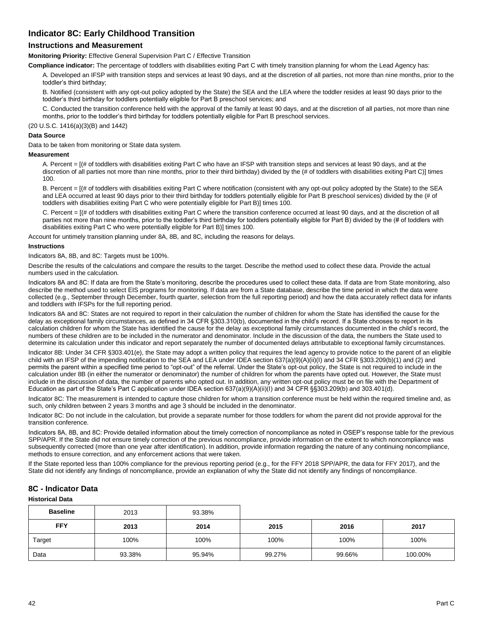## **Indicator 8C: Early Childhood Transition**

## **Instructions and Measurement**

**Monitoring Priority:** Effective General Supervision Part C / Effective Transition

**Compliance indicator:** The percentage of toddlers with disabilities exiting Part C with timely transition planning for whom the Lead Agency has:

A. Developed an IFSP with transition steps and services at least 90 days, and at the discretion of all parties, not more than nine months, prior to the toddler's third birthday;

B. Notified (consistent with any opt-out policy adopted by the State) the SEA and the LEA where the toddler resides at least 90 days prior to the toddler's third birthday for toddlers potentially eligible for Part B preschool services; and

C. Conducted the transition conference held with the approval of the family at least 90 days, and at the discretion of all parties, not more than nine months, prior to the toddler's third birthday for toddlers potentially eligible for Part B preschool services.

(20 U.S.C. 1416(a)(3)(B) and 1442)

#### **Data Source**

Data to be taken from monitoring or State data system.

#### **Measurement**

A. Percent = [(# of toddlers with disabilities exiting Part C who have an IFSP with transition steps and services at least 90 days, and at the discretion of all parties not more than nine months, prior to their third birthday) divided by the (# of toddlers with disabilities exiting Part C)] times 100.

B. Percent =  $I$  (# of toddlers with disabilities exiting Part C where notification (consistent with any opt-out policy adopted by the State) to the SEA and LEA occurred at least 90 days prior to their third birthday for toddlers potentially eligible for Part B preschool services) divided by the (# of toddlers with disabilities exiting Part C who were potentially eligible for Part B)] times 100.

C. Percent = [(# of toddlers with disabilities exiting Part C where the transition conference occurred at least 90 days, and at the discretion of all parties not more than nine months, prior to the toddler's third birthday for toddlers potentially eligible for Part B) divided by the (# of toddlers with disabilities exiting Part C who were potentially eligible for Part B)] times 100.

Account for untimely transition planning under 8A, 8B, and 8C, including the reasons for delays.

#### **Instructions**

Indicators 8A, 8B, and 8C: Targets must be 100%.

Describe the results of the calculations and compare the results to the target. Describe the method used to collect these data. Provide the actual numbers used in the calculation.

Indicators 8A and 8C: If data are from the State's monitoring, describe the procedures used to collect these data. If data are from State monitoring, also describe the method used to select EIS programs for monitoring. If data are from a State database, describe the time period in which the data were collected (e.g., September through December, fourth quarter, selection from the full reporting period) and how the data accurately reflect data for infants and toddlers with IFSPs for the full reporting period.

Indicators 8A and 8C: States are not required to report in their calculation the number of children for whom the State has identified the cause for the delay as exceptional family circumstances, as defined in 34 CFR §303.310(b), documented in the child's record. If a State chooses to report in its calculation children for whom the State has identified the cause for the delay as exceptional family circumstances documented in the child's record, the numbers of these children are to be included in the numerator and denominator. Include in the discussion of the data, the numbers the State used to determine its calculation under this indicator and report separately the number of documented delays attributable to exceptional family circumstances.

Indicator 8B: Under 34 CFR §303.401(e), the State may adopt a written policy that requires the lead agency to provide notice to the parent of an eligible child with an IFSP of the impending notification to the SEA and LEA under IDEA section 637(a)(9)(A)(ii)(I) and 34 CFR §303.209(b)(1) and (2) and permits the parent within a specified time period to "opt-out" of the referral. Under the State's opt-out policy, the State is not required to include in the calculation under 8B (in either the numerator or denominator) the number of children for whom the parents have opted out. However, the State must include in the discussion of data, the number of parents who opted out. In addition, any written opt-out policy must be on file with the Department of Education as part of the State's Part C application under IDEA section 637(a)(9)(A)(ii)(I) and 34 CFR §§303.209(b) and 303.401(d).

Indicator 8C: The measurement is intended to capture those children for whom a transition conference must be held within the required timeline and, as such, only children between 2 years 3 months and age 3 should be included in the denominator.

Indicator 8C: Do not include in the calculation, but provide a separate number for those toddlers for whom the parent did not provide approval for the transition conference.

Indicators 8A, 8B, and 8C: Provide detailed information about the timely correction of noncompliance as noted in OSEP's response table for the previous SPP/APR. If the State did not ensure timely correction of the previous noncompliance, provide information on the extent to which noncompliance was subsequently corrected (more than one year after identification). In addition, provide information regarding the nature of any continuing noncompliance, methods to ensure correction, and any enforcement actions that were taken.

If the State reported less than 100% compliance for the previous reporting period (e.g., for the FFY 2018 SPP/APR, the data for FFY 2017), and the State did not identify any findings of noncompliance, provide an explanation of why the State did not identify any findings of noncompliance.

## **8C - Indicator Data**

#### **Historical Data**

| <b>Baseline</b> | 2013   | 93.38% |        |        |         |
|-----------------|--------|--------|--------|--------|---------|
| <b>FFY</b>      | 2013   | 2014   | 2015   | 2016   | 2017    |
| Target          | 100%   | 100%   | 100%   | 100%   | 100%    |
| Data            | 93.38% | 95.94% | 99.27% | 99.66% | 100.00% |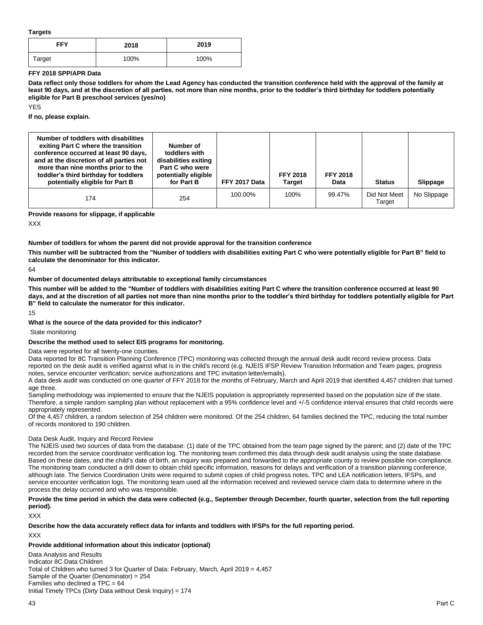**Targets**

| FFY    | 2018 | 2019 |
|--------|------|------|
| Target | 100% | 100% |

#### **FFY 2018 SPP/APR Data**

**Data reflect only those toddlers for whom the Lead Agency has conducted the transition conference held with the approval of the family at least 90 days, and at the discretion of all parties, not more than nine months, prior to the toddler's third birthday for toddlers potentially eligible for Part B preschool services (yes/no)**

YES

**If no, please explain.** 

| Number of toddlers with disabilities<br>exiting Part C where the transition<br>conference occurred at least 90 days,<br>and at the discretion of all parties not<br>more than nine months prior to the<br>toddler's third birthday for toddlers<br>potentially eligible for Part B | Number of<br>toddlers with<br>disabilities exiting<br>Part C who were<br>potentially eligible<br>for Part B | FFY 2017 Data | <b>FFY 2018</b><br><b>Target</b> | <b>FFY 2018</b><br>Data | <b>Status</b>          | Slippage    |
|------------------------------------------------------------------------------------------------------------------------------------------------------------------------------------------------------------------------------------------------------------------------------------|-------------------------------------------------------------------------------------------------------------|---------------|----------------------------------|-------------------------|------------------------|-------------|
| 174                                                                                                                                                                                                                                                                                | 254                                                                                                         | 100.00%       | 100%                             | 99.47%                  | Did Not Meet<br>Target | No Slippage |

**Provide reasons for slippage, if applicable**

XXX

#### **Number of toddlers for whom the parent did not provide approval for the transition conference**

**This number will be subtracted from the "Number of toddlers with disabilities exiting Part C who were potentially eligible for Part B" field to calculate the denominator for this indicator.**

 $64$ 

#### **Number of documented delays attributable to exceptional family circumstances**

**This number will be added to the "Number of toddlers with disabilities exiting Part C where the transition conference occurred at least 90 days, and at the discretion of all parties not more than nine months prior to the toddler's third birthday for toddlers potentially eligible for Part B" field to calculate the numerator for this indicator.**

15

### **What is the source of the data provided for this indicator?**

State monitoring

### **Describe the method used to select EIS programs for monitoring.**

Data were reported for all twenty-one counties.

Data reported for 8C Transition Planning Conference (TPC) monitoring was collected through the annual desk audit record review process. Data reported on the desk audit is verified against what is in the child's record (e.g. NJEIS IFSP Review Transition Information and Team pages, progress notes, service encounter verification; service authorizations and TPC invitation letter/emails).

A data desk audit was conducted on one quarter of FFY 2018 for the months of February, March and April 2019 that identified 4,457 children that turned age three.

Sampling methodology was implemented to ensure that the NJEIS population is appropriately represented based on the population size of the state. Therefore, a simple random sampling plan without replacement with a 95% confidence level and +/-5 confidence interval ensures that child records were appropriately represented.

Of the 4,457 children, a random selection of 254 children were monitored. Of the 254 children, 64 families declined the TPC, reducing the total number of records monitored to 190 children.

#### Data Desk Audit, Inquiry and Record Review

The NJEIS used two sources of data from the database: (1) date of the TPC obtained from the team page signed by the parent; and (2) date of the TPC recorded from the service coordinator verification log. The monitoring team confirmed this data through desk audit analysis using the state database. Based on these dates, and the child's date of birth, an inquiry was prepared and forwarded to the appropriate county to review possible non-compliance. The monitoring team conducted a drill down to obtain child specific information, reasons for delays and verification of a transition planning conference, although late. The Service Coordination Units were required to submit copies of child progress notes, TPC and LEA notification letters, IFSPs, and service encounter verification logs. The monitoring team used all the information received and reviewed service claim data to determine where in the process the delay occurred and who was responsible.

**Provide the time period in which the data were collected (e.g., September through December, fourth quarter, selection from the full reporting period).** 

XXX

# **Describe how the data accurately reflect data for infants and toddlers with IFSPs for the full reporting period.**

XXX

### **Provide additional information about this indicator (optional)**

Data Analysis and Results Indicator 8C Data Children Total of Children who turned 3 for Quarter of Data: February, March, April 2019 = 4,457 Sample of the Quarter (Denominator) = 254 Families who declined a  $TPC = 64$ Initial Timely TPCs (Dirty Data without Desk Inquiry) = 174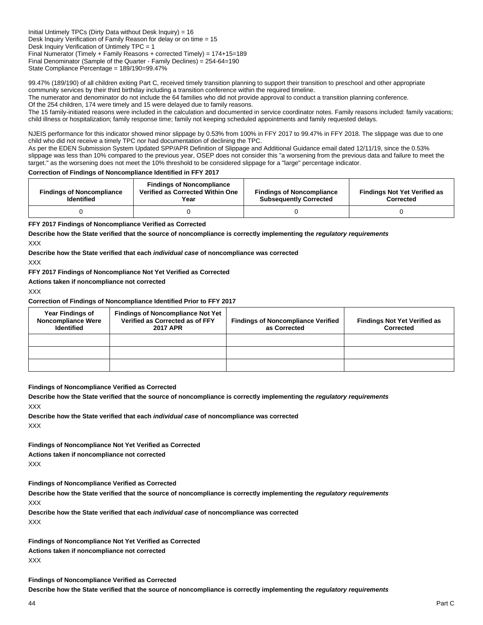Initial Untimely TPCs (Dirty Data without Desk Inquiry) = 16 Desk Inquiry Verification of Family Reason for delay or on time = 15 Desk Inquiry Verification of Untimely TPC = 1 Final Numerator (Timely + Family Reasons + corrected Timely) = 174+15=189 Final Denominator (Sample of the Quarter - Family Declines) = 254-64=190 State Compliance Percentage = 189/190=99.47%

99.47% (189/190) of all children exiting Part C, received timely transition planning to support their transition to preschool and other appropriate community services by their third birthday including a transition conference within the required timeline.

The numerator and denominator do not include the 64 families who did not provide approval to conduct a transition planning conference.

Of the 254 children, 174 were timely and 15 were delayed due to family reasons.

The 15 family-initiated reasons were included in the calculation and documented in service coordinator notes. Family reasons included: family vacations; child illness or hospitalization; family response time; family not keeping scheduled appointments and family requested delays.

NJEIS performance for this indicator showed minor slippage by 0.53% from 100% in FFY 2017 to 99.47% in FFY 2018. The slippage was due to one child who did not receive a timely TPC nor had documentation of declining the TPC.

As per the EDEN Submission System Updated SPP/APR Definition of Slippage and Additional Guidance email dated 12/11/19, since the 0.53% slippage was less than 10% compared to the previous year, OSEP does not consider this "a worsening from the previous data and failure to meet the target." as the worsening does not meet the 10% threshold to be considered slippage for a "large" percentage indicator.

#### **Correction of Findings of Noncompliance Identified in FFY 2017**

| <b>Findings of Noncompliance</b><br><b>Identified</b> | <b>Findings of Noncompliance</b><br>Verified as Corrected Within One<br>Year | <b>Findings of Noncompliance</b><br><b>Subsequently Corrected</b> | <b>Findings Not Yet Verified as</b><br><b>Corrected</b> |
|-------------------------------------------------------|------------------------------------------------------------------------------|-------------------------------------------------------------------|---------------------------------------------------------|
|                                                       |                                                                              |                                                                   |                                                         |

#### **FFY 2017 Findings of Noncompliance Verified as Corrected**

**Describe how the State verified that the source of noncompliance is correctly implementing the** *regulatory requirements* XXX

**Describe how the State verified that each** *individual case* **of noncompliance was corrected**

XXX

#### **FFY 2017 Findings of Noncompliance Not Yet Verified as Corrected**

**Actions taken if noncompliance not corrected**

XXX

#### **Correction of Findings of Noncompliance Identified Prior to FFY 2017**

| <b>Year Findings of</b><br><b>Noncompliance Were</b><br><b>Identified</b> | <b>Findings of Noncompliance Not Yet</b><br>Verified as Corrected as of FFY<br><b>2017 APR</b> | <b>Findings of Noncompliance Verified</b><br>as Corrected | <b>Findings Not Yet Verified as</b><br>Corrected |
|---------------------------------------------------------------------------|------------------------------------------------------------------------------------------------|-----------------------------------------------------------|--------------------------------------------------|
|                                                                           |                                                                                                |                                                           |                                                  |
|                                                                           |                                                                                                |                                                           |                                                  |
|                                                                           |                                                                                                |                                                           |                                                  |

#### **Findings of Noncompliance Verified as Corrected**

**Describe how the State verified that the source of noncompliance is correctly implementing the** *regulatory requirements* XXX

**Describe how the State verified that each** *individual case* **of noncompliance was corrected** XXX

**Findings of Noncompliance Not Yet Verified as Corrected Actions taken if noncompliance not corrected** XXX

**Findings of Noncompliance Verified as Corrected**

**Describe how the State verified that the source of noncompliance is correctly implementing the** *regulatory requirements* XXX

**Describe how the State verified that each** *individual case* **of noncompliance was corrected** XXX

**Findings of Noncompliance Not Yet Verified as Corrected**

**Actions taken if noncompliance not corrected** XXX

**Findings of Noncompliance Verified as Corrected Describe how the State verified that the source of noncompliance is correctly implementing the** *regulatory requirements*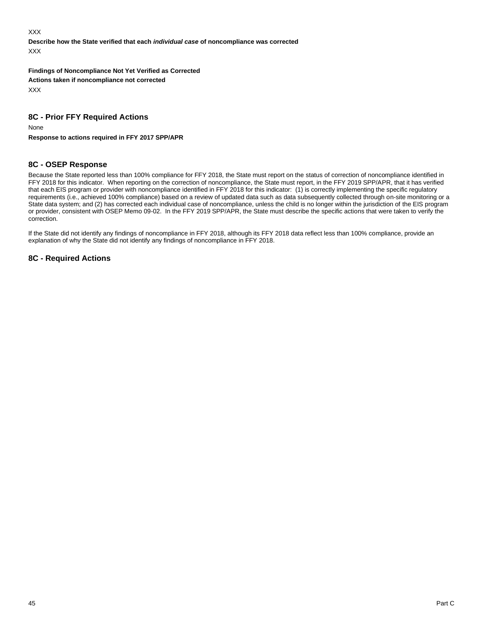XXX

**Describe how the State verified that each** *individual case* **of noncompliance was corrected** XXX

**Findings of Noncompliance Not Yet Verified as Corrected Actions taken if noncompliance not corrected** XXX

## **8C - Prior FFY Required Actions**

None

**Response to actions required in FFY 2017 SPP/APR**

## **8C - OSEP Response**

Because the State reported less than 100% compliance for FFY 2018, the State must report on the status of correction of noncompliance identified in FFY 2018 for this indicator. When reporting on the correction of noncompliance, the State must report, in the FFY 2019 SPP/APR, that it has verified that each EIS program or provider with noncompliance identified in FFY 2018 for this indicator: (1) is correctly implementing the specific regulatory requirements (i.e., achieved 100% compliance) based on a review of updated data such as data subsequently collected through on-site monitoring or a State data system; and (2) has corrected each individual case of noncompliance, unless the child is no longer within the jurisdiction of the EIS program or provider, consistent with OSEP Memo 09-02. In the FFY 2019 SPP/APR, the State must describe the specific actions that were taken to verify the correction.

If the State did not identify any findings of noncompliance in FFY 2018, although its FFY 2018 data reflect less than 100% compliance, provide an explanation of why the State did not identify any findings of noncompliance in FFY 2018.

## **8C - Required Actions**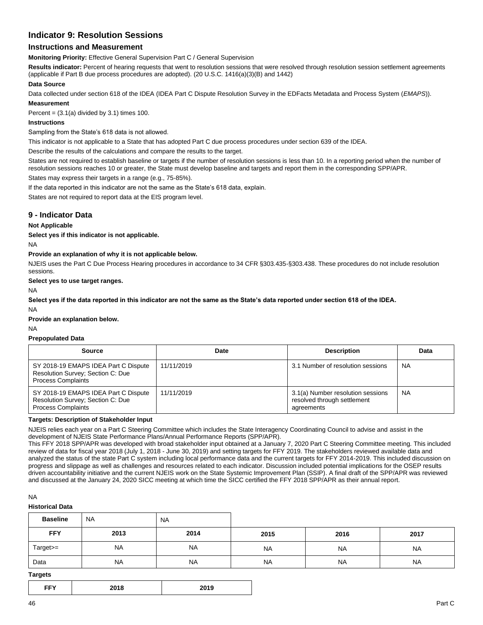## **Indicator 9: Resolution Sessions**

## **Instructions and Measurement**

**Monitoring Priority:** Effective General Supervision Part C / General Supervision

**Results indicator:** Percent of hearing requests that went to resolution sessions that were resolved through resolution session settlement agreements (applicable if Part B due process procedures are adopted). (20 U.S.C. 1416(a)(3)(B) and 1442)

#### **Data Source**

Data collected under section 618 of the IDEA (IDEA Part C Dispute Resolution Survey in the EDFacts Metadata and Process System (*EMAPS*)). **Measurement**

Percent =  $(3.1(a)$  divided by 3.1) times 100.

### **Instructions**

Sampling from the State's 618 data is not allowed.

This indicator is not applicable to a State that has adopted Part C due process procedures under section 639 of the IDEA.

Describe the results of the calculations and compare the results to the target.

States are not required to establish baseline or targets if the number of resolution sessions is less than 10. In a reporting period when the number of resolution sessions reaches 10 or greater, the State must develop baseline and targets and report them in the corresponding SPP/APR.

States may express their targets in a range (e.g., 75-85%).

If the data reported in this indicator are not the same as the State's 618 data, explain.

States are not required to report data at the EIS program level.

## **9 - Indicator Data**

## **Not Applicable**

**Select yes if this indicator is not applicable.** 

NA

#### **Provide an explanation of why it is not applicable below.**

NJEIS uses the Part C Due Process Hearing procedures in accordance to 34 CFR §303.435-§303.438. These procedures do not include resolution sessions.

#### **Select yes to use target ranges.**

NA

**Select yes if the data reported in this indicator are not the same as the State's data reported under section 618 of the IDEA.** NA

**Provide an explanation below.**

NA

#### **Prepopulated Data**

| <b>Source</b>                                                                                          | Date       | <b>Description</b>                                                             | Data      |
|--------------------------------------------------------------------------------------------------------|------------|--------------------------------------------------------------------------------|-----------|
| SY 2018-19 EMAPS IDEA Part C Dispute<br>Resolution Survey; Section C: Due<br><b>Process Complaints</b> | 11/11/2019 | 3.1 Number of resolution sessions                                              | <b>NA</b> |
| SY 2018-19 EMAPS IDEA Part C Dispute<br>Resolution Survey; Section C: Due<br><b>Process Complaints</b> | 11/11/2019 | 3.1(a) Number resolution sessions<br>resolved through settlement<br>agreements | <b>NA</b> |

#### **Targets: Description of Stakeholder Input**

NJEIS relies each year on a Part C Steering Committee which includes the State Interagency Coordinating Council to advise and assist in the development of NJEIS State Performance Plans/Annual Performance Reports (SPP/APR).

This FFY 2018 SPP/APR was developed with broad stakeholder input obtained at a January 7, 2020 Part C Steering Committee meeting. This included review of data for fiscal year 2018 (July 1, 2018 - June 30, 2019) and setting targets for FFY 2019. The stakeholders reviewed available data and analyzed the status of the state Part C system including local performance data and the current targets for FFY 2014-2019. This included discussion on progress and slippage as well as challenges and resources related to each indicator. Discussion included potential implications for the OSEP results driven accountability initiative and the current NJEIS work on the State Systemic Improvement Plan (SSIP). A final draft of the SPP/APR was reviewed and discussed at the January 24, 2020 SICC meeting at which time the SICC certified the FFY 2018 SPP/APR as their annual report.

#### NA

**Historical Data**

| <b>Baseline</b> | <b>NA</b> | <b>NA</b> |           |           |           |
|-----------------|-----------|-----------|-----------|-----------|-----------|
| <b>FFY</b>      | 2013      | 2014      | 2015      | 2016      | 2017      |
| Target>=        | <b>NA</b> | <b>NA</b> | <b>NA</b> | <b>NA</b> | <b>NA</b> |
| Data            | <b>NA</b> | <b>NA</b> | <b>NA</b> | <b>NA</b> | <b>NA</b> |

#### **Targets**

| EEV.<br>. .<br>- - - | 2018 | 2019 |
|----------------------|------|------|
|----------------------|------|------|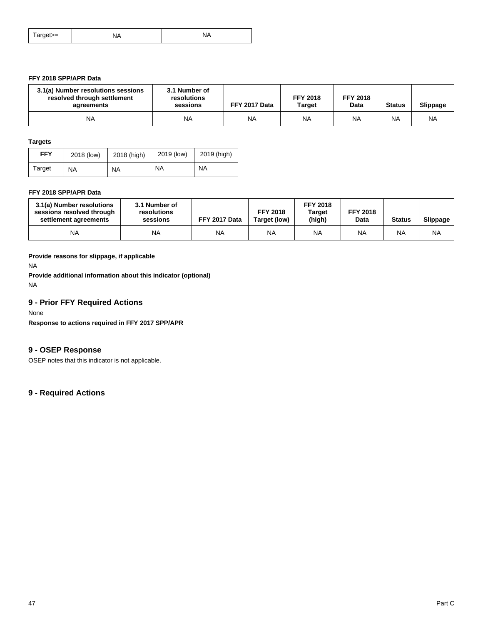| arget>= | ΝΔ<br>$\mathbf{v}$ | $\cdots$ |
|---------|--------------------|----------|
|---------|--------------------|----------|

## **FFY 2018 SPP/APR Data**

| 3.1(a) Number resolutions sessions<br>resolved through settlement<br>agreements | 3.1 Number of<br>resolutions<br>sessions | FFY 2017 Data | <b>FFY 2018</b><br><b>Target</b> | <b>FFY 2018</b><br>Data | <b>Status</b> | <b>Slippage</b> |
|---------------------------------------------------------------------------------|------------------------------------------|---------------|----------------------------------|-------------------------|---------------|-----------------|
| <b>NA</b>                                                                       | <b>NA</b>                                | <b>NA</b>     | <b>NA</b>                        | <b>NA</b>               | <b>NA</b>     | <b>NA</b>       |

#### **Targets**

| <b>FFY</b> | 2018 (low) | 2018 (high) | 2019 (low) | 2019 (high) |  |
|------------|------------|-------------|------------|-------------|--|
| Target     | <b>NA</b>  | <b>NA</b>   | <b>NA</b>  | <b>NA</b>   |  |

### **FFY 2018 SPP/APR Data**

| 3.1(a) Number resolutions<br>3.1 Number of<br>sessions resolved through<br>resolutions<br>settlement agreements<br>sessions |           | FFY 2017 Data | <b>FFY 2018</b><br>Target (low) | <b>FFY 2018</b><br><b>Target</b><br>(high) | <b>FFY 2018</b><br>Data | <b>Status</b> | Slippage  |
|-----------------------------------------------------------------------------------------------------------------------------|-----------|---------------|---------------------------------|--------------------------------------------|-------------------------|---------------|-----------|
| <b>NA</b>                                                                                                                   | <b>NA</b> | <b>NA</b>     | <b>NA</b>                       | <b>NA</b>                                  | <b>NA</b>               | NA            | <b>NA</b> |

## **Provide reasons for slippage, if applicable**

NA

**Provide additional information about this indicator (optional)** NA

## **9 - Prior FFY Required Actions**

### None

**Response to actions required in FFY 2017 SPP/APR**

## **9 - OSEP Response**

OSEP notes that this indicator is not applicable.

## **9 - Required Actions**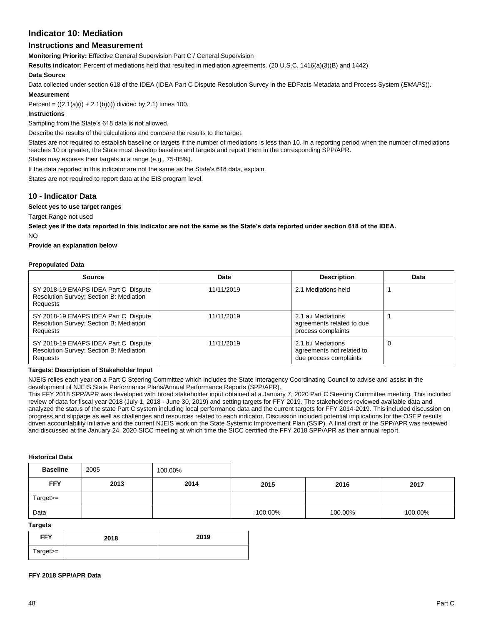## **Indicator 10: Mediation**

## **Instructions and Measurement**

**Monitoring Priority:** Effective General Supervision Part C / General Supervision

**Results indicator:** Percent of mediations held that resulted in mediation agreements. (20 U.S.C. 1416(a)(3)(B) and 1442)

#### **Data Source**

Data collected under section 618 of the IDEA (IDEA Part C Dispute Resolution Survey in the EDFacts Metadata and Process System (*EMAPS*)).

#### **Measurement**

Percent =  $((2.1(a)(i) + 2.1(b)(i))$  divided by 2.1) times 100.

#### **Instructions**

Sampling from the State's 618 data is not allowed.

Describe the results of the calculations and compare the results to the target.

States are not required to establish baseline or targets if the number of mediations is less than 10. In a reporting period when the number of mediations reaches 10 or greater, the State must develop baseline and targets and report them in the corresponding SPP/APR.

States may express their targets in a range (e.g., 75-85%).

If the data reported in this indicator are not the same as the State's 618 data, explain.

States are not required to report data at the EIS program level.

## **10 - Indicator Data**

**Select yes to use target ranges**

Target Range not used

**Select yes if the data reported in this indicator are not the same as the State's data reported under section 618 of the IDEA.** NO

**Provide an explanation below**

#### **Prepopulated Data**

| <b>Source</b>                                                                                      | Date       | <b>Description</b>                                                        | Data |
|----------------------------------------------------------------------------------------------------|------------|---------------------------------------------------------------------------|------|
| SY 2018-19 EMAPS IDEA Part C Dispute<br>Resolution Survey; Section B: Mediation<br>Requests        | 11/11/2019 | 2.1 Mediations held                                                       |      |
| SY 2018-19 EMAPS IDEA Part C Dispute<br>Resolution Survey; Section B: Mediation<br><b>Requests</b> | 11/11/2019 | 2.1.a.i Mediations<br>agreements related to due<br>process complaints     |      |
| SY 2018-19 EMAPS IDEA Part C Dispute<br>Resolution Survey; Section B: Mediation<br>Requests        | 11/11/2019 | 2.1.b.i Mediations<br>agreements not related to<br>due process complaints |      |

#### **Targets: Description of Stakeholder Input**

NJEIS relies each year on a Part C Steering Committee which includes the State Interagency Coordinating Council to advise and assist in the development of NJEIS State Performance Plans/Annual Performance Reports (SPP/APR).

This FFY 2018 SPP/APR was developed with broad stakeholder input obtained at a January 7, 2020 Part C Steering Committee meeting. This included review of data for fiscal year 2018 (July 1, 2018 - June 30, 2019) and setting targets for FFY 2019. The stakeholders reviewed available data and analyzed the status of the state Part C system including local performance data and the current targets for FFY 2014-2019. This included discussion on progress and slippage as well as challenges and resources related to each indicator. Discussion included potential implications for the OSEP results driven accountability initiative and the current NJEIS work on the State Systemic Improvement Plan (SSIP). A final draft of the SPP/APR was reviewed and discussed at the January 24, 2020 SICC meeting at which time the SICC certified the FFY 2018 SPP/APR as their annual report.

#### **Historical Data**

| <b>Baseline</b> | 2005 | 100.00% |         |         |         |
|-----------------|------|---------|---------|---------|---------|
| <b>FFY</b>      | 2013 | 2014    | 2015    | 2016    | 2017    |
| Target>=        |      |         |         |         |         |
| Data            |      |         | 100.00% | 100.00% | 100.00% |

## **Targets**

| <b>FFY</b> | 2018 | 2019 |
|------------|------|------|
| Target>=   |      |      |

#### **FFY 2018 SPP/APR Data**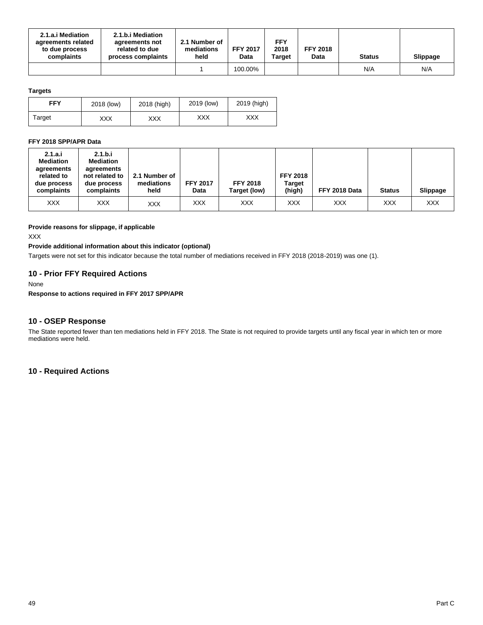| 2.1.a.i Mediation<br>agreements related<br>to due process<br>complaints | 2.1.b.i Mediation<br>agreements not<br>related to due<br>process complaints | 2.1 Number of<br>mediations<br>held | <b>FFY 2017</b><br>Data | <b>FFY</b><br>2018<br><b>Target</b> | <b>FFY 2018</b><br>Data | <b>Status</b> | <b>Slippage</b> |
|-------------------------------------------------------------------------|-----------------------------------------------------------------------------|-------------------------------------|-------------------------|-------------------------------------|-------------------------|---------------|-----------------|
|                                                                         |                                                                             |                                     | 100.00%                 |                                     |                         | N/A           | N/A             |

## **Targets**

| FFY    | 2018 (low) | 2018 (high) | 2019 (low) | 2019 (high) |
|--------|------------|-------------|------------|-------------|
| Target | XXX        | XXX         | XXX        | XXX         |

### **FFY 2018 SPP/APR Data**

| 2.1.a.i<br><b>Mediation</b><br>agreements<br>related to<br>due process<br>complaints | 2.1.b.i<br><b>Mediation</b><br>agreements<br>not related to<br>due process<br>complaints | 2.1 Number of<br>mediations<br>held | <b>FFY 2017</b><br>Data | <b>FFY 2018</b><br>Target (low) | <b>FFY 2018</b><br><b>Target</b><br>(high) | FFY 2018 Data | <b>Status</b> | <b>Slippage</b> |
|--------------------------------------------------------------------------------------|------------------------------------------------------------------------------------------|-------------------------------------|-------------------------|---------------------------------|--------------------------------------------|---------------|---------------|-----------------|
| XXX                                                                                  | <b>XXX</b>                                                                               | <b>XXX</b>                          | <b>XXX</b>              | XXX                             | XXX                                        | XXX           | XXX           | <b>XXX</b>      |

#### **Provide reasons for slippage, if applicable**

XXX

## **Provide additional information about this indicator (optional)**

Targets were not set for this indicator because the total number of mediations received in FFY 2018 (2018-2019) was one (1).

## **10 - Prior FFY Required Actions**

#### None

**Response to actions required in FFY 2017 SPP/APR**

## **10 - OSEP Response**

The State reported fewer than ten mediations held in FFY 2018. The State is not required to provide targets until any fiscal year in which ten or more mediations were held.

## **10 - Required Actions**